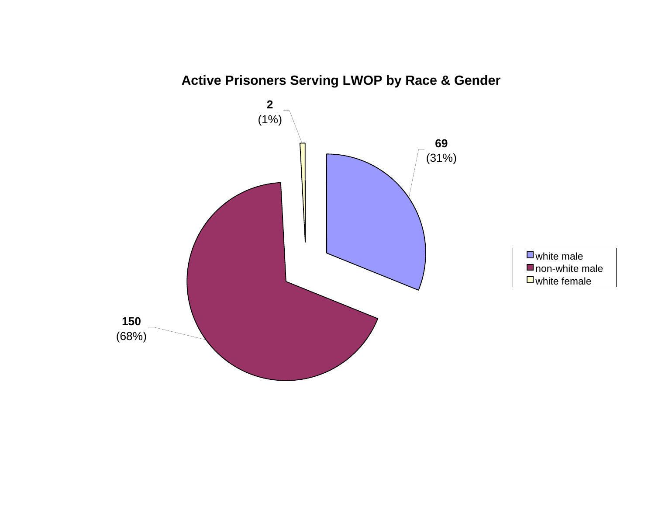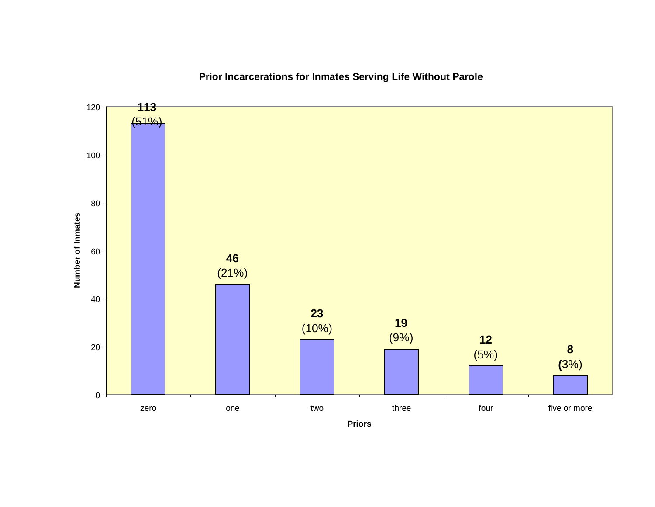**Prior Incarcerations for Inmates Serving Life Without Parole**



**Priors**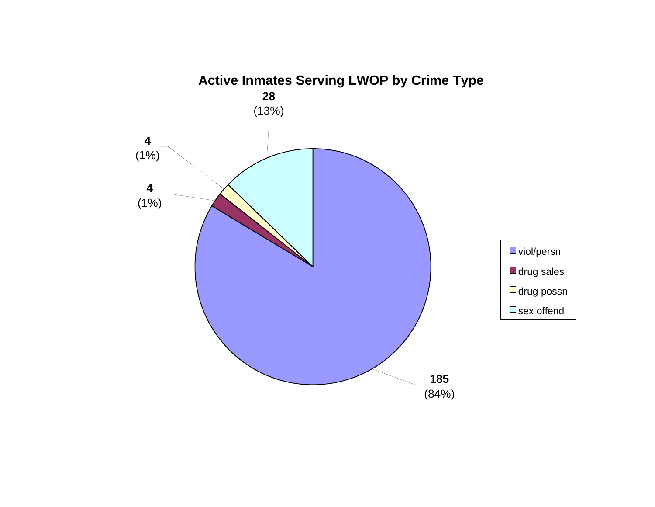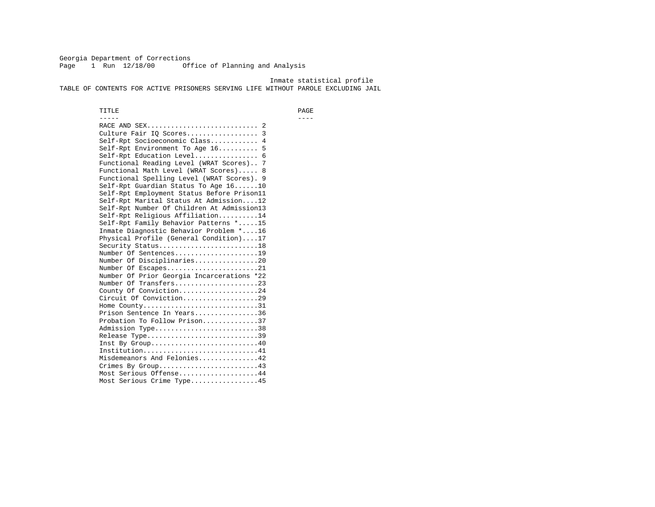Georgia Department of Corrections Page 1 Run 12/18/00 Office of Planning and Analysis

 Inmate statistical profile TABLE OF CONTENTS FOR ACTIVE PRISONERS SERVING LIFE WITHOUT PAROLE EXCLUDING JAIL

 TITLE PAGE ----- ---- RACE AND SEX............................ 2 Culture Fair IQ Scores.................. 3 Self-Rpt Socioeconomic Class............ 4 Self-Rpt Environment To Age 16.......... 5 Self-Rpt Education Level................ 6 Functional Reading Level (WRAT Scores).. 7 Functional Math Level (WRAT Scores)..... 8 Functional Spelling Level (WRAT Scores). 9 Self-Rpt Guardian Status To Age 16......10 Self-Rpt Employment Status Before Prison11 Self-Rpt Marital Status At Admission....12 Self-Rpt Number Of Children At Admission13 Self-Rpt Religious Affiliation..........14 Self-Rpt Family Behavior Patterns \*.....15 Inmate Diagnostic Behavior Problem \*....16 Physical Profile (General Condition)....17 Security Status............................18 Number Of Sentences.....................19 Number Of Disciplinaries................20 Number Of Escapes........................21 Number Of Prior Georgia Incarcerations \*22 Number Of Transfers.....................23 County Of Conviction....................24 Circuit Of Conviction...................29 Home County................................31 Prison Sentence In Years................36 Probation To Follow Prison..............37Admission Type.............................38 Release Type...............................39 Inst By Group.............................40 Institution.............................41 Misdemeanors And Felonies...............42 Crimes By Group.........................43 Most Serious Offense....................44 Most Serious Crime Type.................45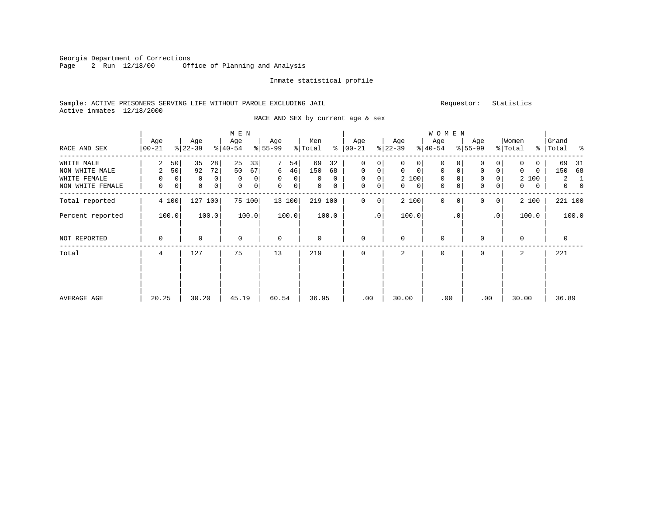Georgia Department of Corrections<br>Page 2 Run 12/18/00 Off Office of Planning and Analysis

#### Inmate statistical profile

### Sample: ACTIVE PRISONERS SERVING LIFE WITHOUT PAROLE EXCLUDING JAIL Requestor: Statistics Active inmates 12/18/2000

RACE AND SEX by current age & sex

|                  |                  |    |                  |       | M E N            |        |                  |        |                |       |                |             |                  |                | W O M E N        |             |                  |              |                  |                |                    |          |
|------------------|------------------|----|------------------|-------|------------------|--------|------------------|--------|----------------|-------|----------------|-------------|------------------|----------------|------------------|-------------|------------------|--------------|------------------|----------------|--------------------|----------|
| RACE AND SEX     | Age<br>$00 - 21$ |    | Age<br>$ 22-39 $ |       | Age<br>$ 40-54 $ |        | Age<br>$ 55-99 $ |        | Men<br>% Total | ႜ     | Age<br>  00-21 |             | Age<br>$ 22-39 $ |                | Age<br>$ 40-54 $ |             | Age<br>$8 55-99$ |              | Women<br>% Total |                | Grand<br>%   Total |          |
| WHITE MALE       | 2                | 50 | 35               | 28    | 25               | 33     |                  | 54     | 69             | 32    | 0              | 0           | 0                | 0              | $\mathbf 0$      | $\Omega$    | 0                | 0            | $\mathbf 0$      | 0              | 69                 | 31       |
| NON WHITE MALE   | 2                | 50 | 92               | 72    | 50               | 67     | 6                | 46     | 150            | 68    | $\mathbf 0$    | 0           | 0                | $\mathbf 0$    | $\mathbf{0}$     | $\mathbf 0$ | $\mathbf 0$      | $\mathbf 0$  | $\mathbf 0$      | $\mathbf 0$    | 150                | 68       |
| WHITE FEMALE     | 0                | 0  | 0                | 0     | 0                | 0      | $\mathbf 0$      | 0      | 0              | 0     | 0              | 0           | 2 100            |                | 0                |             | 0                |              |                  | 2 100          | 2                  | -1       |
| NON WHITE FEMALE | 0                | 0  | $\mathbf 0$      | 0     | $\mathbf 0$      | 0      | $\mathbf{0}$     | 0      | $\mathbf{0}$   | 0     | 0              | 0           | 0                | $\overline{0}$ | 0                | $\mathbf 0$ | $\mathbf 0$      | 0            | $\mathbf{0}$     | $\overline{0}$ | $\overline{0}$     | $\Omega$ |
| Total reported   | 4 100            |    | 127 100          |       |                  | 75 100 |                  | 13 100 | 219 100        |       | 0              | $\mathbf 0$ | 2 100            |                | $\mathbf 0$      | 0           | 0                | $\mathbf{0}$ |                  | 2 100          | 221 100            |          |
| Percent reported | 100.0            |    |                  | 100.0 |                  | 100.0  |                  | 100.0  |                | 100.0 |                | $\cdot$ 0   | 100.0            |                |                  | $\cdot$ 0   |                  | .0           |                  | 100.0          |                    | 100.0    |
| NOT REPORTED     | $\mathbf 0$      |    | $\Omega$         |       | $\mathbf 0$      |        | $\mathbf 0$      |        | 0              |       | $\mathbf{0}$   |             | 0                |                | 0                |             | 0                |              | $\mathbf 0$      |                | 0                  |          |
| Total            | 4                |    | 127              |       | 75               |        | 13               |        | 219            |       | $\mathbf{0}$   |             | 2                |                | $\mathbf{0}$     |             | $\mathbf 0$      |              | 2                |                | 221                |          |
|                  |                  |    |                  |       |                  |        |                  |        |                |       |                |             |                  |                |                  |             |                  |              |                  |                |                    |          |
| AVERAGE AGE      | 20.25            |    | 30.20            |       | 45.19            |        | 60.54            |        | 36.95          |       | .00            |             | 30.00            |                | .00              |             | .00              |              | 30.00            |                | 36.89              |          |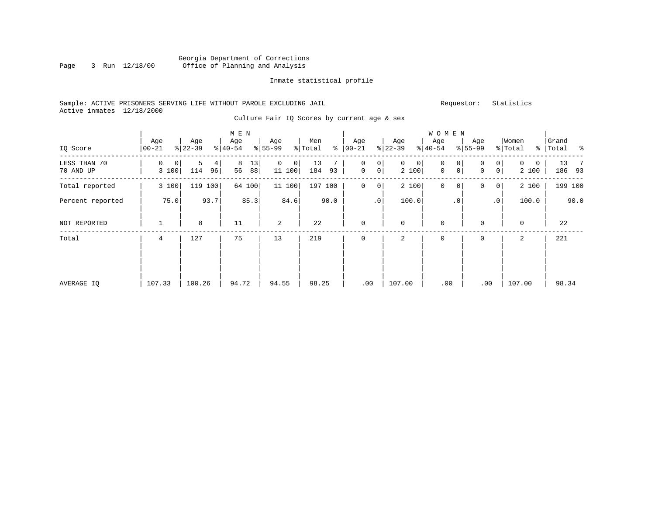#### Georgia Department of Corrections<br>Page 3 Run 12/18/00 Office of Planning and Analysis Office of Planning and Analysis

#### Inmate statistical profile

#### Sample: ACTIVE PRISONERS SERVING LIFE WITHOUT PAROLE EXCLUDING JAIL Requestor: Statistics Active inmates 12/18/2000

Culture Fair IQ Scores by current age & sex

| IQ Score                  | Age<br>$ 00-21 $ | Age<br>$ 22-39 $    | M E N<br>Age<br>$ 40-54 $ | Age<br>$8 55-99$        | Men<br>နွ<br>% Total | Age<br>$ 00-21 $                        | Age<br>$ 22-39 $                        | <b>WOMEN</b><br>Age<br>$ 40-54 $                | Age<br>$8 55-99$                        | Women<br>% Total<br>$\frac{1}{6}$ | Grand<br>Total<br>ಿ |
|---------------------------|------------------|---------------------|---------------------------|-------------------------|----------------------|-----------------------------------------|-----------------------------------------|-------------------------------------------------|-----------------------------------------|-----------------------------------|---------------------|
| LESS THAN 70<br>70 AND UP | 0<br>0<br>3 100  | 5<br>4<br>114<br>96 | 8<br>13<br>56<br>88       | $\Omega$<br>0<br>11 100 | 13<br>184<br>93      | 0<br>0<br>$\mathbf 0$<br>0 <sup>1</sup> | $\mathbf{0}$<br>$\overline{0}$<br>2 100 | $\mathbf 0$<br>0<br>$\mathbf 0$<br>$\mathsf{O}$ | 0<br>0<br>0 <sup>1</sup><br>$\mathbf 0$ | $\Omega$<br>0<br>2 100            | 13<br>- 7<br>186 93 |
| Total reported            | 3 100            | 119<br>100          | 64 100                    | 11 100                  | 197 100              | 0<br>0                                  | 2 100                                   | 0<br>0                                          | 0<br>0                                  | 2 100                             | 199 100             |
| Percent reported          | 75.0             | 93.7                | 85.3                      | 84.6                    | 90.0                 | .0 <sup>1</sup>                         | 100.0                                   | $\cdot$ 0                                       | $\cdot$ 0                               | 100.0                             | 90.0                |
| NOT REPORTED              | 1                | 8                   | 11                        | $\overline{a}$          | 22                   | $\mathbf 0$                             | $\mathbf 0$                             | $\mathbf 0$                                     | 0                                       | 0                                 | 22                  |
| Total                     | 4                | 127                 | 75                        | 13                      | 219                  | 0                                       | 2                                       | 0                                               | 0                                       | 2                                 | 221                 |
|                           |                  |                     |                           |                         |                      |                                         |                                         |                                                 |                                         |                                   |                     |
| AVERAGE IQ                | 107.33           | 100.26              | 94.72                     | 94.55                   | 98.25                | .00                                     | 107.00                                  | .00                                             | .00                                     | 107.00                            | 98.34               |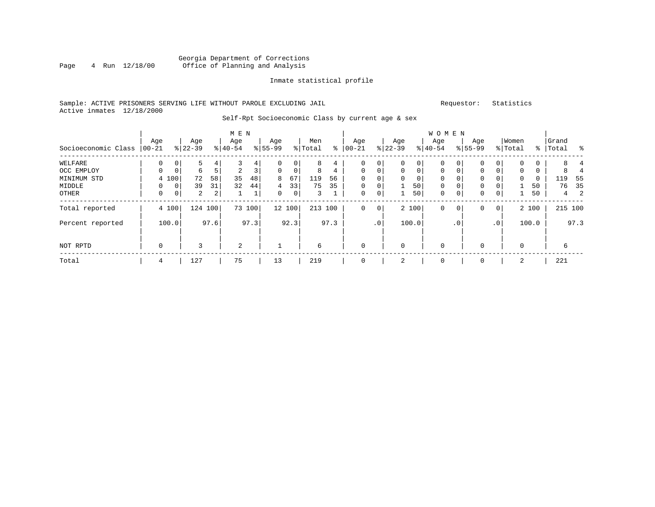#### Georgia Department of Corrections<br>4 Run 12/18/00 Office of Planning and Analysis Page 4 Run 12/18/00 Office of Planning and Analysis

#### Inmate statistical profile

#### Sample: ACTIVE PRISONERS SERVING LIFE WITHOUT PAROLE EXCLUDING JAIL Requestor: Statistics Active inmates 12/18/2000

#### Self-Rpt Socioeconomic Class by current age & sex

|                     |             |          |                |      | M E N    |        |             |             |         |              |             |                 |             |             | <b>WOMEN</b> |             |             |              |              |       |           |         |
|---------------------|-------------|----------|----------------|------|----------|--------|-------------|-------------|---------|--------------|-------------|-----------------|-------------|-------------|--------------|-------------|-------------|--------------|--------------|-------|-----------|---------|
|                     | Age         |          | Age            |      | Age      |        | Age         |             | Men     |              | Age         |                 | Age         |             | Age          |             | Age         |              | Women        |       | Grand     |         |
| Socioeconomic Class | $ 00-21$    |          | $8 22-39$      |      | $ 40-54$ |        | $ 55-99$    |             | % Total | နွ           | $00 - 21$   |                 | $ 22-39 $   |             | $ 40-54 $    |             | $8155 - 99$ |              | % Total      |       | %   Total | ႜ       |
| WELFARE             | 0           |          | 5              | 4    | 3        | 4      | 0           | 0           | 8       | 4            | 0           | 0               | 0           | 0           | $\mathbf 0$  | 0           | 0           |              | $\Omega$     | 0     |           |         |
| OCC EMPLOY          | $\Omega$    | $\Omega$ | 6              |      | 2        | 3      | $\mathbf 0$ | $\mathbf 0$ | 8       | 4            | $\Omega$    | 0               | $\mathbf 0$ | $\mathbf 0$ | $\mathbf 0$  | $\Omega$    | 0           |              | $\mathbf{0}$ | 0     |           |         |
| MINIMUM STD         |             | 4 100    | 72             | 58   | 35       | 48     | 8           | 67          | 119     | 56           | $\Omega$    | $\Omega$        | $\Omega$    | $\mathbf 0$ | $\Omega$     |             | 0           |              | $\mathbf{0}$ | 0     | 119       | 55      |
| MIDDLE              | $\Omega$    | 0        | 39             | 31   | 32       | 44     | 4           | 33          | 75      | 35           | $\mathbf 0$ | 0               |             | 50          | $\mathbf 0$  | $\mathbf 0$ | 0           |              |              | 50    | 76        | 35      |
| OTHER               | 0           | 0        | $\overline{a}$ | 2    |          | ᅩ      | 0           | 0           | 3       | $\mathbf{a}$ | $\mathbf 0$ | 0               |             | 50          | $\mathbf 0$  | $\mathbf 0$ | 0           | 0            |              | 50    | 4         | 2       |
| Total reported      |             | 4 100    | 124 100        |      |          | 73 100 |             | 12 100      | 213     | 100          | 0           | $\overline{0}$  |             | 2 100       | 0            | 0           | 0           | $\mathbf{0}$ |              | 2 100 |           | 215 100 |
| Percent reported    |             | 100.0    |                | 97.6 |          | 97.3   |             | 92.3        |         | 97.3         |             | .0 <sup>1</sup> |             | 100.0       |              | $\cdot$ 0   |             | $\cdot$ 0    |              | 100.0 |           | 97.3    |
| NOT RPTD            | $\mathbf 0$ |          | 3              |      | 2        |        | 1           |             | 6       |              | 0           |                 | $\mathbf 0$ |             | 0            |             | 0           |              | 0            |       | 6         |         |
| Total               | 4           |          | 127            |      | 75       |        | 13          |             | 219     |              |             |                 | 2           |             | 0            |             | 0           |              | 2            |       | 221       |         |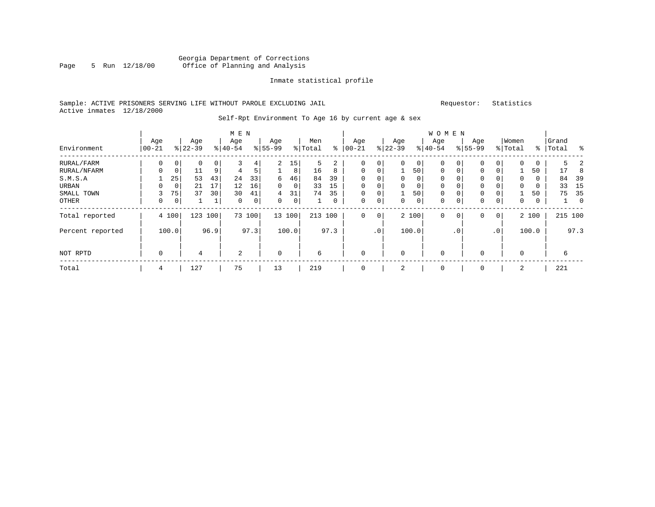#### Georgia Department of Corrections Page 5 Run 12/18/00 Office of Planning and Analysis

#### Inmate statistical profile

#### Sample: ACTIVE PRISONERS SERVING LIFE WITHOUT PAROLE EXCLUDING JAIL Requestor: Statistics Active inmates 12/18/2000

### Self-Rpt Environment To Age 16 by current age & sex

|                  | Age       |             | Age       |      | M E N<br>Age |             | Age       |             | Men     |             | Aqe         |                 | Age      |             | <b>WOMEN</b><br>Age |             | Age         |                 | Women    |       | Grand     |         |
|------------------|-----------|-------------|-----------|------|--------------|-------------|-----------|-------------|---------|-------------|-------------|-----------------|----------|-------------|---------------------|-------------|-------------|-----------------|----------|-------|-----------|---------|
| Environment      | $00 - 21$ |             | $8 22-39$ |      | $8 40-54$    |             | $8 55-99$ |             | % Total | ႜ           | $ 00 - 21$  |                 | $ 22-39$ |             | $ 40-54$            |             | $8155 - 99$ |                 | % Total  |       | %   Total | ႜ       |
| RURAL/FARM       | 0         | 0           | 0         | 0    | 3            | 4           | 2         | 15          | 5       | 2           | 0           | 0               | 0        | $\mathbf 0$ | 0                   | 0           | 0           | 0               | 0        | 0     | 5.        | 2       |
| RURAL/NFARM      | 0         | 0           | 11        | 9    | 4            | 5           |           | 8           | 16      | 8           | $\mathbf 0$ | 0               |          | 50          | $\mathbf 0$         | $\mathbf 0$ | 0           | 0               |          | 50    | 17        | 8       |
| S.M.S.A          |           | 25          | 53        | 43   | 24           | 33          | 6         | 46          | 84      | 39          | $\mathbf 0$ | 0               | $\Omega$ | 0           | 0                   | $\Omega$    | $\Omega$    |                 | $\Omega$ | 0     | 84        | 39      |
| URBAN            | 0         | 0           | 21        | 17   | 12           | 16          | $\Omega$  | $\mathbf 0$ | 33      | 15          | $\mathbf 0$ | 0               |          | 0           | $\mathbf 0$         | $\Omega$    | $\Omega$    |                 | $\Omega$ | 0     | 33        | 15      |
| SMALL TOWN       |           | 75          | 37        | 30   | 30           | 41          | 4         | 31          | 74      | 35          | $\mathbf 0$ | 0               |          | 50          | $\mathbf 0$         | $\mathbf 0$ | 0           | 0               |          | 50    | 75        | 35      |
| OTHER            | 0         | $\mathbf 0$ | 1         |      | $\mathbf 0$  | $\mathbf 0$ | $\Omega$  | 0           |         | $\mathbf 0$ | $\mathbf 0$ | $\mathbf 0$     | 0        | $\mathbf 0$ | $\mathbf 0$         | $\mathbf 0$ | $\mathbf 0$ | 0               | 0        | 0     |           | 0       |
| Total reported   |           | 4 100       | 123       | 100  |              | 73 100      |           | 13 100      | 213 100 |             | $\mathbf 0$ | 0               |          | 2 100       | $\mathbf 0$         | 0           | 0           | $\overline{0}$  |          | 2 100 |           | 215 100 |
| Percent reported |           | 100.0       |           | 96.9 |              | 97.3        |           | 100.0       |         | 97.3        |             | .0 <sup>′</sup> |          | 100.0       |                     | .0'         |             | .0 <sup>′</sup> |          | 100.0 |           | 97.3    |
| NOT RPTD         | 0         |             | 4         |      | 2            |             | $\Omega$  |             | 6       |             | $\mathbf 0$ |                 | $\Omega$ |             | $\mathbf 0$         |             | $\Omega$    |                 | $\Omega$ |       | 6         |         |
| Total            | 4         |             | 127       |      | 75           |             | 13        |             | 219     |             | $\mathbf 0$ |                 | 2        |             | 0                   |             | $\Omega$    |                 | 2        |       | 221       |         |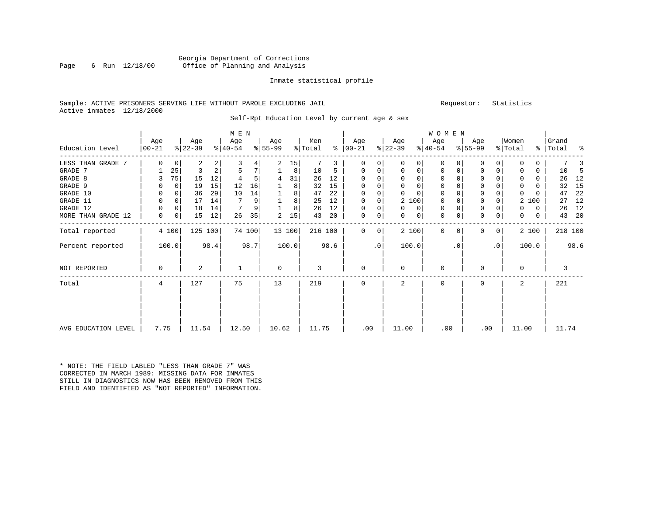#### Georgia Department of Corrections Page 6 Run 12/18/00 Office of Planning and Analysis

#### Inmate statistical profile

### Sample: ACTIVE PRISONERS SERVING LIFE WITHOUT PAROLE EXCLUDING JAIL Requestor: Statistics Active inmates 12/18/2000

Self-Rpt Education Level by current age & sex

|                     |                 |             |                  |      | M E N            |        |                 |        |                |      |                      |           |                  |             | <b>WOMEN</b>     |           |                  |                |                  |       |                    |      |
|---------------------|-----------------|-------------|------------------|------|------------------|--------|-----------------|--------|----------------|------|----------------------|-----------|------------------|-------------|------------------|-----------|------------------|----------------|------------------|-------|--------------------|------|
| Education Level     | Age<br>$ 00-21$ |             | Age<br>$ 22-39 $ |      | Age<br>$ 40-54 $ |        | Age<br>$ 55-99$ |        | Men<br>% Total |      | Age<br>$8   00 - 21$ |           | Age<br>$ 22-39 $ |             | Age<br>$ 40-54 $ |           | Age<br>$8 55-99$ |                | Women<br>% Total |       | Grand<br>%   Total | နွ   |
| LESS THAN GRADE 7   | 0               | $\mathbf 0$ | 2                | 2    | 3                | 4      | 2               | 15     |                | 3    | 0                    | 0         | $\Omega$         | $\Omega$    | $\Omega$         | $\Omega$  | $\Omega$         | 0              | $\Omega$         | 0     |                    |      |
| GRADE 7             |                 | 25          | 3                | 2    | 5                | 7      |                 | 8      | 10             | 5    | 0                    | 0         | 0                | 0           | 0                | 0         | $\mathbf 0$      | 0              | 0                | 0     | 10                 | -5   |
| GRADE 8             | 3               | 75          | 15               | 12   |                  | 5      | 4               | 31     | 26             | 12   | $\Omega$             | 0         |                  | 0           | 0                | $\Omega$  | $\Omega$         |                | $\Omega$         | 0     | 26                 | 12   |
| GRADE 9             | 0               | $\Omega$    | 19               | 15   | 12               | 16     |                 | 8      | 32             | 15   | $\Omega$             |           |                  | $\mathbf 0$ | 0                |           | $\mathbf 0$      |                | 0                | 0     | 32                 | 15   |
| GRADE 10            | 0               | $\Omega$    | 36               | 29   | 10               | 14     |                 | 8      | 47             | 22   | $\Omega$             | 0         | $\Omega$         | $\Omega$    | $\Omega$         |           | $\mathbf 0$      |                | $\Omega$         | U     | 47                 | 22   |
| GRADE 11            | 0               | $\Omega$    | 17               | 14   |                  | 9      |                 | 8      | 25             | 12   | $\mathbf 0$          | 0         | 2 100            |             | 0                |           | $\mathbf 0$      |                |                  | 2 100 | 27                 | 12   |
| GRADE 12            | 0               | 0           | 18               | 14   |                  | 9      |                 | 8      | 26             | 12   | $\Omega$             | 0         | $\Omega$         | 0           | 0                |           | $\mathbf 0$      |                | 0                | 0     | 26                 | 12   |
| MORE THAN GRADE 12  | 0               | 0           | 15               | 12   | 26               | 35     | 2               | 15     | 43             | 20   | $\mathbf 0$          | 0         | 0                | 0           | 0                | 0         | 0                | 0              | 0                | 0     | 43                 | 20   |
| Total reported      |                 | 4 100       | 125              | 100  |                  | 74 100 |                 | 13 100 | 216 100        |      | $\Omega$             | 0         | 2 100            |             | $\mathbf 0$      | $\Omega$  | $\Omega$         | $\overline{0}$ |                  | 2 100 | 218 100            |      |
| Percent reported    |                 | 100.0       |                  | 98.4 |                  | 98.7   |                 | 100.0  |                | 98.6 |                      | $\cdot$ 0 | 100.0            |             |                  | $\cdot$ 0 |                  | $\cdot$ 0      |                  | 100.0 |                    | 98.6 |
| NOT REPORTED        | 0               |             | 2                |      |                  |        | 0               |        | 3              |      | $\mathbf 0$          |           | $\mathbf 0$      |             | 0                |           | $\Omega$         |                | $\mathbf 0$      |       | 3                  |      |
| Total               | 4               |             | 127              |      | 75               |        | 13              |        | 219            |      | $\mathbf 0$          |           | 2                |             | 0                |           | $\Omega$         |                | 2                |       | 221                |      |
|                     |                 |             |                  |      |                  |        |                 |        |                |      |                      |           |                  |             |                  |           |                  |                |                  |       |                    |      |
| AVG EDUCATION LEVEL | 7.75            |             | 11.54            |      | 12.50            |        | 10.62           |        | 11.75          |      | .00                  |           | 11.00            |             | .00              |           | .00              |                | 11.00            |       | 11.74              |      |

\* NOTE: THE FIELD LABLED "LESS THAN GRADE 7" WAS CORRECTED IN MARCH 1989: MISSING DATA FOR INMATES STILL IN DIAGNOSTICS NOW HAS BEEN REMOVED FROM THIS FIELD AND IDENTIFIED AS "NOT REPORTED" INFORMATION.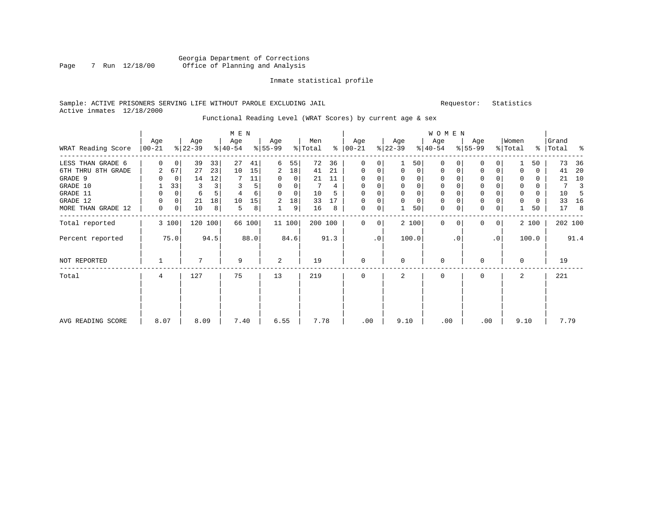#### Georgia Department of Corrections Page 7 Run 12/18/00 Office of Planning and Analysis

#### Inmate statistical profile

#### Sample: ACTIVE PRISONERS SERVING LIFE WITHOUT PAROLE EXCLUDING JAIL Requestor: Statistics Active inmates 12/18/2000

### Functional Reading Level (WRAT Scores) by current age & sex

|                    | Age            |             | Age       |         | M E N<br>Age |        | Age            |        | Men     |      | Age           |                 | Age         |             | W O M E N<br>Age |           | Age       |              | Women       |       | Grand     |         |
|--------------------|----------------|-------------|-----------|---------|--------------|--------|----------------|--------|---------|------|---------------|-----------------|-------------|-------------|------------------|-----------|-----------|--------------|-------------|-------|-----------|---------|
| WRAT Reading Score | $00 - 21$      |             | $ 22-39 $ |         | $ 40-54 $    |        | $ 55-99$       |        | % Total |      | $8   00 - 21$ |                 | $ 22-39 $   |             | $ 40-54 $        |           | $8 55-99$ |              | % Total     |       | %   Total | ಿ       |
| LESS THAN GRADE 6  | $\Omega$       | $\mathbf 0$ | 39        | 33      | 27           | 41     | 6              | 55     | 72      | 36   | $\Omega$      | 0               |             | 50          | $\Omega$         | $\Omega$  | 0         | 0            |             | 50    | 73        | 36      |
| 6TH THRU 8TH GRADE | 2              | 67          | 27        | 23      | 10           | 15     | 2              | 18     | 41      | 21   | $\mathbf 0$   | 0               | $\mathbf 0$ | 0           | $\mathbf 0$      | 0         | 0         | 0            | $\mathbf 0$ | 0     | 41        | 20      |
| GRADE 9            | 0              | 0           | 14        | 12      |              | 11     | 0              | 0      | 21      | 11   |               |                 | 0           | 0           | $\mathbf 0$      |           | 0         |              | 0           | 0     | 21        | 10      |
| GRADE 10           |                | 33          | 3         |         | 3            | 5      | 0              | 0      |         | 4    | 0             | 0               | 0           | $\mathbf 0$ | $\mathbf 0$      | 0         | 0         |              | 0           | 0     | 7         | 3       |
| GRADE 11           | 0              | 0           | 6         |         |              | 6      | $\mathbf 0$    | 0      | 10      | 5    |               |                 | 0           | 0           | 0                |           | 0         |              | 0           | 0     | 10        | 5       |
| GRADE 12           | 0              | 0           | 21        | 18      | 10           | 15     | $\overline{2}$ | 18     | 33      | 17   | $\Omega$      | 0               | $\mathbf 0$ | $\mathbf 0$ | 0                |           | 0         |              | $\mathbf 0$ | 0     | 33        | 16      |
| MORE THAN GRADE 12 | 0              | 0           | 10        | 8       | 5            | 8      | 1              | 9      | 16      | 8    | 0             | 0               |             | 50          | $\mathbf 0$      | 0         | 0         | 0            |             | 50    | 17        | 8       |
| Total reported     |                | 3 100       |           | 120 100 |              | 66 100 |                | 11 100 | 200 100 |      | $\Omega$      | 0 <sup>1</sup>  |             | 2 100       | $\Omega$         | 0         | $\Omega$  | $\mathbf{0}$ |             | 2 100 |           | 202 100 |
| Percent reported   |                | 75.0        |           | 94.5    |              | 88.0   |                | 84.6   |         | 91.3 |               | .0 <sup>1</sup> |             | 100.0       |                  | $\cdot$ 0 |           | $\cdot$ 0    |             | 100.0 |           | 91.4    |
| NOT REPORTED       |                |             |           |         | 9            |        | 2              |        | 19      |      | $\Omega$      |                 | $\Omega$    |             | $\Omega$         |           | $\Omega$  |              | $\Omega$    |       | 19        |         |
| Total              | $\overline{4}$ |             | 127       |         | 75           |        | 13             |        | 219     |      | $\Omega$      |                 | 2           |             | $\Omega$         |           | $\Omega$  |              | 2           |       | 221       |         |
|                    |                |             |           |         |              |        |                |        |         |      |               |                 |             |             |                  |           |           |              |             |       |           |         |
| AVG READING SCORE  | 8.07           |             | 8.09      |         | 7.40         |        | 6.55           |        | 7.78    |      | .00           |                 | 9.10        |             | .00              |           | .00       |              | 9.10        |       | 7.79      |         |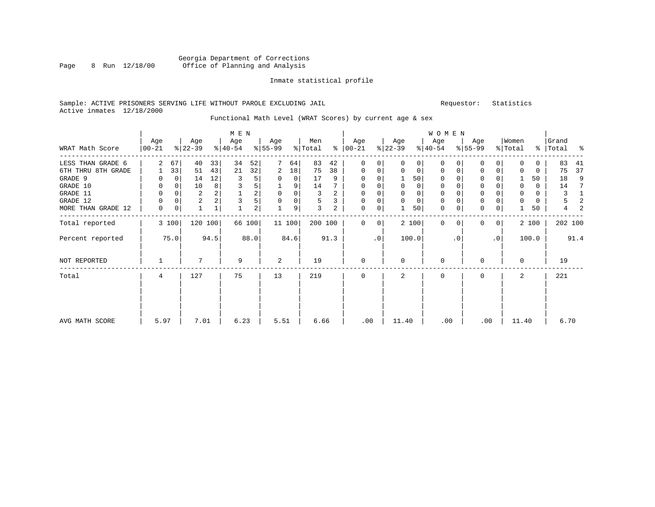#### Georgia Department of Corrections Page 8 Run 12/18/00 Office of Planning and Analysis

#### Inmate statistical profile

#### Sample: ACTIVE PRISONERS SERVING LIFE WITHOUT PAROLE EXCLUDING JAIL Requestor: Statistics Active inmates 12/18/2000

### Functional Math Level (WRAT Scores) by current age & sex

|                    |                  |             |                  |         | M E N            |                |                  |        |                |                |                |           |                  |             | W O M E N        |           |                  |                |                  |            |                |      |
|--------------------|------------------|-------------|------------------|---------|------------------|----------------|------------------|--------|----------------|----------------|----------------|-----------|------------------|-------------|------------------|-----------|------------------|----------------|------------------|------------|----------------|------|
| WRAT Math Score    | Age<br>$00 - 21$ |             | Age<br>$ 22-39 $ |         | Age<br>$ 40-54 $ |                | Age<br>$8 55-99$ |        | Men<br>% Total | ⊱              | Age<br>  00-21 |           | Age<br>$ 22-39 $ |             | Age<br>$ 40-54 $ |           | Age<br>$8 55-99$ |                | Women<br>% Total | <u>%  </u> | Grand<br>Total | ႜ    |
| LESS THAN GRADE 6  | 2                | 67          | 40               | 33      | 34               | 52             |                  | 64     | 83             | 42             | $\mathbf 0$    | 0         | $\Omega$         | 0           | $\mathbf 0$      | $\Omega$  | 0                | 0              | $\Omega$         | 0          | 83             | 41   |
| 6TH THRU 8TH GRADE |                  | 33          | 51               | 43      | 21               | 32             | 2                | 18     | 75             | 38             | 0              | 0         | 0                | 0           | 0                | 0         | 0                | 0              | 0                | 0          | 75             | 37   |
| GRADE 9            | 0                | 0           | 14               | 12      | 3                | 5              | 0                | 0      | 17             | 9              | 0              |           |                  | 50          | 0                | $\cap$    | $\Omega$         |                |                  | 50         | 18             | 9    |
| GRADE 10           | 0                | $\mathbf 0$ | 10               | 8       |                  | 5              |                  | 9      | 14             | 7              | 0              | $\Omega$  | 0                | 0           | $\mathbf 0$      | $\Omega$  | 0                |                | $\mathbf 0$      | 0          | 14             | 7    |
| GRADE 11           | 0                | $\Omega$    | $\overline{2}$   |         |                  | $\overline{2}$ | $\mathbf 0$      | 0      | 3              | $\overline{a}$ | $\Omega$       |           | 0                | $\mathbf 0$ | $\mathbf 0$      | $\Omega$  | $\mathbf 0$      |                | 0                | 0          | 3              | 1    |
| GRADE 12           | 0                | 0           | 2                |         |                  | 5              |                  | 0      | 5              | 3              | $\mathbf 0$    |           | $\mathbf 0$      | $\mathbf 0$ | $\mathbf 0$      |           | 0                |                | $\Omega$         | 0          | 5              | 2    |
| MORE THAN GRADE 12 | 0                | 0           | $\mathbf{1}$     | 1       |                  | $\overline{a}$ |                  | 9      | 3              | 2              | 0              | 0         |                  | 50          | $\mathbf 0$      | 0         | $\mathbf 0$      | 0              |                  | 50         | 4              | 2    |
| Total reported     |                  | 3 100       |                  | 120 100 |                  | 66 100         |                  | 11 100 | 200 100        |                | $\Omega$       | 0         |                  | 2 100       | $\Omega$         | $\Omega$  | $\Omega$         | 0 <sup>1</sup> |                  | 2 100      | 202 100        |      |
| Percent reported   |                  | 75.0        |                  | 94.5    |                  | 88.0           |                  | 84.6   |                | 91.3           |                | $\cdot$ 0 |                  | 100.0       |                  | $\cdot$ 0 |                  | $\cdot$ 0      |                  | 100.0      |                | 91.4 |
| NOT REPORTED       |                  |             |                  |         | 9                |                | 2                |        | 19             |                | $\mathbf{0}$   |           | 0                |             | $\mathbf 0$      |           | $\Omega$         |                | $\mathbf 0$      |            | 19             |      |
| Total              | 4                |             | 127              |         | 75               |                | 13               |        | 219            |                | $\Omega$       |           | $\mathbf{2}$     |             | $\Omega$         |           | $\Omega$         |                | 2                |            | 221            |      |
|                    |                  |             |                  |         |                  |                |                  |        |                |                |                |           |                  |             |                  |           |                  |                |                  |            |                |      |
| AVG MATH SCORE     | 5.97             |             | 7.01             |         | 6.23             |                | 5.51             |        | 6.66           |                | .00            |           | 11.40            |             | .00              |           | .00              |                | 11.40            |            | 6.70           |      |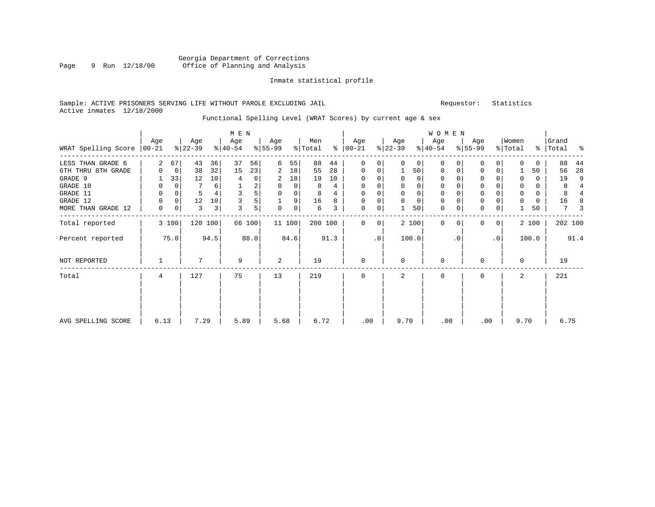#### Georgia Department of Corrections Page 9 Run 12/18/00 Office of Planning and Analysis

#### Inmate statistical profile

#### Sample: ACTIVE PRISONERS SERVING LIFE WITHOUT PAROLE EXCLUDING JAIL Requestor: Statistics Active inmates 12/18/2000

### Functional Spelling Level (WRAT Scores) by current age & sex

| WRAT Spelling Score | Age<br>  00-21 |       | Age<br>$ 22-39 $ |         | M E N<br>Age<br>$ 40-54 $ |        | Age<br>$ 55-99 $ |       | Men<br>% Total |      | Age<br>$\frac{1}{6}$   00-21 |             | Age<br>$ 22-39 $ |             | W O M E N<br>Age<br>$ 40-54 $ |           | Age<br>$8 55-99$ |              | Women<br>% Total |       | Grand<br>%   Total | ಿ              |
|---------------------|----------------|-------|------------------|---------|---------------------------|--------|------------------|-------|----------------|------|------------------------------|-------------|------------------|-------------|-------------------------------|-----------|------------------|--------------|------------------|-------|--------------------|----------------|
|                     |                |       |                  |         |                           |        |                  |       |                |      |                              |             |                  |             |                               |           |                  |              |                  |       |                    |                |
| LESS THAN GRADE 6   | 2              | 67    | 43               | 36      | 37                        | 56     | 6                | 55    | 88             | 44   | $\Omega$                     | 0           | $\Omega$         | 0           | $\Omega$                      | $\Omega$  | 0                | $\Omega$     | $\Omega$         | 0     | 88                 | 44             |
| 6TH THRU 8TH GRADE  | $\Omega$       | 0     | 38               | 32      | 15                        | 23     | 2                | 18    | 55             | 28   | $\mathbf 0$                  | 0           |                  | 50          | $\mathbf 0$                   | 0         | 0                | 0            |                  | 50    | 56                 | 28             |
| GRADE 9             |                | 33    | 12               | 10      | 4                         | 6      | 2                | 18    | 19             | 10   |                              |             | $\Omega$         | 0           | $\mathbf 0$                   |           | 0                |              | $\mathbf 0$      | 0     | 19                 | 9              |
| GRADE 10            | 0              | 0     |                  | 6       |                           | 2      | 0                | 0     | 8              | 4    | $\Omega$                     | 0           | $\mathbf 0$      | $\mathbf 0$ | $\mathbf 0$                   | $\Omega$  | 0                |              | $\mathbf 0$      | 0     | 8                  | $\overline{4}$ |
| GRADE 11            | 0              | 0     |                  |         | 3                         | 5      | $\mathbf 0$      | 0     | 8              | 4    |                              |             | $\mathbf 0$      | 0           | $\mathbf 0$                   |           | 0                |              | $\mathbf 0$      | 0     | 8                  |                |
| GRADE 12            | 0              | 0     | 12               | 10      | 3                         | 5      |                  | 9     | 16             | 8    | $\Omega$                     | 0           | $\mathbf 0$      | $\mathbf 0$ | $\mathbf 0$                   |           | $\mathsf 0$      |              | $\mathbf 0$      | 0     | 16                 |                |
| MORE THAN GRADE 12  | 0              | 0     | 3                | 3       | 3                         | 5      | 0                | 0     | 6              | 3    | $\mathbf 0$                  | $\mathbf 0$ |                  | 50          | $\mathbf 0$                   | 0         | $\mathbf 0$      | 0            |                  | 50    | 7                  | 3              |
| Total reported      |                | 3 100 |                  | 120 100 |                           | 66 100 |                  | 11100 | 200 100        |      | $\Omega$                     | $\Omega$    |                  | 2 100       | $\Omega$                      | $\Omega$  | $\Omega$         | $\mathbf{0}$ |                  | 2 100 |                    | 202 100        |
| Percent reported    |                | 75.0  |                  | 94.5    |                           | 88.0   |                  | 84.6  |                | 91.3 |                              | $\cdot$ 0   |                  | 100.0       |                               | $\cdot$ 0 |                  | $\cdot$ 0    |                  | 100.0 |                    | 91.4           |
| NOT REPORTED        |                |       | 7                |         | 9                         |        | 2                |       | 19             |      | $\mathbf 0$                  |             | $\mathbf 0$      |             | $\mathbf 0$                   |           | 0                |              | 0                |       | 19                 |                |
| Total               | 4              |       | 127              |         | 75                        |        | 13               |       | 219            |      | $\mathbf 0$                  |             | 2                |             | $\mathbf 0$                   |           | 0                |              | 2                |       | 221                |                |
| AVG SPELLING SCORE  | 6.13           |       | 7.29             |         | 5.89                      |        | 5.68             |       | 6.72           |      | .00                          |             | 9.70             |             | .00                           |           | .00              |              | 9.70             |       | 6.75               |                |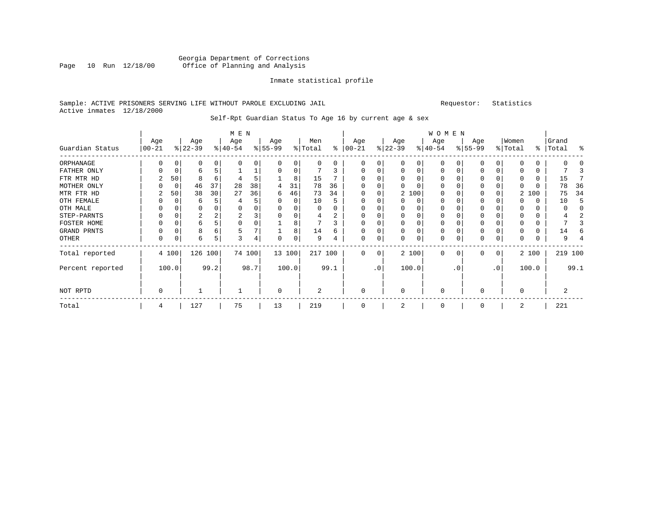#### Georgia Department of Corrections Page 10 Run 12/18/00 Office of Planning and Analysis

#### Inmate statistical profile

#### Sample: ACTIVE PRISONERS SERVING LIFE WITHOUT PAROLE EXCLUDING JAIL Requestor: Statistics Active inmates 12/18/2000

### Self-Rpt Guardian Status To Age 16 by current age & sex

|                  |                 |          |                  |      | M E N            |        |                  |        |                |      |                 |             |                  |          | <b>WOMEN</b>     |             |                  |                |                  |       |                    |         |
|------------------|-----------------|----------|------------------|------|------------------|--------|------------------|--------|----------------|------|-----------------|-------------|------------------|----------|------------------|-------------|------------------|----------------|------------------|-------|--------------------|---------|
| Guardian Status  | Age<br>$ 00-21$ |          | Age<br>$ 22-39 $ |      | Age<br>$ 40-54 $ |        | Age<br>$8 55-99$ |        | Men<br>% Total | နွ   | Age<br>$ 00-21$ |             | Age<br>$ 22-39 $ |          | Age<br>$ 40-54 $ |             | Age<br>$8 55-99$ |                | Women<br>% Total |       | Grand<br>%   Total | း       |
| ORPHANAGE        |                 |          | 0                |      |                  | 0      |                  |        | U              | 0    | O               | 0           |                  | 0        | $\Omega$         |             | O                | 0              |                  |       |                    |         |
| FATHER ONLY      |                 |          | 6                |      |                  |        |                  |        |                |      |                 | 0           |                  | 0        | $\Omega$         |             | $\Omega$         |                |                  | 0     |                    |         |
| FTR MTR HD       |                 | 50       | 8                | 6    |                  | 5      |                  | 8      | 15             |      | O               |             |                  |          | $\Omega$         |             | $\Omega$         |                | 0                | 0     | 15                 |         |
| MOTHER ONLY      |                 | 0        | 46               | 37   | 28               | 38     | 4                | 31     | 78             | 36   | O               | 0           |                  |          | 0                |             | 0                |                | $\Omega$         | 0     | 78                 | 36      |
| MTR FTR HD       |                 | 50       | 38               | 30   | 27               | 36     | 6                | 46     | 73             | 34   | $\Omega$        | 0           |                  | 2 100    | 0                |             | $\Omega$         |                | 2                | 100   | 75                 | 34      |
| OTH FEMALE       |                 | $\Omega$ | 6                |      |                  | 5      | $\Omega$         | 0      | 10             |      | 0               | 0           |                  | 0        | 0                | $\Omega$    | $\Omega$         |                | $\Omega$         | 0     | 10                 | .5      |
| OTH MALE         |                 |          | 0                |      | 0                | 0      |                  |        | U              |      | $\Omega$        | U           |                  |          | $\Omega$         | C           | $\Omega$         |                | $\Omega$         | 0     |                    |         |
| STEP-PARNTS      |                 |          | 2                | 2    | 2                | 3      | $\Omega$         |        | 4              | 2    | 0               | O           |                  |          | 0                | C           | $\Omega$         |                | $\Omega$         | 0     |                    |         |
| FOSTER HOME      |                 |          | 6                |      | $\Omega$         | 0      |                  | 8      |                |      | O               | 0           |                  |          | $\Omega$         |             | $\Omega$         |                | $\Omega$         | 0     |                    |         |
| GRAND PRNTS      | 0               |          | 8                | 6    |                  | 7      |                  | 8      | 14             | 6.   | 0               | 0           |                  | $\Omega$ | $\Omega$         | $\Omega$    | 0                |                |                  | 0     | 14                 |         |
| OTHER            | 0               |          | 6                | 5    | 3                | 4      |                  |        | 9              |      | $\Omega$        | 0           |                  | 0        | 0                | $\Omega$    | 0                | 0              | $\Omega$         | 0     |                    |         |
| Total reported   |                 | 4 100    | 126 100          |      |                  | 74 100 |                  | 13 100 | 217 100        |      | $\Omega$        | $\mathbf 0$ |                  | 2 100    | $\mathbf 0$      | $\mathbf 0$ | 0                | $\overline{0}$ |                  | 2 100 |                    | 219 100 |
| Percent reported |                 | 100.0    |                  | 99.2 |                  | 98.7   |                  | 100.0  |                | 99.1 |                 | $\cdot$ 0   |                  | 100.0    |                  | . 0         |                  | $\cdot$ 0      |                  | 100.0 |                    | 99.1    |
| NOT RPTD         | 0               |          |                  |      |                  |        | $\mathbf 0$      |        | $\overline{2}$ |      | $\mathbf 0$     |             | $\Omega$         |          | $\mathbf 0$      |             | $\Omega$         |                | $\mathbf 0$      |       |                    |         |
| Total            | 4               |          | 127              |      | 75               |        | 13               |        | 219            |      | $\Omega$        |             |                  |          | 0                |             | $\Omega$         |                | 2                |       | 221                |         |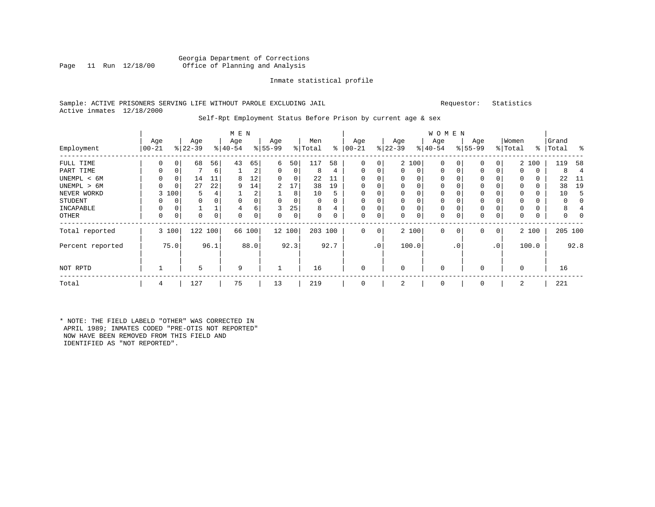#### Georgia Department of Corrections<br>Page 11 Run 12/18/00 Office of Planning and Analysis Office of Planning and Analysis

#### Inmate statistical profile

#### Sample: ACTIVE PRISONERS SERVING LIFE WITHOUT PAROLE EXCLUDING JAIL Requestor: Statistics Active inmates 12/18/2000

#### Self-Rpt Employment Status Before Prison by current age & sex

|                  |           |          |           |          | M E N     |      |           |          |         |          |            |         |           |       | W O M E N    |          |             |                |             |       |       |         |
|------------------|-----------|----------|-----------|----------|-----------|------|-----------|----------|---------|----------|------------|---------|-----------|-------|--------------|----------|-------------|----------------|-------------|-------|-------|---------|
|                  | Age       |          | Age       |          | Age       |      | Age       |          | Men     |          | Age        |         | Age       |       | Age          |          | Age         |                | Women       |       | Grand |         |
| Employment       | $00 - 21$ |          | $ 22-39 $ |          | $8 40-54$ |      | $8 55-99$ |          | % Total | ွေ       | $ 00 - 21$ |         | $ 22-39 $ |       | $ 40-54 $    |          | $8 55-99$   |                | % Total     | %     | Total | ം ക     |
| FULL TIME        | 0         | $\Omega$ | 68        | 56       | 43        | 65   | 6         | 50       | 117     | 58       | 0          | 0       |           | 2 100 | $\mathbf 0$  | $\Omega$ | 0           | 0              |             | 2 100 | 119   | 58      |
| PART TIME        | $\Omega$  | 0        |           | 6        |           | 2    | 0         | 0        | 8       | 4        | $\Omega$   | 0       | 0         | 0     | $\mathbf 0$  | $\Omega$ | 0           | 0              | 0           | 0     | 8     | 4       |
| UNEMPL < 6M      | 0         | 0        | 14        | 11       | 8         | 12   | 0         | 0        | 22      |          |            |         | 0         | 0     | 0            |          | 0           |                | $\Omega$    | 0     | 22    | -11     |
| UNEMPL > 6M      | U         | $\Omega$ | 27        | 22       | 9         | 14   | 2         | 17       | 38      | 19       |            |         | $\Omega$  | 0     | $\Omega$     |          | 0           |                | $\Omega$    | 0     | 38    | 19      |
| NEVER WORKD      | 3         | 100      | 5         |          |           | 2    |           | 8        | 10      | 5        |            |         | 0         | 0     | 0            |          | $\mathbf 0$ |                | $\Omega$    | 0     | 10    | 5       |
| <b>STUDENT</b>   |           | $\Omega$ | 0         | $\Omega$ |           |      | $\Omega$  | $\Omega$ | 0       | $\Omega$ | $\Omega$   |         | 0         | 0     | $\mathbf 0$  |          | $\Omega$    |                | $\Omega$    | 0     | 0     | 0       |
| INCAPABLE        |           | 0        |           |          |           | 6    | 3         | 25       | 8       | 4        |            |         | 0         | 0     | $\mathbf 0$  |          | 0           |                |             | 0     | 8     |         |
| OTHER            | $\Omega$  | 0        | 0         | 0        | O         | 0    | 0         | 0        | 0       | 0        | $\Omega$   | 0       | 0         | 0     | 0            | $\Omega$ | 0           | 0              | $\Omega$    | 0     | 0     |         |
| Total reported   |           | 3 100    | 122 100   |          | 66        | 100  |           | 12 100   | 203 100 |          | $\Omega$   | $\circ$ |           | 2 100 | $\mathbf{0}$ | 0        | 0           | 0 <sup>1</sup> |             | 2 100 |       | 205 100 |
| Percent reported |           | 75.0     |           | 96.1     |           | 88.0 |           | 92.3     |         | 92.7     |            | .0'     |           | 100.0 |              | . 0      |             | $\cdot$ 0      |             | 100.0 |       | 92.8    |
| NOT RPTD         |           |          | 5         |          | 9         |      |           |          | 16      |          | $\Omega$   |         | 0         |       | $\mathbf 0$  |          | $\Omega$    |                | $\mathbf 0$ |       | 16    |         |
| Total            | 4         |          | 127       |          | 75        |      | 13        |          | 219     |          |            |         | 2         |       | $\mathbf 0$  |          | $\Omega$    |                | 2           |       | 221   |         |

\* NOTE: THE FIELD LABELD "OTHER" WAS CORRECTED IN APRIL 1989; INMATES CODED "PRE-OTIS NOT REPORTED" NOW HAVE BEEN REMOVED FROM THIS FIELD AND IDENTIFIED AS "NOT REPORTED".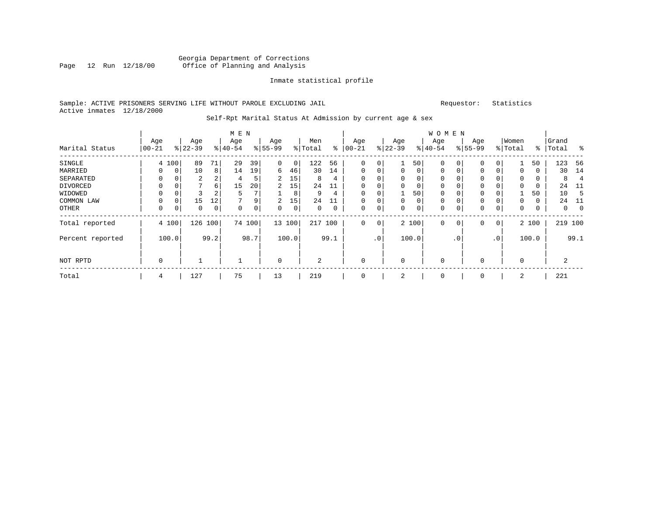#### Georgia Department of Corrections<br>Page 12 Run 12/18/00 Office of Planning and Analysis Page 12 Run 12/18/00 Office of Planning and Analysis

#### Inmate statistical profile

#### Sample: ACTIVE PRISONERS SERVING LIFE WITHOUT PAROLE EXCLUDING JAIL Requestor: Statistics Active inmates 12/18/2000

#### Self-Rpt Marital Status At Admission by current age & sex

|                  |             |                |           |      | M E N     |        |                |       |                |      |          |                 |          |             | W O M E N    |              |             |                |             |               |          |                |
|------------------|-------------|----------------|-----------|------|-----------|--------|----------------|-------|----------------|------|----------|-----------------|----------|-------------|--------------|--------------|-------------|----------------|-------------|---------------|----------|----------------|
|                  | Age         |                | Age       |      | Age       |        | Age            |       | Men            |      | Age      |                 | Age      |             | Age          |              | Age         |                | Women       |               | Grand    |                |
| Marital Status   | $ 00 - 21$  |                | $ 22-39 $ |      | $8 40-54$ |        | $8155 - 99$    |       | % Total        | ႜ    | $ 00-21$ |                 | $ 22-39$ |             | $ 40-54 $    |              | $8155 - 99$ |                | % Total     | $\frac{8}{6}$ | Total    | ಿ              |
| SINGLE           |             | 4 100          | 89        | 71   | 29        | 39     | 0              | 0     | 122            | 56   | $\Omega$ | 0               |          | 50          | $\mathbf 0$  | $\Omega$     | $\Omega$    | 0              |             | 50            | 123      | 56             |
| MARRIED          |             | $\overline{0}$ | 10        | 8    | 14        | 19     | 6              | 46    | 30             | 14   | 0        | 0               | 0        | 0           | $\mathbf 0$  | $\mathbf 0$  | $\mathbf 0$ | 0              | 0           | 0             | 30       | 14             |
| SEPARATED        | 0           | 0              | 2         |      | 4         | 5      | 2              | 15    | 8              | 4    | $\Omega$ | 0               | 0        | 0           | 0            |              | 0           |                | 0           | 0             | 8        | $\overline{4}$ |
| DIVORCED         | 0           | 0              | 7         | 6    | 15        | 20     | $\overline{2}$ | 15    | 24             | 11   |          | 0               | 0        | 0           | 0            |              | 0           |                | $\Omega$    | 0             | 24       | -11            |
| WIDOWED          |             |                |           | ∠    | 5         |        |                | 8     | 9              | 4    |          | 0               |          | 50          | 0            |              | 0           |                |             | 50            | 10       | -5             |
| COMMON LAW       |             | $\Omega$       | 15        | 12   |           | 9      | $\overline{2}$ | 15    | 2.4            | 11   |          | 0               | 0        | $\mathbf 0$ | $\mathbf 0$  |              | $\Omega$    |                | $\Omega$    | 0             | 24       | -11            |
| OTHER            | $\Omega$    | 0              | 0         | 0    | $\Omega$  | 0      | $\Omega$       | 0     | $\Omega$       | 0    | 0        | 0               | 0        | 0           | $\mathbf 0$  | $\mathsf{C}$ | 0           | 0              | $\Omega$    | 0             | $\Omega$ | 0              |
| Total reported   |             | 4 100          | 126       | 100  |           | 74 100 | 13 100         |       | 217            | 100  | 0        | 0               |          | 2 100       | $\mathbf{0}$ | $\mathbf 0$  | $\mathbf 0$ | 0 <sup>1</sup> |             | 2 100         | 219 100  |                |
| Percent reported |             | 100.0          |           | 99.2 |           | 98.7   |                | 100.0 |                | 99.1 |          | .0 <sup>1</sup> |          | 100.0       |              | . 0          |             | $\cdot$ 0      |             | 100.0         |          | 99.1           |
| NOT RPTD         | $\mathbf 0$ |                |           |      |           |        | $\mathbf 0$    |       | $\overline{2}$ |      | $\Omega$ |                 | $\Omega$ |             | $\mathbf 0$  |              | $\Omega$    |                | $\mathbf 0$ |               |          |                |
| Total            | 4           |                | 127       |      | 75        |        | 13             |       | 219            |      | 0        |                 | 2        |             | 0            |              | $\mathbf 0$ |                | 2           |               | 221      |                |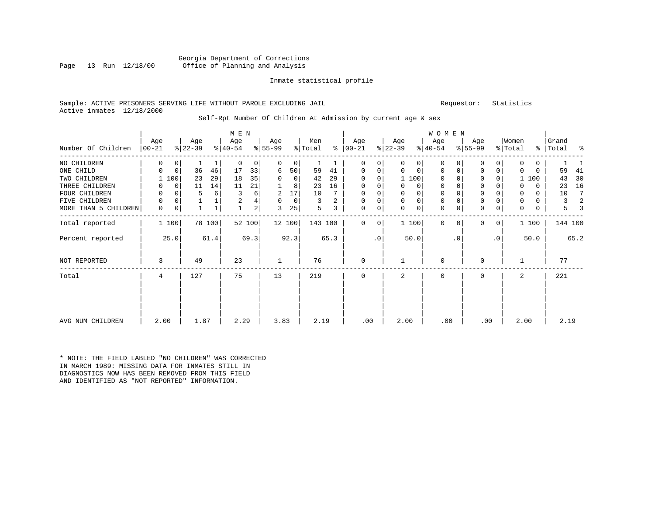#### Georgia Department of Corrections<br>Page 13 Run 12/18/00 Office of Planning and Analysis Office of Planning and Analysis

#### Inmate statistical profile

#### Sample: ACTIVE PRISONERS SERVING LIFE WITHOUT PAROLE EXCLUDING JAIL Requestor: Statistics Active inmates 12/18/2000

#### Self-Rpt Number Of Children At Admission by current age & sex

|                      |            |             |          |        | M E N     |                         |           |                |         |      |               |           |           |             | WOMEN       |           |              |                 |             |          |           |         |
|----------------------|------------|-------------|----------|--------|-----------|-------------------------|-----------|----------------|---------|------|---------------|-----------|-----------|-------------|-------------|-----------|--------------|-----------------|-------------|----------|-----------|---------|
|                      | Age        |             | Age      |        | Age       |                         | Age       |                | Men     |      | Age           |           | Age       |             | Age         |           | Age          |                 | Women       |          | Grand     |         |
| Number Of Children   | $ 00 - 21$ |             | $ 22-39$ |        | $ 40-54 $ |                         | $8 55-99$ |                | % Total |      | $8   00 - 21$ |           | $ 22-39 $ |             | $ 40-54 $   |           | $8 55-99$    |                 | % Total     |          | %   Total | နွ      |
| NO CHILDREN          | 0          | 0           |          |        | $\Omega$  | $\overline{0}$          | $\Omega$  | 0              |         |      | $\Omega$      | 0         | $\Omega$  | 0           | $\Omega$    |           | U            | $\Omega$        | 0           | 0        |           |         |
| ONE CHILD            | 0          | $\mathbf 0$ | 36       | 46     | 17        | 33                      | 6         | 50             | 59      | 41   | $\Omega$      | 0         | $\Omega$  | $\Omega$    | 0           | 0         | $\Omega$     | 0               | 0           | 0        | 59        | 41      |
| TWO CHILDREN         | 1          | 100         | 23       | 29     | 18        | 35                      | $\Omega$  | $\overline{0}$ | 42      | 29   | $\Omega$      | $\Omega$  |           | 1 100       | $\Omega$    |           | 0            | 0               |             | 1 100    | 43        | 30      |
| THREE CHILDREN       |            | $\mathbf 0$ | 11       | 14     | 11        | 21                      |           | 8 <sup>1</sup> | 23      | 16   | $\Omega$      | 0         | $\Omega$  | $\Omega$    | $\mathbf 0$ |           | $\mathbf{0}$ |                 | 0           | $\Omega$ | 23        | 16      |
| FOUR CHILDREN        | 0          | 0           | 5        | 6      | 3         | 6                       | 2         | 17             | 10      |      | 0             | 0         |           | 0           | 0           |           | $\mathbf{0}$ |                 | $\mathbf 0$ | 0        | 10        | 7       |
| FIVE<br>CHILDREN     | 0          | 0           |          |        | 2         | 4                       | 0         | 0              | 3       | 2    | $\mathbf 0$   | 0         | 0         | $\mathbf 0$ | $\mathbf 0$ |           | $\mathbf 0$  |                 | $\mathbf 0$ | 0        | 3         | 2       |
| MORE THAN 5 CHILDREN | 0          | 0           |          |        |           | $\overline{\mathbf{c}}$ | 3         | 25             | 5       | 3    | $\mathbf 0$   | 0         | $\Omega$  | 0           | $\mathbf 0$ | 0         | $\mathbf 0$  | 0               | 0           | 0        | 5         | 3       |
| Total reported       |            | 1 100       |          | 78 100 |           | 52 100                  |           | 12 100         | 143 100 |      | $\Omega$      | 0         |           | 1 100       | $\Omega$    | $\Omega$  | $\Omega$     | $\circ$         |             | 1 100    |           | 144 100 |
| Percent reported     |            | 25.0        |          | 61.4   |           | 69.3                    |           | 92.3           |         | 65.3 |               | $\cdot$ 0 |           | 50.0        |             | $\cdot$ 0 |              | .0 <sup>1</sup> |             | 50.0     |           | 65.2    |
| NOT REPORTED         | 3          |             | 49       |        | 23        |                         |           |                | 76      |      | $\Omega$      |           |           |             | $\Omega$    |           | U            |                 |             |          | 77        |         |
| Total                | 4          |             | 127      |        | 75        |                         | 13        |                | 219     |      | $\Omega$      |           | 2         |             | $\mathbf 0$ |           | $\Omega$     |                 | 2           |          | 221       |         |
|                      |            |             |          |        |           |                         |           |                |         |      |               |           |           |             |             |           |              |                 |             |          |           |         |
| AVG NUM CHILDREN     | 2.00       |             | 1.87     |        | 2.29      |                         | 3.83      |                | 2.19    |      | .00           |           | 2.00      |             | .00         |           | .00          |                 | 2.00        |          | 2.19      |         |

\* NOTE: THE FIELD LABLED "NO CHILDREN" WAS CORRECTED IN MARCH 1989: MISSING DATA FOR INMATES STILL IN DIAGNOSTICS NOW HAS BEEN REMOVED FROM THIS FIELD AND IDENTIFIED AS "NOT REPORTED" INFORMATION.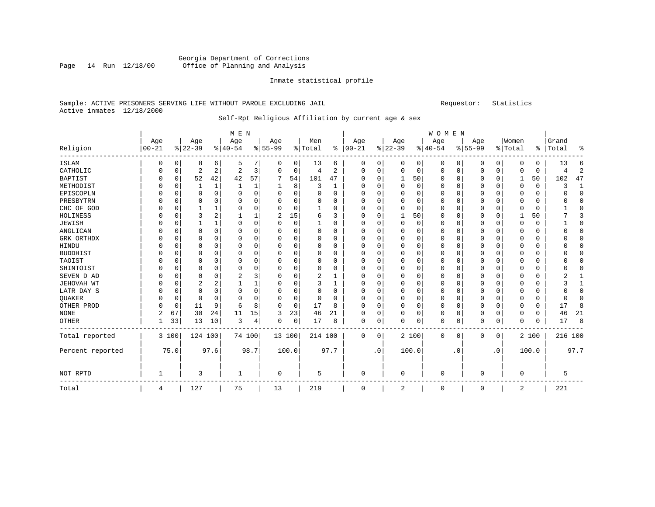#### Georgia Department of Corrections<br>Page 14 Run 12/18/00 Office of Planning and Analysis Page 14 Run 12/18/00 Office of Planning and Analysis

#### Inmate statistical profile

#### Sample: ACTIVE PRISONERS SERVING LIFE WITHOUT PAROLE EXCLUDING JAIL Requestor: Statistics Active inmates 12/18/2000

### Self-Rpt Religious Affiliation by current age & sex

|                  |            |             |                |                | M E N          |      |          |             |          |          |          |             |          |          | WOMEN    |           |           |             |             |          |         |          |
|------------------|------------|-------------|----------------|----------------|----------------|------|----------|-------------|----------|----------|----------|-------------|----------|----------|----------|-----------|-----------|-------------|-------------|----------|---------|----------|
|                  | Age        |             | Age            |                | Age            |      | Age      |             | Men      |          | Age      |             | Age      |          | Age      |           | Age       |             | Women       |          | Grand   |          |
| Religion         | $ 00 - 21$ |             | $ 22-39$       |                | $8 40-54$      |      | $ 55-99$ |             | % Total  | ႜ        | $ 00-21$ |             | $ 22-39$ |          | $ 40-54$ |           | $8 55-99$ |             | % Total     | နွ       | Total   | ႜ        |
| <b>ISLAM</b>     | 0          | 0           | 8              | 6              | 5              |      | 0        | 0           | 13       | 6        | 0        | 0           | 0        | 0        | 0        | 0         | 0         | 0           | 0           | 0        | 13      | 6        |
| CATHOLIC         | 0          | 0           | $\overline{2}$ | 2              | $\overline{c}$ | 3    | 0        | 0           | 4        | 2        | $\Omega$ | 0           | 0        | 0        | $\Omega$ | 0         | 0         | $\mathbf 0$ | $\Omega$    | 0        | 4       | 2        |
| <b>BAPTIST</b>   | 0          | 0           | 52             | 42             | 42             | 57   |          | 54          | 101      | 47       | $\Omega$ | $\Omega$    | 1        | 50       | $\Omega$ | 0         | 0         | $\Omega$    |             | 50       | 102     | 47       |
| METHODIST        |            | $\mathbf 0$ |                | $\mathbf{1}$   | -1             | 1    |          | 8           | 3        | 1        | $\Omega$ | $\Omega$    | 0        | $\Omega$ | $\Omega$ | $\Omega$  | 0         | $\Omega$    | $\Omega$    | $\Omega$ | 3       | 1        |
| EPISCOPLN        |            | $\Omega$    | $\Omega$       | $\Omega$       | $\Omega$       | 0    | 0        | $\Omega$    | $\Omega$ | $\Omega$ | $\Omega$ | $\Omega$    | $\Omega$ | 0        | $\Omega$ | $\Omega$  | 0         | $\Omega$    | $\Omega$    | $\Omega$ | U       | $\Omega$ |
| PRESBYTRN        |            | $\mathbf 0$ | O              | $\Omega$       | 0              | 0    | O        | $\mathbf 0$ | $\Omega$ | 0        | $\Omega$ |             | $\Omega$ | O        | $\Omega$ | $\Omega$  | 0         | $\Omega$    | $\Omega$    | $\Omega$ |         | $\Omega$ |
| CHC OF GOD       | N          | $\mathbf 0$ |                | 1              | 0              | 0    | $\Omega$ | 0           |          | $\Omega$ | O        | O           | O        | 0        | $\Omega$ | 0         | 0         | 0           | $\Omega$    | 0        |         | 0        |
| HOLINESS         |            | 0           | 3              | $\overline{2}$ |                |      | 2        | 15          | 6        | 3        | $\Omega$ |             |          | 50       | $\Omega$ | $\Omega$  | 0         | $\Omega$    |             | 50       |         | 3        |
| <b>JEWISH</b>    | N          | 0           | 1              | $\mathbf{1}$   | $\Omega$       | 0    | O        | 0           | 1        | $\Omega$ | $\Omega$ | O           | $\Omega$ | 0        | $\Omega$ | $\Omega$  | 0         | $\Omega$    | $\Omega$    | $\Omega$ |         | $\Omega$ |
| ANGLICAN         |            | $\mathbf 0$ | $\Omega$       | $\Omega$       | $\Omega$       | 0    | O        | $\mathbf 0$ | $\Omega$ | $\Omega$ | $\Omega$ | $\Omega$    | $\Omega$ | 0        | $\Omega$ | $\Omega$  | 0         | $\Omega$    | $\Omega$    | $\Omega$ |         | $\Omega$ |
| GRK ORTHDX       |            | 0           | 0              | $\Omega$       | $\Omega$       | 0    | O        | 0           | 0        | $\Omega$ | $\Omega$ | $\Omega$    | O        | 0        | $\Omega$ | $\Omega$  | 0         | $\Omega$    | $\Omega$    | $\Omega$ |         | $\Omega$ |
| HINDU            |            | 0           | 0              | 0              | 0              | 0    | O        | $\mathbf 0$ | 0        | 0        | 0        |             | $\Omega$ | 0        | 0        | $\Omega$  | 0         | $\Omega$    | $\Omega$    | 0        |         | 0        |
| <b>BUDDHIST</b>  |            | 0           | O              | $\Omega$       | 0              | 0    | O        | $\mathbf 0$ | $\Omega$ | $\Omega$ | O        | $\Omega$    | O        | $\Omega$ | 0        | $\Omega$  | 0         | $\Omega$    | $\Omega$    | $\Omega$ |         | $\Omega$ |
| TAOIST           | O          | $\mathbf 0$ | O              | $\Omega$       | 0              | 0    | 0        | 0           | $\Omega$ | $\Omega$ | $\Omega$ |             | $\Omega$ | $\Omega$ | $\Omega$ | $\Omega$  | 0         | $\Omega$    | $\Omega$    | $\Omega$ |         | $\Omega$ |
| SHINTOIST        | O          | $\mathbf 0$ | 0              | 0              | $\mathbf 0$    | 0    | O        | 0           | $\Omega$ | $\Omega$ | $\Omega$ | O           | C        | O        | $\Omega$ | $\Omega$  | 0         | $\Omega$    | $\Omega$    | 0        |         | 0        |
| SEVEN D AD       | 0          | 0           | $\Omega$       | $\Omega$       | $\overline{2}$ | 3    | $\Omega$ | 0           | 2        | 1        | $\Omega$ | O           | $\Omega$ | 0        | $\Omega$ | $\Omega$  | 0         | $\Omega$    | $\Omega$    | $\Omega$ | 2       | 1        |
| JEHOVAH WT       | 0          | $\mathbf 0$ | $\overline{2}$ | 2              | 1              | 1    | O        | $\mathbf 0$ | 3        | 1        | $\Omega$ | O           | $\Omega$ | $\Omega$ | $\Omega$ | $\Omega$  | 0         | $\Omega$    | $\Omega$    | $\Omega$ | 3       | 1        |
| LATR DAY S       | 0          | $\mathbf 0$ | 0              | 0              | $\mathbf 0$    | 0    | 0        | 0           | 0        | 0        | $\Omega$ | $\Omega$    | O        | 0        | $\Omega$ | $\Omega$  | 0         | 0           | $\Omega$    | 0        |         | 0        |
| QUAKER           |            | $\mathbf 0$ | 0              | $\Omega$       | $\Omega$       | 0    | O        | $\mathbf 0$ | 0        | 0        | O        |             | 0        | $\Omega$ | $\Omega$ | $\Omega$  | 0         | $\Omega$    | $\Omega$    | 0        |         | $\Omega$ |
| OTHER PROD       |            | $\mathbf 0$ | 11             | 9              | 6              | 8    | 0        | 0           | 17       | 8        | O        | $\Omega$    | 0        | $\Omega$ | 0        | $\Omega$  | 0         | $\Omega$    | $\Omega$    | 0        | 17      | 8        |
| <b>NONE</b>      | 2          | 67          | 30             | 24             | 11             | 15   | 3        | 23          | 46       | 21       | $\Omega$ | $\Omega$    | O        | $\Omega$ | $\Omega$ | $\Omega$  | 0         | $\Omega$    | $\Omega$    | $\Omega$ | 46      | 21       |
| OTHER            |            | 33          | 13             | 10             | 3              | 4    | 0        | 0           | 17       | 8        | 0        | 0           | $\Omega$ | 0        | 0        | 0         | 0         | 0           | $\Omega$    | 0        | 17      | 8        |
| Total reported   |            | 3 100       | 124 100        |                | 74 100         |      | 13 100   |             | 214 100  |          | 0        | $\mathbf 0$ |          | 2 100    | 0        | 0         | 0         | 0           |             | 2 100    | 216 100 |          |
| Percent reported |            | 75.0        |                | 97.6           |                | 98.7 | 100.0    |             |          | 97.7     |          | $\cdot$ 0   |          | 100.0    |          | $\cdot$ 0 |           | $\cdot$ 0   |             | 100.0    |         | 97.7     |
| NOT RPTD         | 1          |             | 3              |                | 1              |      | 0        |             | 5        |          | 0        |             | 0        |          | 0        |           | 0         |             | $\mathbf 0$ |          | 5       |          |
| Total            | 4          |             | 127            |                | 75             |      | 13       |             | 219      |          | $\Omega$ |             | 2        |          | 0        |           | 0         |             | 2           |          | 221     |          |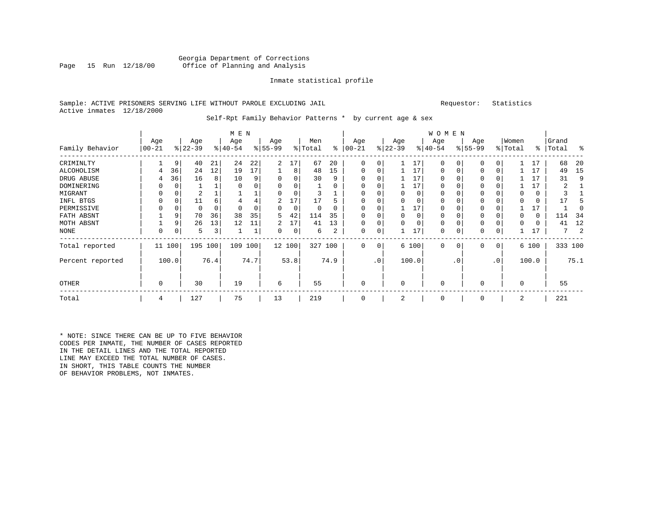#### Georgia Department of Corrections<br>Page 15 Run 12/18/00 Office of Planning and Analysis Office of Planning and Analysis

#### Inmate statistical profile

#### Sample: ACTIVE PRISONERS SERVING LIFE WITHOUT PAROLE EXCLUDING JAIL Requestor: Statistics Active inmates 12/18/2000

#### Self-Rpt Family Behavior Patterns \* by current age & sex

|                  |           |          |           |          | M E N     |      |          |        |                     |      |           |               |             |          | <b>WOMEN</b> |             |          |              |          |       |           |         |
|------------------|-----------|----------|-----------|----------|-----------|------|----------|--------|---------------------|------|-----------|---------------|-------------|----------|--------------|-------------|----------|--------------|----------|-------|-----------|---------|
|                  | Age       |          | Age       |          | Age       |      | Age      |        | Men                 |      | Age       |               | Age         |          | Age          |             | Age      |              | Women    |       | Grand     |         |
| Family Behavior  | $00 - 21$ |          | $ 22-39 $ |          | $ 40-54 $ |      | $ 55-99$ |        | $\frac{1}{2}$ Total | နွ   | $00 - 21$ | $\frac{8}{3}$ | $22 - 39$   |          | $ 40-54 $    |             | $ 55-99$ |              | % Total  |       | %   Total | ႜ       |
| CRIMINLTY        |           | 9        | 40        | 21       | 24        | 22   | 2        | 17     | 67                  | 20   | 0         | 0             |             | 17       | $\mathbf 0$  | $\Omega$    | $\Omega$ |              |          | 17    | 68        | 20      |
| ALCOHOLISM       | 4         | 36       | 24        | 12       | 19        | 17   |          | 8      | 48                  | 15   | 0         | 0             |             | 17       | 0            | $\Omega$    | $\Omega$ |              |          | 17    | 49        | 15      |
| DRUG ABUSE       |           | 36       | 16        | 8        | 10        | 9    | 0        | 0      | 30                  | 9    |           |               |             | 17       | 0            |             | 0        |              |          | 17    | 31        | 9       |
| DOMINERING       |           | 0        |           |          |           |      | $\Omega$ | 0      |                     | 0    |           |               |             | 17       | $\Omega$     | O           |          |              |          | 17    | 2         |         |
| MIGRANT          |           | 0        | 2         |          |           |      |          | 0      |                     |      |           |               | $\Omega$    | $\Omega$ | $\Omega$     | $\Omega$    | $\Omega$ |              | 0        | 0     |           |         |
| INFL BTGS        |           | $\Omega$ | 11        | 6        | 4         | 4    | 2        | 17     | 17                  | 5    |           |               | $\Omega$    | O        | U            |             |          |              |          | 0     | 17        |         |
| PERMISSIVE       |           | 0        |           | $\Omega$ | O         |      | 0        | 0      | $\Omega$            | 0    |           |               |             | 17       | $\Omega$     | n           | $\Omega$ |              |          | 17    |           |         |
| FATH ABSNT       |           | 9        | 70        | 36       | 38        | 35   | 5        | 42     | 114                 | 35   |           |               | $\Omega$    | 0        | 0            |             | 0        |              |          | 0     | 114       | 34      |
| MOTH ABSNT       |           | 9        | 26        | 13       | 12        | 11   | 2        | 17     | 41                  | 13   |           |               | 0           | 0        | $\mathbf 0$  | C           | $\Omega$ |              |          | 0     | 41        | 12      |
| NONE             | 0         | 0        | 5         | 3        |           |      | 0        | 0      | 6                   | 2    | 0         | 0             |             | 17       | 0            | 0           | 0        |              |          | 17    |           | 2       |
| Total reported   | 11 100    |          | 195 100   |          | 109       | 100  |          | 12 100 | 327 100             |      | 0         | 0             |             | 6 100    | $\mathbf{0}$ | $\mathbf 0$ | 0        | $\mathbf{0}$ |          | 6 100 |           | 333 100 |
| Percent reported |           | 100.0    |           | 76.4     |           | 74.7 |          | 53.8   |                     | 74.9 |           | $\cdot$ 0     |             | 100.0    |              | . 0         |          | $\cdot$ 0    |          | 100.0 |           | 75.1    |
| OTHER            | 0         |          | 30        |          | 19        |      | 6        |        | 55                  |      | 0         |               | $\mathbf 0$ |          | $\mathbf 0$  |             | 0        |              | $\Omega$ |       | 55        |         |
| Total            | 4         |          | 127       |          | 75        |      | 13       |        | 219                 |      | 0         |               | 2           |          | $\mathbf 0$  |             | $\Omega$ |              | 2        |       | 221       |         |

\* NOTE: SINCE THERE CAN BE UP TO FIVE BEHAVIOR CODES PER INMATE, THE NUMBER OF CASES REPORTED IN THE DETAIL LINES AND THE TOTAL REPORTED LINE MAY EXCEED THE TOTAL NUMBER OF CASES. IN SHORT, THIS TABLE COUNTS THE NUMBER OF BEHAVIOR PROBLEMS, NOT INMATES.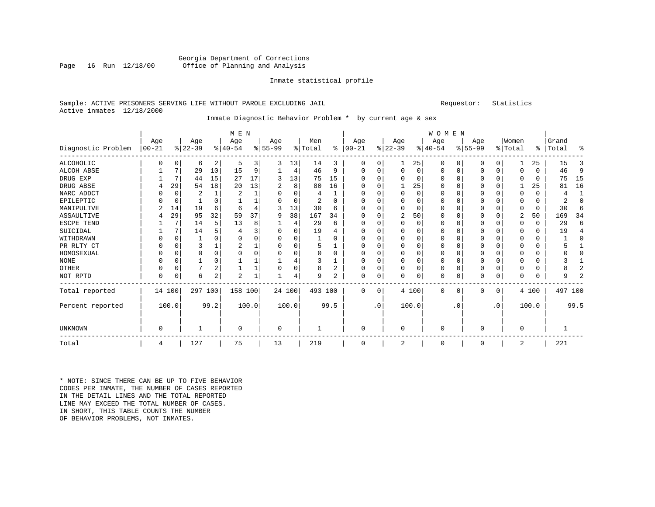#### Georgia Department of Corrections<br>Page 16 Run 12/18/00 Office of Planning and Analysis Office of Planning and Analysis

#### Inmate statistical profile

#### Sample: ACTIVE PRISONERS SERVING LIFE WITHOUT PAROLE EXCLUDING JAIL Requestor: Statistics Active inmates 12/18/2000

### Inmate Diagnostic Behavior Problem \* by current age & sex

|                    |                  |             |                  |                | M E N            |       |                 |          |                |                |                 |           |                  |          | <b>WOMEN</b>    |           |                  |           |                  |              |                    |                |
|--------------------|------------------|-------------|------------------|----------------|------------------|-------|-----------------|----------|----------------|----------------|-----------------|-----------|------------------|----------|-----------------|-----------|------------------|-----------|------------------|--------------|--------------------|----------------|
| Diagnostic Problem | Age<br>$ 00-21 $ |             | Age<br>$ 22-39 $ |                | Age<br>$8 40-54$ |       | Age<br>$ 55-99$ |          | Men<br>% Total | ៖              | Age<br>$ 00-21$ |           | Age<br>$ 22-39 $ |          | Age<br>$ 40-54$ |           | Age<br>$ 55-99 $ |           | Women<br>% Total |              | Grand<br>%   Total | ిక             |
| ALCOHOLIC          | 0                | 0           | 6                | 2              | 5                | 3     | 3               | 13       | 14             | 3              | O               | 0         |                  | 25       | $\Omega$        | 0         | 0                | $\Omega$  |                  | 25           | 15                 | 3              |
| ALCOH ABSE         |                  | 7           | 29               | 10             | 15               | 9     |                 | 4        | 46             | 9              | ∩               |           | $\Omega$         | $\Omega$ | $\Omega$        | $\Omega$  | 0                | 0         | $\Omega$         | $\Omega$     | 46                 | 9              |
| DRUG EXP           |                  | 7           | 44               | 15             | 27               | 17    |                 | 13       | 75             | 15             |                 |           | $\Omega$         | O        | O               | $\Omega$  | O                | $\Omega$  | ∩                | <sup>0</sup> | 75                 | 15             |
| DRUG ABSE          | 4                | 29          | 54               | 18             | 20               | 13    | 2               | 8        | 80             | 16             | ∩               |           |                  | 25       | $\Omega$        | $\Omega$  | O                | $\Omega$  |                  | 25           | 81                 | 16             |
| NARC ADDCT         |                  | $\Omega$    | 2                | $\mathbf{1}$   | $\overline{2}$   |       | U               | $\Omega$ | 4              | 1              |                 |           | $\Omega$         | $\Omega$ | $\Omega$        | $\Omega$  | O                | $\Omega$  | ∩                | $\Omega$     | 4                  | $\mathbf{1}$   |
| EPILEPTIC          |                  | 0           |                  | $\Omega$       |                  |       |                 | $\Omega$ | 2              | $\Omega$       | ∩               |           | O                | O        | $\Omega$        |           | O                | O         | $\Omega$         | $\Omega$     | $\mathfrak{D}$     | $\Omega$       |
| MANIPULTVE         |                  | 14          | 19               | 6              | -6               | 4     |                 | 13       | 30             | 6              | O               |           | $\Omega$         | $\Omega$ | 0               | $\Omega$  | O                | $\Omega$  | $\Omega$         | $\Omega$     | 30                 | 6              |
| <b>ASSAULTIVE</b>  |                  | 29          | 95               | 32             | 59               | 37    | 9               | 38       | 167            | 34             | O               |           | 2                | 50       | $\Omega$        | $\Omega$  | O                | $\Omega$  | 2                | 50           | 169                | 34             |
| ESCPE TEND         |                  | 7           | 14               | 5              | 13               | 8     |                 | 4        | 29             | 6              | $\Omega$        |           | $\Omega$         | $\Omega$ | $\Omega$        | $\Omega$  | O                | $\Omega$  | ∩                | $\Omega$     | 29                 | 6              |
| SUICIDAL           |                  | 7           | 14               |                |                  | 3     | O               | 0        | 19             | 4              |                 |           | 0                | O        | $\Omega$        | $\Omega$  | O                | $\Omega$  | $\Omega$         | $\Omega$     | 19                 | 4              |
| WITHDRAWN          | O                | $\Omega$    |                  | U              | $\Omega$         | O     | $\Omega$        | 0        |                | $\Omega$       | $\Omega$        |           | $\Omega$         | $\Omega$ | $\Omega$        | $\Omega$  | 0                | $\Omega$  | ∩                | $\Omega$     |                    | $\Omega$       |
| PR RLTY CT         | 0                | 0           | 3                |                | $\overline{c}$   |       | $\Omega$        | 0        | 5              | 1              | $\Omega$        |           | $\Omega$         | $\Omega$ | $\Omega$        | $\Omega$  | 0                | $\Omega$  | $\Omega$         | $\Omega$     |                    |                |
| HOMOSEXUAL         | O                | $\Omega$    | $\Omega$         | $\Omega$       | $\Omega$         | 0     | $\Omega$        | 0        | $\Omega$       | $\Omega$       | $\Omega$        |           | $\Omega$         | $\Omega$ | $\Omega$        | $\Omega$  | 0                | $\Omega$  | ∩                | $\Omega$     |                    | O              |
| <b>NONE</b>        | 0                | $\Omega$    |                  | $\Omega$       |                  |       |                 | 4        | 3              |                | $\Omega$        |           | 0                | 0        | $\Omega$        | $\Omega$  | 0                | $\Omega$  | $\Omega$         | $\Omega$     |                    |                |
| OTHER              | 0                | $\mathbf 0$ | 7                | $\overline{2}$ |                  |       | $\Omega$        | 0        | 8              | 2              | $\Omega$        |           | $\Omega$         | $\Omega$ | 0               | $\Omega$  | 0                | $\Omega$  | $\Omega$         | $\Omega$     |                    | 2              |
| NOT RPTD           | $\Omega$         | C           | 6                | $\overline{2}$ | $\overline{c}$   |       |                 | 4        | 9              | $\overline{2}$ | $\Omega$        | $\Omega$  |                  | 0        | $\Omega$        | $\Omega$  | N                | 0         | $\Omega$         |              | 9                  | $\overline{a}$ |
| Total reported     |                  | 14 100      | 297 100          |                | 158 100          |       |                 | 24 100   | 493 100        |                | $\Omega$        | $\Omega$  |                  | 4 100    | $\Omega$        | $\Omega$  | $\Omega$         | $\Omega$  |                  | 4 100        | 497 100            |                |
| Percent reported   |                  | 100.0       |                  | 99.2           |                  | 100.0 |                 | 100.0    |                | 99.5           |                 | $\cdot$ 0 |                  | 100.0    |                 | $\cdot$ 0 |                  | $\cdot$ 0 |                  | 100.0        |                    | 99.5           |
| UNKNOWN            | 0                |             |                  |                | 0                |       | 0               |          |                |                | $\Omega$        |           | $\Omega$         |          | $\Omega$        |           | 0                |           | $\Omega$         |              |                    |                |
| Total              | 4                |             | 127              |                | 75               |       | 13              |          | 219            |                | $\Omega$        |           | 2                |          | $\Omega$        |           | O                |           | 2                |              | 221                |                |

\* NOTE: SINCE THERE CAN BE UP TO FIVE BEHAVIOR CODES PER INMATE, THE NUMBER OF CASES REPORTED IN THE DETAIL LINES AND THE TOTAL REPORTED LINE MAY EXCEED THE TOTAL NUMBER OF CASES.IN SHORT, THIS TABLE COUNTS THE NUMBER OF BEHAVIOR PROBLEMS, NOT INMATES.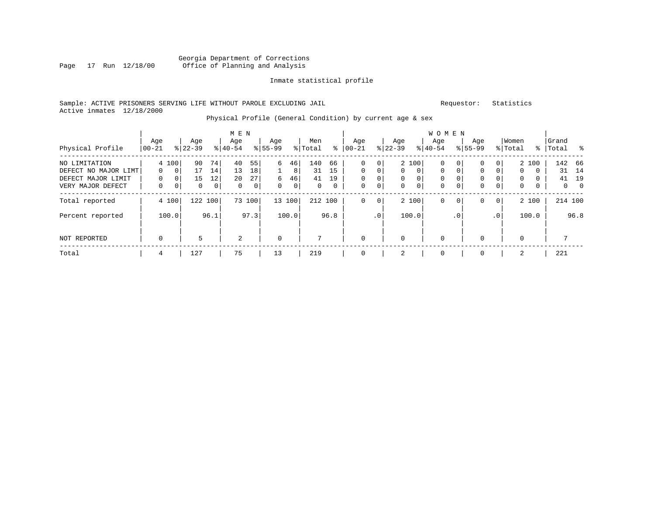#### Georgia Department of Corrections<br>Page 17 Run 12/18/00 Office of Planning and Analysis Page 17 Run 12/18/00 Office of Planning and Analysis

#### Inmate statistical profile

#### Sample: ACTIVE PRISONERS SERVING LIFE WITHOUT PAROLE EXCLUDING JAIL Requestor: Statistics Active inmates 12/18/2000

### Physical Profile (General Condition) by current age & sex

|                      |                 |             |                  |              | M E N            |                |                 |                |                |      |                 |                |                  |          | <b>WOMEN</b>     |                |                    |                |                  |          |                    |                            |
|----------------------|-----------------|-------------|------------------|--------------|------------------|----------------|-----------------|----------------|----------------|------|-----------------|----------------|------------------|----------|------------------|----------------|--------------------|----------------|------------------|----------|--------------------|----------------------------|
| Physical Profile     | Age<br>$ 00-21$ |             | Age<br>$ 22-39 $ |              | Age<br>$8 40-54$ |                | Age<br>$ 55-99$ |                | Men<br>% Total | ွေ   | Age<br>$ 00-21$ |                | Age<br>$ 22-39 $ |          | Age<br>$8 40-54$ |                | Age<br>$8155 - 99$ |                | Women<br>% Total |          | Grand<br>%   Total | ိ                          |
| NO LIMITATION        |                 | 4 100       | 90               | 74           | 40               | 55             | 6               | 46             | 140            | 66   | $\Omega$        | $\overline{0}$ |                  | 2 100    | 0                | 0              | 0                  | 0 <sup>1</sup> |                  | 2 100    |                    | 142 66                     |
| DEFECT NO MAJOR LIMT | $\Omega$        | $\mathbf 0$ | 17               | 14           | 13               | 18             |                 | 8              | 31             | 15   | $\Omega$        | $\Omega$       | $\Omega$         | $\Omega$ | $\Omega$         | $\Omega$       | 0                  | $\Omega$       | $\Omega$         | $\Omega$ | 31                 | 14                         |
| DEFECT MAJOR LIMIT   | $\Omega$        | 0           | 15               | 12           | 20               | 27             | 6               | 46             | 41             | 19   | $\Omega$        | $\Omega$       | $\Omega$         | 0        | $\Omega$         | $\Omega$       | 0                  | 0              | $\Omega$         | $\Omega$ | 41                 | 19                         |
| VERY MAJOR DEFECT    | 0               | 0           | 0                | $\mathbf{0}$ | $\Omega$         | 0 <sup>1</sup> | 0               | $\overline{0}$ | $\mathbf{0}$   | 0    | $\mathbf 0$     | 0              | $\mathbf{0}$     | 0        | $\mathbf 0$      | $\overline{0}$ | 0                  | 0              | $\mathbf{0}$     | 0        |                    | $\overline{0}$<br>$\Omega$ |
| Total reported       |                 | 4 100       | 122 100          |              | 73               | 100            |                 | 13 100         | 212 100        |      | 0               | $\overline{0}$ |                  | 2 100    | $\mathbf 0$      | 0 <sup>1</sup> | 0                  | 0 <sup>1</sup> |                  | 2 100    |                    | 214 100                    |
| Percent reported     |                 | 100.0       |                  | 96.1         |                  | 97.3           |                 | 100.0          |                | 96.8 |                 | .0'            |                  | 100.0    |                  | $\cdot$ 0      |                    | .0             |                  | 100.0    |                    | 96.8                       |
| NOT REPORTED         | $\mathbf 0$     |             | 5                |              | $\overline{2}$   |                | $\mathbf 0$     |                |                |      | $\Omega$        |                | $\Omega$         |          | $\mathbf 0$      |                | 0                  |                | $\Omega$         |          |                    |                            |
|                      |                 |             |                  |              |                  |                |                 |                |                |      |                 |                |                  |          |                  |                |                    |                |                  |          |                    |                            |
| Total                | 4               |             | 127              |              | 75               |                | 13              |                | 219            |      |                 |                | 2                |          | $\mathbf 0$      |                | 0                  |                | 2                |          | 221                |                            |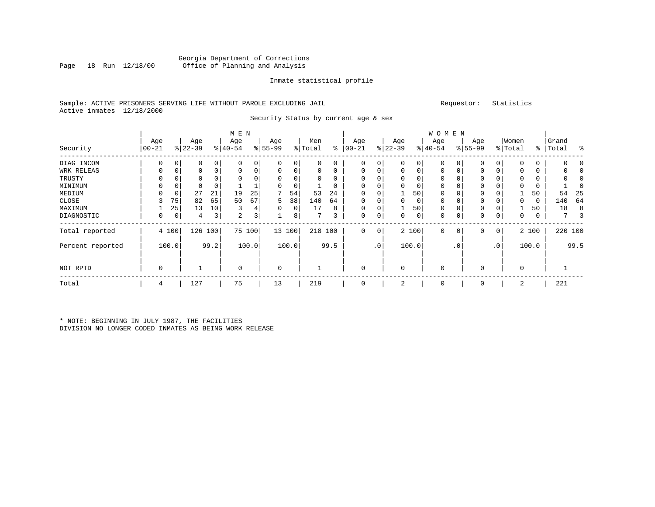#### Georgia Department of Corrections Office of Planning and Analysis

#### Inmate statistical profile

#### Sample: ACTIVE PRISONERS SERVING LIFE WITHOUT PAROLE EXCLUDING JAIL Requestor: Statistics Active inmates 12/18/2000

Security Status by current age & sex

|                  |                  |       |                  |      | M E N            |       |                  |          |                |          |                 |                 |                  |       | <b>WOMEN</b>     |                |                    |           |                  |             |                    |         |
|------------------|------------------|-------|------------------|------|------------------|-------|------------------|----------|----------------|----------|-----------------|-----------------|------------------|-------|------------------|----------------|--------------------|-----------|------------------|-------------|--------------------|---------|
| Security         | Age<br>$ 00-21 $ |       | Age<br>$ 22-39 $ |      | Age<br>$8 40-54$ |       | Age<br>$8 55-99$ |          | Men<br>% Total | ి        | Age<br>$ 00-21$ |                 | Age<br>$ 22-39 $ |       | Age<br>$ 40-54 $ |                | Age<br>$8155 - 99$ |           | Women<br>% Total |             | Grand<br>%   Total | း       |
| DIAG INCOM       | 0                | 0     | 0                | 0    |                  | 0     | 0                | 0        | 0              | 0        | $\mathbf 0$     | 0               | $\mathbf 0$      | 0     | $\mathbf 0$      | 0              | $\Omega$           | 0         | $\Omega$         | 0           |                    |         |
| WRK RELEAS       | 0                | 0     | 0                | 0    | $\mathbf 0$      | 0     | 0                | 0        | 0              | 0        | $\mathbf 0$     | 0               | $\mathbf 0$      | 0     | $\mathbf 0$      | 0              | 0                  | 0         | 0                | 0           |                    |         |
| TRUSTY           | 0                |       |                  |      |                  |       | 0                | 0        | 0              | 0        |                 |                 | $\Omega$         | 0     | 0                |                | 0                  | 0         | 0                | 0           |                    |         |
| MINIMUM          |                  |       |                  |      |                  |       | $\Omega$         | $\Omega$ |                | $\Omega$ |                 |                 |                  |       | $\Omega$         |                |                    |           | $\Omega$         |             |                    |         |
| MEDIUM           |                  | 0     | 27               | 21   | 19               | 25    |                  | 54       | 53             | 24       |                 |                 |                  | 50    | $\Omega$         |                | 0                  |           |                  | 50          | 54                 | 25      |
| CLOSE            |                  | 75    | 82               | 65   | 50               | 67    | 5                | 38       | 140            | 64       | $\Omega$        |                 | $\Omega$         | 0     | $\Omega$         |                | $\Omega$           |           | 0                | $\mathbf 0$ | 140                | 64      |
| MAXIMUM          |                  | 25    | 13               | 10   | 3                | 4     | 0                | 0        | 17             | 8        |                 |                 |                  | 50    | 0                |                | 0                  | 0         |                  | 50          | 18                 | 8       |
| DIAGNOSTIC       | 0                | 0     | 4                | 3    | 2                | 3     |                  | 8        |                | 3        | 0               | 0               | 0                | 0     | $\Omega$         | 0              | 0                  | 0         | 0                | 0           |                    | 3       |
| Total reported   |                  | 4 100 | 126              | 100  | 75               | 100   |                  | 13 100   | 218 100        |          | $\Omega$        | $\circ$         |                  | 2 100 | $\mathbf 0$      | 0 <sup>1</sup> | 0                  | 0         |                  | 2 100       |                    | 220 100 |
| Percent reported |                  | 100.0 |                  | 99.2 |                  | 100.0 |                  | 100.0    |                | 99.5     |                 | .0 <sup>1</sup> |                  | 100.0 |                  | $\cdot$ 0      |                    | $\cdot$ 0 |                  | 100.0       |                    | 99.5    |
| NOT RPTD         | 0                |       |                  |      | $\mathbf 0$      |       | 0                |          |                |          |                 |                 | $\Omega$         |       | 0                |                | 0                  |           | $\mathbf 0$      |             |                    |         |
| Total            | 4                |       | 127              |      | 75               |       | 13               |          | 219            |          |                 |                 | 2                |       | $\Omega$         |                | $\Omega$           |           | 2                |             | 221                |         |

\* NOTE: BEGINNING IN JULY 1987, THE FACILITIES DIVISION NO LONGER CODED INMATES AS BEING WORK RELEASE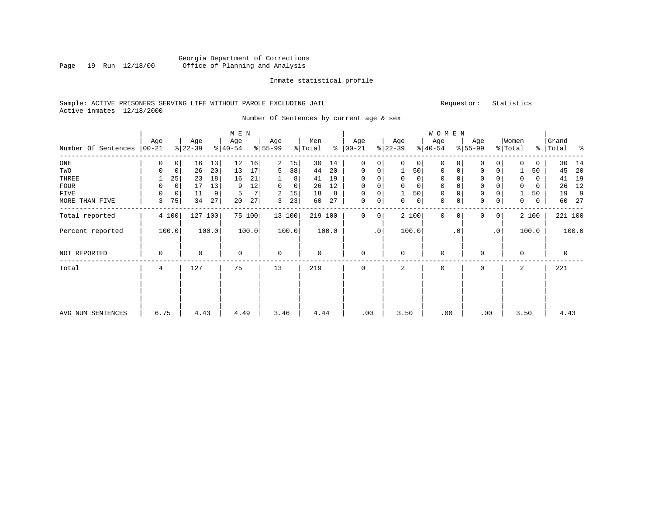#### Georgia Department of Corrections<br>Page 19 Run 12/18/00 Office of Planning and Analysis Page 19 Run 12/18/00 Office of Planning and Analysis

#### Inmate statistical profile

#### Sample: ACTIVE PRISONERS SERVING LIFE WITHOUT PAROLE EXCLUDING JAIL Requestor: Statistics Active inmates 12/18/2000

Number Of Sentences by current age & sex

|                     |          |             |           |       | M E N     |                |             |                |         |       |               |           |              |              | W O M E N   |           |             |                 |          |       |             |       |
|---------------------|----------|-------------|-----------|-------|-----------|----------------|-------------|----------------|---------|-------|---------------|-----------|--------------|--------------|-------------|-----------|-------------|-----------------|----------|-------|-------------|-------|
|                     | Age      |             | Age       |       | Age       |                | Age         |                | Men     |       | Age           |           | Age          |              | Age         |           | Age         |                 | Women    |       | Grand       |       |
| Number Of Sentences | $ 00-21$ |             | $ 22-39 $ |       | $ 40-54 $ |                | $8 55-99$   |                | % Total |       | $8   00 - 21$ |           | $ 22-39 $    |              | $ 40-54 $   |           | $ 55-99 $   |                 | % Total  |       | %   Total   | ႜ     |
| ONE                 | 0        | 0           | 16        | 13    | 12        | 16             | 2           | 15             | 30      | 14    | 0             | 0         | $\Omega$     | $\mathbf{0}$ | 0           |           | 0           | $\overline{0}$  | 0        | 0     | 30          | 14    |
| TWO                 | 0        | $\mathbf 0$ | 26        | 20    | 13        | 17             | 5           | 38             | 44      | 20    | $\mathbf 0$   | 0         |              | 50           | 0           |           | $\mathbf 0$ | 0               |          | 50    | 45          | 20    |
| THREE               |          | 25          | 23        | 18    | 16        | 21             |             | 8              | 41      | 19    | 0             | 0         | 0            | 0            | 0           |           | 0           |                 |          | 0     | 41          | 19    |
| FOUR                | $\Omega$ | 0           | 17        | 13    | 9         | 12             | $\Omega$    | $\overline{0}$ | 26      | 12    | $\Omega$      |           |              | $\Omega$     | $\Omega$    |           | $\Omega$    |                 | $\Omega$ | 0     | 26          | 12    |
| <b>FIVE</b>         | 0        | $\mathbf 0$ | 11        | 9     | 5         | 7 <sup>1</sup> | 2           | 15             | 18      | 8     | $\mathbf 0$   | 0         |              | 50           | 0           |           | $\mathbf 0$ |                 |          | 50    | 19          | 9     |
| MORE THAN FIVE      | 3        | 75          | 34        | 27    | 20        | 27             | 3           | 23             | 60      | 27    | $\mathbf 0$   | 0         | $\Omega$     | 0            | $\mathbf 0$ | 0         | $\mathbf 0$ | 0               | $\Omega$ | 0     | 60          | 27    |
| Total reported      |          | 4 100       | 127       | 100   |           | 75 100         |             | 13 100         | 219 100 |       | $\Omega$      | 0         |              | 2 100        | $\Omega$    | $\Omega$  | 0           | $\circ$         |          | 2 100 | 221 100     |       |
| Percent reported    |          | 100.0       |           | 100.0 |           | 100.0          |             | 100.0          |         | 100.0 |               | $\cdot$ 0 |              | 100.0        |             | $\cdot$ 0 |             | .0 <sup>1</sup> |          | 100.0 |             | 100.0 |
| NOT REPORTED        | 0        |             | $\Omega$  |       | 0         |                | $\mathbf 0$ |                | 0       |       | $\mathbf 0$   |           | $\Omega$     |              | $\mathbf 0$ |           | $\Omega$    |                 | 0        |       | $\mathbf 0$ |       |
| Total               | 4        |             | 127       |       | 75        |                | 13          |                | 219     |       | $\Omega$      |           | $\mathbf{2}$ |              | $\Omega$    |           | $\Omega$    |                 | 2        |       | 221         |       |
|                     |          |             |           |       |           |                |             |                |         |       |               |           |              |              |             |           |             |                 |          |       |             |       |
|                     |          |             |           |       |           |                |             |                |         |       |               |           |              |              |             |           |             |                 |          |       |             |       |
| AVG NUM SENTENCES   | 6.75     |             | 4.43      |       | 4.49      |                | 3.46        |                | 4.44    |       | .00           |           | 3.50         |              | .00         |           | .00         |                 | 3.50     |       | 4.43        |       |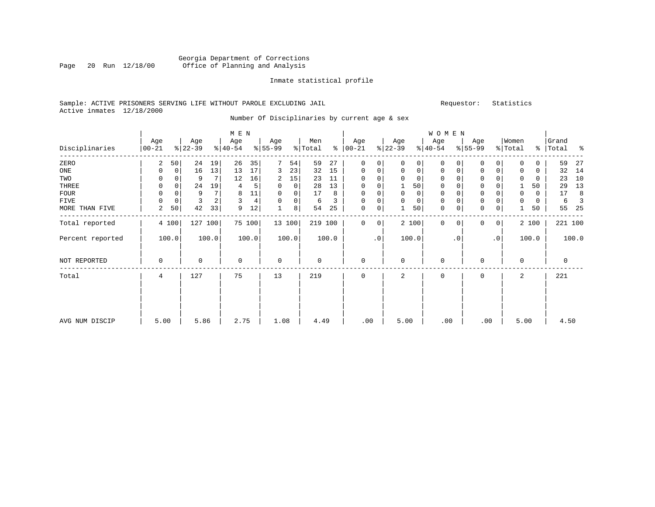#### Georgia Department of Corrections Page 20 Run 12/18/00 Office of Planning and Analysis

#### Inmate statistical profile

#### Sample: ACTIVE PRISONERS SERVING LIFE WITHOUT PAROLE EXCLUDING JAIL Requestor: Statistics Active inmates 12/18/2000

Number Of Disciplinaries by current age & sex

|                  |                  |             |                 |       | $M$ $\,$ E $\,$ N |        |                  |        |                |       |                 |           |                  |             | WOMEN            |           |                  |                |                  |             |                |       |
|------------------|------------------|-------------|-----------------|-------|-------------------|--------|------------------|--------|----------------|-------|-----------------|-----------|------------------|-------------|------------------|-----------|------------------|----------------|------------------|-------------|----------------|-------|
| Disciplinaries   | Age<br>$00 - 21$ |             | Age<br>$ 22-39$ |       | Age<br>$ 40-54 $  |        | Age<br>$ 55-99 $ |        | Men<br>% Total | နွ    | Age<br>$ 00-21$ |           | Age<br>$ 22-39 $ |             | Age<br>$ 40-54 $ |           | Age<br>$ 55-99 $ |                | Women<br>% Total | ⊱           | Grand<br>Total | န္    |
| ZERO             | 2                | 50          | 24              | 19    | 26                | 35     | 7                | 54     | 59             | 27    | 0               | 0         | $\Omega$         | 0           | $\Omega$         | $\Omega$  | $\mathbf 0$      | 0              | $\Omega$         | $\Omega$    | 59             | 27    |
| ONE              | 0                | $\mathbf 0$ | 16              | 13    | 13                | 17     | 3                | 23     | 32             | 15    | $\mathbf 0$     | 0         | $\mathbf 0$      | $\mathbf 0$ | $\mathbf 0$      | 0         | $\mathbf 0$      | 0              | $\Omega$         | $\mathbf 0$ | 32             | 14    |
| TWO              | 0                |             | 9               |       | 12                | 16     | 2                | 15     | 23             | 11    | 0               | 0         |                  | $\mathbf 0$ | 0                |           | $\mathbf 0$      |                |                  | 0           | 23             | 10    |
| THREE            | 0                | $\mathbf 0$ | 24              | 19    | 4                 | 5      | $\mathbf 0$      | 0      | 28             | 13    | 0               | 0         |                  | 50          | $\mathbf 0$      |           | $\mathbf 0$      |                |                  | 50          | 29             | 13    |
| <b>FOUR</b>      | U                | $\Omega$    | 9               |       | 8                 | $11\,$ | 0                | 0      | 17             | 8     | $\Omega$        | 0         |                  | 0           | 0                |           | $\mathsf 0$      |                | $\Omega$         | 0           | 17             | 8     |
| FIVE             | $\Omega$         | 0           | 3               | 2     | 3                 | 4      | $\Omega$         | 0      | 6              | 3     | 0               | 0         | $\Omega$         | 0           | $\mathbf 0$      |           | $\mathbf 0$      | 0              | $\Omega$         | 0           | 6              |       |
| MORE THAN FIVE   | 2                | 50          | 42              | 33    | 9                 | 12     |                  | 8      | 54             | 25    | $\mathbf 0$     | 0         |                  | 50          | 0                | 0         | $\mathbf 0$      | $\mathbf 0$    |                  | 50          | 55             | -25   |
| Total reported   |                  | 4 100       | 127             | 100   |                   | 75 100 |                  | 13 100 | 219 100        |       | 0               | 0         |                  | 2 100       | $\mathbf 0$      | $\Omega$  | $\mathbf{0}$     | $\overline{0}$ |                  | 2 100       | 221 100        |       |
| Percent reported |                  | 100.0       |                 | 100.0 |                   | 100.0  |                  | 100.0  |                | 100.0 |                 | $\cdot$ 0 |                  | 100.0       |                  | $\cdot$ 0 |                  | $\cdot$ 0      |                  | 100.0       |                | 100.0 |
| NOT REPORTED     | 0                |             | 0               |       | $\mathbf 0$       |        | $\mathbf 0$      |        | $\mathbf 0$    |       | $\mathbf 0$     |           | $\Omega$         |             | $\mathbf 0$      |           | $\mathbf 0$      |                | $\Omega$         |             | 0              |       |
| Total            | 4                |             | 127             |       | 75                |        | 13               |        | 219            |       | 0               |           | 2                |             | $\mathbf 0$      |           | $\mathbf 0$      |                | 2                |             | 221            |       |
|                  |                  |             |                 |       |                   |        |                  |        |                |       |                 |           |                  |             |                  |           |                  |                |                  |             |                |       |
|                  |                  |             |                 |       |                   |        |                  |        |                |       |                 |           |                  |             |                  |           |                  |                |                  |             |                |       |
| AVG NUM DISCIP   | 5.00             |             | 5.86            |       | 2.75              |        | 1.08             |        | 4.49           |       | .00             |           | 5.00             |             | .00              |           | .00              |                | 5.00             |             | 4.50           |       |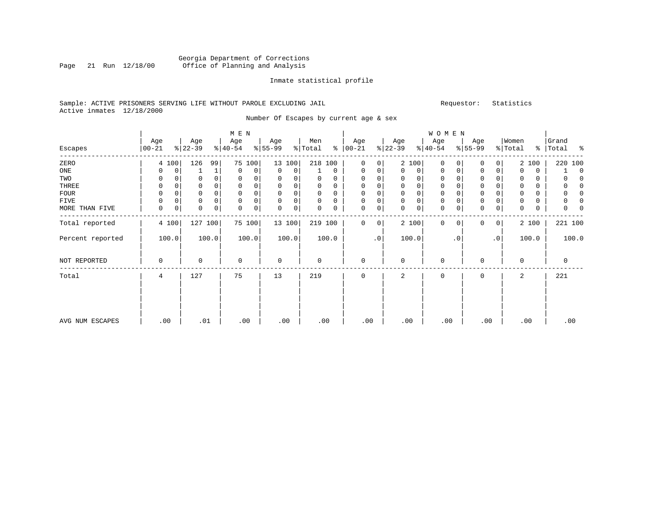#### Georgia Department of Corrections<br>Page 21 Run 12/18/00 Office of Planning and Analysis Page 21 Run 12/18/00 Office of Planning and Analysis

#### Inmate statistical profile

#### Sample: ACTIVE PRISONERS SERVING LIFE WITHOUT PAROLE EXCLUDING JAIL Requestor: Statistics Active inmates 12/18/2000

Number Of Escapes by current age & sex

|                  |                   |                  |           | M E N            |                  |             |                |             |                  |             |                  |       | WOMEN            |             |                  |                |                  |       |                    |             |
|------------------|-------------------|------------------|-----------|------------------|------------------|-------------|----------------|-------------|------------------|-------------|------------------|-------|------------------|-------------|------------------|----------------|------------------|-------|--------------------|-------------|
| Escapes          | Age<br>$ 00 - 21$ | Age<br>$ 22-39 $ | $8 40-54$ | Age              | Age<br>$8 55-99$ |             | Men<br>% Total | %           | Age<br>$00 - 21$ |             | Age<br>$ 22-39 $ |       | Age<br>$ 40-54 $ |             | Age<br>$8 55-99$ |                | Women<br>% Total |       | Grand<br>%   Total | ္က          |
| ZERO             | 4 100             | 126              | 99        | 75 100           |                  | 13 100      | 218 100        |             | $\mathbf{0}$     | 0           |                  | 2 100 | $\mathbf 0$      | $\Omega$    | $\Omega$         | 0              |                  | 2 100 | 220 100            |             |
| ONE              | 0                 | 0                | 1         | 0<br>0           | 0                | 0           |                | $\mathbf 0$ | 0                | 0           | $\Omega$         | 0     | $\mathbf 0$      | 0           | 0                | 0              | $\Omega$         | 0     |                    | $\mathbf 0$ |
| TWO              | 0                 | 0                |           | $\mathbf 0$<br>0 | 0                | 0           | 0              | $\Omega$    | 0                |             | $\Omega$         | 0     | 0                |             | 0                |                | 0                | 0     |                    | n           |
| THREE            | 0                 | 0                |           | $\mathbf 0$<br>0 | $\mathbf 0$      | 0           | 0              | 0           | 0                | 0           | $\mathbf 0$      | 0     | 0                | $\mathbf 0$ | $\mathbf 0$      |                | $\mathbf 0$      | 0     |                    | $\Omega$    |
| FOUR             | 0                 | 0                |           | $\mathbf 0$<br>0 | $\mathbf 0$      | 0           | 0              | 0           | 0                |             | $\mathbf 0$      | 0     | 0                | $\Omega$    | $\mathbf 0$      |                |                  | 0     |                    | n           |
| FIVE             | 0                 | 0                |           | $\mathbf 0$<br>0 | $\mathbf 0$      | 0           | 0              | 0           | 0                |             | 0                | 0     | 0                | 0           | $\mathsf 0$      |                |                  | 0     |                    | 0           |
| MORE THAN FIVE   | $\mathbf 0$       | 0<br>0           | 0         | 0<br>0           | 0                | $\mathbf 0$ | 0              | 0           | 0                | 0           | 0                | 0     | $\mathbf 0$      | 0           | $\mathbf 0$      | 0              | 0                | 0     | 0                  |             |
| Total reported   | 4 100             | 127 100          |           | 75 100           |                  | 13 100      | 219 100        |             | $\mathbf 0$      | $\mathbf 0$ |                  | 2 100 | $\mathbf 0$      | $\Omega$    | $\Omega$         | $\overline{0}$ |                  | 2 100 | 221 100            |             |
| Percent reported | 100.0             |                  | 100.0     | 100.0            |                  | 100.0       |                | 100.0       |                  | $\cdot$ 0   |                  | 100.0 |                  | . 0         |                  | $\cdot$ 0      |                  | 100.0 | 100.0              |             |
| NOT REPORTED     | 0                 | 0                |           | $\mathbf 0$      | $\mathbf 0$      |             | $\mathbf 0$    |             | $\mathbf{0}$     |             | $\mathbf 0$      |       | 0                |             | $\Omega$         |                | $\Omega$         |       | $\mathbf 0$        |             |
| Total            | 4                 | 127              |           | 75               | 13               |             | 219            |             | $\mathbf 0$      |             | 2                |       | 0                |             | $\Omega$         |                | 2                |       | 221                |             |
|                  |                   |                  |           |                  |                  |             |                |             |                  |             |                  |       |                  |             |                  |                |                  |       |                    |             |
| AVG NUM ESCAPES  | .00               | .01              |           | .00              | .00              |             | .00            |             | .00.             |             | .00              |       | .00              |             | .00              |                | .00              |       | .00                |             |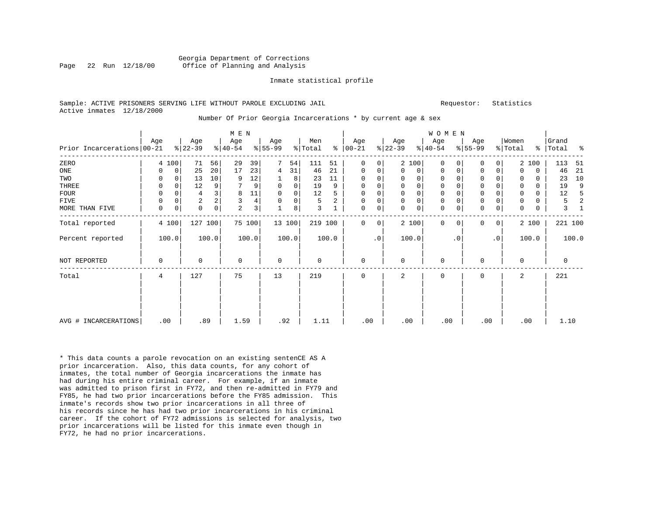#### Georgia Department of Corrections Page 22 Run 12/18/00 Office of Planning and Analysis

#### Inmate statistical profile

#### Sample: ACTIVE PRISONERS SERVING LIFE WITHOUT PAROLE EXCLUDING JAIL **Requestor:** Statistics Active inmates 12/18/2000

#### Number Of Prior Georgia Incarcerations \* by current age & sex

|                            |             |             |                |                     | M E N        |        |             |             |         |       |               |             |             |             | WOMEN       |           |             |              |          |          |           |         |
|----------------------------|-------------|-------------|----------------|---------------------|--------------|--------|-------------|-------------|---------|-------|---------------|-------------|-------------|-------------|-------------|-----------|-------------|--------------|----------|----------|-----------|---------|
|                            | Age         |             | Age            |                     | Age          |        | Age         |             | Men     |       | Age           |             | Age         |             | Age         |           | Age         |              | Women    |          | Grand     |         |
| Prior Incarcerations 00-21 |             |             | $8 22-39$      |                     | $8 40-54$    |        | $8 55-99$   |             | % Total |       | $8   00 - 21$ |             | $ 22-39 $   |             | $ 40-54$    |           | $ 55-99$    |              | % Total  |          | %   Total | နွ      |
| ZERO                       |             | 4 100       | 71             | 56                  | 29           | 39     |             | 54          | 111     | 51    | $\mathbf 0$   | 0           |             | 2 100       | $\Omega$    | 0         | 0           | 0            |          | 2 100    | 113       | 51      |
| ONE                        | 0           | 0           | 25             | 20                  | 17           | 23     | 4           | 31          | 46      | 21    | $\mathbf 0$   | 0           | $\Omega$    | $\mathbf 0$ | $\Omega$    | 0         | $\mathbf 0$ | $\mathbf 0$  | $\Omega$ | 0        | 46        | 21      |
| TWO                        | 0           | 0           | 13             | 10                  | 9            | 12     |             | 8           | 23      | 11    | $\Omega$      | 0           | $\Omega$    | $\Omega$    | 0           |           | $\Omega$    | 0            | $\Omega$ | 0        | 23        | 10      |
| <b>THREE</b>               | 0           | $\mathbf 0$ | 12             | 9                   |              | 9      | $\mathbf 0$ | $\mathbf 0$ | 19      | 9     | $\mathbf 0$   | 0           | $\Omega$    | $\Omega$    | $\Omega$    |           | $\Omega$    | 0            | 0        | $\Omega$ | 19        | 9       |
| <b>FOUR</b>                | 0           | $\Omega$    | 4              |                     | 8            | $11\,$ | $\mathbf 0$ | $\mathbf 0$ | 12      | 5     | 0             | 0           |             | $\Omega$    | 0           |           | $\Omega$    |              | 0        | 0        | 12        | .5      |
| FIVE                       | 0           | 0           | $\overline{c}$ |                     | $\mathbf{3}$ | 4      | $\Omega$    | 0           | 5       | 2     | $\mathbf 0$   | 0           | $\mathbf 0$ | $\mathbf 0$ | 0           |           | $\mathbf 0$ | 0            | 0        | 0        | 5         | 2       |
| MORE THAN FIVE             | $\mathbf 0$ | 0           | 0              | $\mathsf{O}\xspace$ | 2            | 3      |             | 8           | 3       |       | $\mathbf 0$   | $\mathsf 0$ | $\Omega$    | 0           | 0           | 0         | $\mathbf 0$ | 0            | 0        | 0        | 3         |         |
| Total reported             |             | 4 100       | 127 100        |                     |              | 75 100 |             | 13 100      | 219 100 |       | $\Omega$      | 0           |             | 2 100       | $\mathbf 0$ | $\Omega$  | $\Omega$    | $\mathbf{0}$ |          | 2 100    |           | 221 100 |
| Percent reported           |             | 100.0       |                | 100.0               |              | 100.0  |             | 100.0       |         | 100.0 |               | $\cdot$ 0   |             | 100.0       |             | $\cdot$ 0 |             | $\cdot$ 0    |          | 100.0    |           | 100.0   |
| NOT REPORTED               | $\mathbf 0$ |             | 0              |                     | $\mathbf 0$  |        | $\mathbf 0$ |             | 0       |       | $\mathbf 0$   |             | $\Omega$    |             | $\mathbf 0$ |           | $\Omega$    |              | $\Omega$ |          | 0         |         |
| Total                      | 4           |             | 127            |                     | 75           |        | 13          |             | 219     |       | $\mathbf 0$   |             | 2           |             | $\mathbf 0$ |           | $\mathbf 0$ |              | 2        |          | 221       |         |
|                            |             |             |                |                     |              |        |             |             |         |       |               |             |             |             |             |           |             |              |          |          |           |         |
| AVG # INCARCERATIONS       |             | .00         | .89            |                     | 1.59         |        | .92         |             | 1.11    |       | .00           |             | .00         |             | .00         |           | .00         |              |          | .00      | 1.10      |         |

\* This data counts a parole revocation on an existing sentenCE AS A prior incarceration. Also, this data counts, for any cohort of inmates, the total number of Georgia incarcerations the inmate has had during his entire criminal career. For example, if an inmate was admitted to prison first in FY72, and then re-admitted in FY79 and FY85, he had two prior incarcerations before the FY85 admission. This inmate's records show two prior incarcerations in all three of his records since he has had two prior incarcerations in his criminal career. If the cohort of FY72 admissions is selected for analysis, two prior incarcerations will be listed for this inmate even though in FY72, he had no prior incarcerations.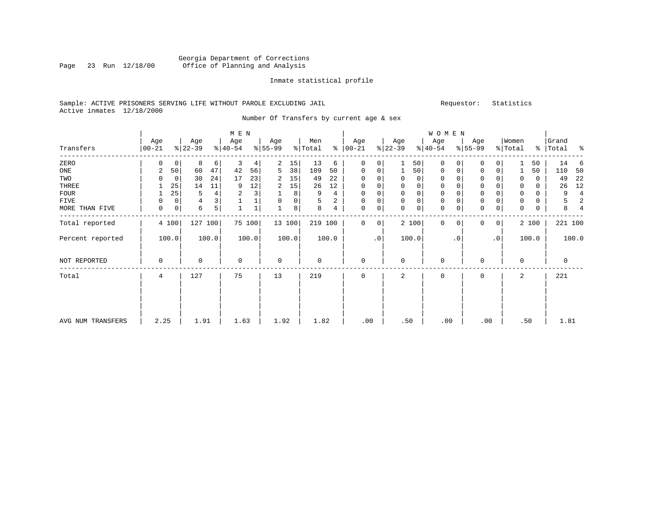#### Georgia Department of Corrections<br>Page 23 Run 12/18/00 Office of Planning and Analysis Page 23 Run 12/18/00 Office of Planning and Analysis

#### Inmate statistical profile

#### Sample: ACTIVE PRISONERS SERVING LIFE WITHOUT PAROLE EXCLUDING JAIL Requestor: Statistics Active inmates 12/18/2000

Number Of Transfers by current age & sex

|                   |                   |       |                  |       | M E N            |        |                  |        |                |       |                      |           |                  |             | WOMEN            |             |                  |           |                  |       |                    |                |
|-------------------|-------------------|-------|------------------|-------|------------------|--------|------------------|--------|----------------|-------|----------------------|-----------|------------------|-------------|------------------|-------------|------------------|-----------|------------------|-------|--------------------|----------------|
| Transfers         | Age<br>$ 00 - 21$ |       | Age<br>$ 22-39 $ |       | Age<br>$8 40-54$ |        | Age<br>$ 55-99 $ |        | Men<br>% Total |       | Age<br>$8   00 - 21$ |           | Age<br>$ 22-39 $ |             | Age<br>$ 40-54 $ |             | Age<br>$ 55-99 $ |           | Women<br>% Total |       | Grand<br>%   Total | ႜ              |
| ZERO              | 0                 | 0     | 8                | 6     | 3                | 4      | 2                | 15     | 13             | 6     | $\mathbf 0$          | 0         |                  | 50          | $\mathbf 0$      | 0           | 0                | $\Omega$  |                  | 50    | 14                 | 6              |
| ONE               | 2                 | 50    | 60               | 47    | 42               | 56     | 5                | 38     | 109            | 50    | 0                    | 0         |                  | 50          | 0                | 0           | 0                | 0         |                  | 50    | 110                | 50             |
| TWO               |                   | 0     | 30               | 24    | 17               | 23     | 2                | 15     | 49             | 22    | $\mathbf 0$          | 0         |                  | 0           | 0                |             | 0                |           | 0                | 0     | 49                 | 22             |
| THREE             |                   | 25    | 14               | 11    | 9                | 12     | 2                | 15     | 26             | 12    | $\mathbf 0$          | 0         | 0                | 0           | 0                |             | $\mathbf 0$      |           | 0                | 0     | 26                 | 12             |
| FOUR              |                   | 25    | 5                | 4     | $\overline{c}$   | 3      |                  | 8      | 9              | 4     | $\Omega$             | 0         |                  | $\mathbf 0$ | 0                |             | $\Omega$         |           | $\Omega$         | 0     | 9                  | $\overline{4}$ |
| FIVE              | $\Omega$          | 0     | $\overline{4}$   |       |                  |        | $\Omega$         | 0      | 5              | 2     | $\mathbf 0$          | 0         | $\mathbf 0$      | $\mathsf 0$ | 0                |             | $\mathbf 0$      |           | 0                | 0     | 5                  | $\overline{2}$ |
| MORE THAN FIVE    | 0                 | 0     | 6                | 5     |                  |        |                  | 8      | 8              | 4     | $\mathbf 0$          | 0         | $\Omega$         | $\mathsf 0$ | 0                | $\mathbf 0$ | $\mathbf 0$      | 0         | $\Omega$         | 0     | 8                  | 4              |
| Total reported    |                   | 4 100 | 127              | 100   |                  | 75 100 |                  | 13 100 | 219 100        |       | $\mathbf 0$          | 0         |                  | 2 100       | $\Omega$         | $\Omega$    | $\Omega$         | 0         |                  | 2 100 | 221 100            |                |
| Percent reported  |                   | 100.0 |                  | 100.0 |                  | 100.0  |                  | 100.0  |                | 100.0 |                      | $\cdot$ 0 |                  | 100.0       |                  | $\cdot$ 0   |                  | $\cdot$ 0 |                  | 100.0 |                    | 100.0          |
| NOT REPORTED      | 0                 |       | 0                |       | $\mathbf 0$      |        | $\mathbf 0$      |        | 0              |       | $\mathbf 0$          |           | $\Omega$         |             | 0                |             | $\Omega$         |           | $\Omega$         |       | 0                  |                |
| Total             | 4                 |       | 127              |       | 75               |        | 13               |        | 219            |       | $\mathbf 0$          |           | 2                |             | 0                |             | $\mathbf 0$      |           | 2                |       | 221                |                |
|                   |                   |       |                  |       |                  |        |                  |        |                |       |                      |           |                  |             |                  |             |                  |           |                  |       |                    |                |
| AVG NUM TRANSFERS | 2.25              |       | 1.91             |       | 1.63             |        | 1.92             |        | 1.82           |       | .00                  |           | .50              |             | .00              |             | .00              |           | .50              |       | 1.81               |                |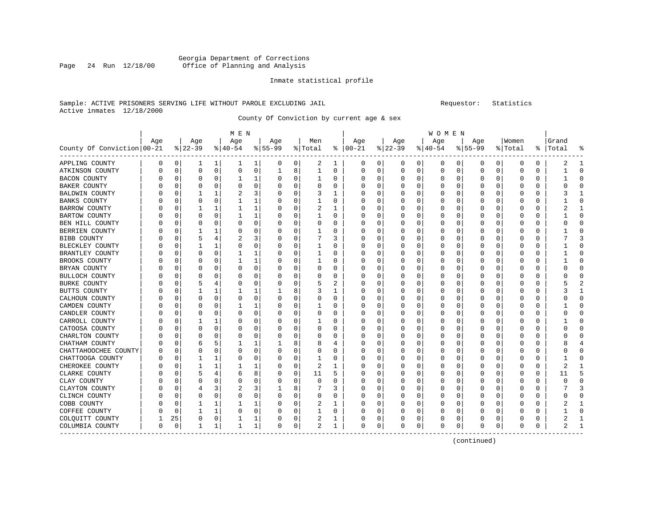#### Georgia Department of Corrections<br>Page 24 Run 12/18/00 Office of Planning and Analysis Office of Planning and Analysis

#### Inmate statistical profile

#### Sample: ACTIVE PRISONERS SERVING LIFE WITHOUT PAROLE EXCLUDING JAIL Requestor: Statistics Active inmates 12/18/2000

County Of Conviction by current age & sex

|                            |     |    |             |              | M E N        |             |           |             |                |              |                  |          |          |              | <b>WOMEN</b> |          |             |             |         |          |       |          |
|----------------------------|-----|----|-------------|--------------|--------------|-------------|-----------|-------------|----------------|--------------|------------------|----------|----------|--------------|--------------|----------|-------------|-------------|---------|----------|-------|----------|
|                            | Age |    | Age         |              | Age          |             | Age       |             | Men            |              | Age              |          | Age      |              | Age          |          | Age         |             | Women   |          | Grand |          |
| County Of Conviction 00-21 |     |    | $ 22-39$    |              | $ 40-54$     |             | $8 55-99$ |             | % Total        |              | $8   00 - 21$    |          | $ 22-39$ |              | $8 40-54$    |          | $8155 - 99$ |             | % Total | ႜ        | Total |          |
| APPLING COUNTY             | 0   | 0  | T           | 1            | ı            | 1           | 0         | 0           | 2              | 1            | 0                | 0        | 0        | $\mathbf{0}$ | 0            | 0        | 0           | 0           | 0       | 0        | 2     |          |
| ATKINSON COUNTY            | U   | 0  | $\mathbf 0$ | $\mathbf 0$  | 0            | 0           | 1         | 8           | $\mathbf 1$    | 0            | 0                | 0        | $\Omega$ | 0            | 0            | 0        | 0           | $\mathbf 0$ | 0       | 0        | 1     | $\Omega$ |
| <b>BACON COUNTY</b>        |     | 0  | $\Omega$    | 0            | $\mathbf{1}$ | 1           | 0         | $\mathbf 0$ | 1              | 0            | 0                | 0        |          | $\mathbf 0$  | 0            | 0        | $\Omega$    | 0           | 0       | 0        |       | $\cap$   |
| <b>BAKER COUNTY</b>        |     | O  | O           | $\Omega$     | U            | $\mathbf 0$ | U         | $\mathbf 0$ | $\Omega$       | 0            | U                | 0        |          | O            | 0            | 0        | $\Omega$    | 0           | O       | 0        | U     | U        |
| BALDWIN COUNTY             |     | C  |             |              | 2            | 3           | 0         | 0           | 3              | 1            | Ω                | 0        |          | 0            | 0            | 0        | 0           | 0           | 0       | 0        |       |          |
| <b>BANKS COUNTY</b>        |     | C  | $\Omega$    | $\Omega$     | 1            | 1           | 0         | $\mathbf 0$ | 1              | $\Omega$     | 0                | O        |          | $\Omega$     | 0            | 0        | $\Omega$    | $\Omega$    | O       | 0        |       |          |
| BARROW COUNTY              |     |    |             | 1            | 1            | 1           | 0         | 0           | 2              | 1            | 0                | $\Omega$ |          | 0            | 0            | 0        | 0           | $\Omega$    | 0       | 0        |       |          |
| <b>BARTOW COUNTY</b>       |     | O  | O           | 0            | 1            | 1           | 0         | 0           | 1              | $\Omega$     | $\left( \right)$ | 0        |          | 0            | 0            | 0        | 0           | $\Omega$    | O       | 0        |       | U        |
| BEN HILL COUNTY            |     | 0  | 0           | 0            | 0            | 0           |           | $\mathbf 0$ | 0              | $\Omega$     |                  | 0        |          | $\mathbf 0$  | 0            | 0        | O           | 0           | 0       | 0        |       |          |
| BERRIEN COUNTY             |     | O  |             | 1            | U            | 0           | U         | $\mathbf 0$ | 1              | O            |                  | 0        |          | 0            | U            | $\Omega$ | $\Omega$    | $\Omega$    | O       | 0        |       | U        |
| BIBB COUNTY                |     | O  | 5           | 4            | 2            | 3           | 0         | 0           | 7              | 3            | Ω                | 0        |          | 0            | U            | 0        | 0           | 0           | O       | 0        |       | 3        |
| BLECKLEY COUNTY            |     | 0  |             | 1            | 0            | 0           | 0         | $\mathbf 0$ | 1              | 0            | C                | 0        |          | $\Omega$     | 0            | 0        |             | 0           | 0       | 0        |       |          |
| BRANTLEY COUNTY            |     | O  | 0           | $\Omega$     | 1            | 1           | 0         | $\mathbf 0$ | 1              | 0            | 0                | $\Omega$ |          | $\Omega$     | 0            | $\Omega$ | $\Omega$    | $\Omega$    | 0       | $\Omega$ |       |          |
| BROOKS COUNTY              |     | O  | O           | $\Omega$     | 1            | 1           | 0         | 0           | 1              | $\Omega$     | Ω                | $\Omega$ |          | 0            | U            | 0        | -0          | $\Omega$    | O       | 0        |       | C        |
| BRYAN COUNTY               |     | 0  |             | 0            | 0            | 0           | 0         | $\mathbf 0$ | 0              | $\Omega$     |                  | 0        |          | 0            | 0            | 0        | O           | 0           | 0       | 0        |       |          |
| <b>BULLOCH COUNTY</b>      |     | O  | O           | O            | U            | 0           | U         | $\mathbf 0$ | O              | O            | Ω                | 0        |          | O            | U            | 0        | $\Omega$    | $\Omega$    | O       | $\Omega$ |       | Λ        |
| <b>BURKE COUNTY</b>        |     | O  | 5           | 4            | 0            | 0           | 0         | 0           | 5              | 2            | U                | 0        |          | 0            | 0            | 0        | 0           | 0           | 0       | 0        |       |          |
| <b>BUTTS COUNTY</b>        |     | C  |             |              | 1            | 1           |           | 8           | 3              | 1            | Ω                | 0        |          | 0            | 0            | 0        | -0          | 0           | C       | $\Omega$ |       |          |
| CALHOUN COUNTY             |     |    | O           | $\Omega$     | $\Omega$     | 0           | $\Omega$  | $\mathbf 0$ | $\Omega$       | 0            | 0                | U        |          | 0            | 0            | 0        | $\Omega$    | $\Omega$    | 0       | $\Omega$ |       | C        |
| CAMDEN COUNTY              |     | U  | O           | <sup>0</sup> | 1            | 1           | O         | $\mathbf 0$ | 1              | $\Omega$     | Ω                | $\Omega$ |          | $\Omega$     | 0            | 0        | -C          | $\Omega$    | O       | 0        |       | U        |
| CANDLER COUNTY             |     | 0  |             | 0            | 0            | $\mathbf 0$ | 0         | $\mathbf 0$ | 0              | 0            |                  | 0        |          | 0            | 0            | 0        | O           | 0           | 0       | 0        |       |          |
| CARROLL COUNTY             |     | 0  |             | 1            | 0            | 0           | U         | 0           |                | $\Omega$     |                  | O        |          | $\Omega$     | 0            | 0        | O           | $\Omega$    | O       | 0        |       | Ω        |
| CATOOSA COUNTY             |     | O  | $\Omega$    | 0            | 0            | 0           | 0         | 0           | 0              | 0            | Ω                | 0        | O        | 0            | 0            | 0        | 0           | 0           | 0       | 0        |       | ∩        |
| CHARLTON COUNTY            |     | U  | 0           | 0            | 0            | 0           | 0         | $\mathbf 0$ | 0              | 0            | Ω                | 0        |          | 0            | 0            | 0        | 0           | 0           | 0       | 0        |       | C        |
| CHATHAM COUNTY             | U   | 0  | 6           | 5            |              | 1           |           | 8           | 8              | 4            | 0                | 0        |          | 0            | 0            | 0        | O           | 0           | O       | $\Omega$ |       |          |
| CHATTAHOOCHEE COUNTY       |     | O  | n           | 0            | O            | 0           | 0         | 0           | 0              | 0            | Ω                | 0        |          | $\Omega$     | 0            | 0        | 0           | 0           | O       | 0        | U     |          |
| CHATTOOGA COUNTY           |     | 0  | 1           | 1            | $\Omega$     | 0           | $\Omega$  | 0           | 1              | 0            |                  | 0        |          | 0            | 0            | 0        | $\Omega$    | 0           | 0       | 0        |       |          |
| CHEROKEE COUNTY            |     | O  |             | 1            |              | 1           | C         | $\mathbf 0$ | $\overline{2}$ | $\mathbf{1}$ |                  | 0        |          | $\Omega$     | 0            | 0        | O           | 0           | 0       | 0        | 2     |          |
| CLARKE COUNTY              |     | O  |             | 4            | 6            | 8           | $\Omega$  | 0           | 11             | 5            | Ω                | 0        |          | 0            | 0            | 0        | 0           | 0           | 0       | 0        | 11    |          |
| CLAY COUNTY                |     | O  | O           | $\Omega$     | 0            | 0           | 0         | $\mathbf 0$ | 0              | O            | U                | 0        |          | 0            | 0            | 0        | 0           | 0           | 0       | 0        | U     | U        |
| CLAYTON COUNTY             |     | C  |             | 3            | 2            | 3           |           | 8           |                | 3            | 0                | 0        |          | 0            | 0            | 0        |             | 0           | 0       | 0        |       |          |
| CLINCH COUNTY              |     | U  | n           | 0            | $\Omega$     | 0           | 0         | 0           | $\Omega$       | O            | O                | 0        |          | $\Omega$     | U            | 0        | 0           | 0           | O       | 0        | U     |          |
| COBB COUNTY                |     | 0  | 1           | 1            | 1            | 1           | 0         | $\mathbf 0$ | 2              | 1            | 0                | $\Omega$ |          | $\Omega$     | 0            | $\Omega$ | $\Omega$    | $\Omega$    | 0       | $\Omega$ |       |          |
| COFFEE COUNTY              |     | O  |             | 1            | 0            | $\mathbf 0$ | U         | $\mathbf 0$ | 1              | 0            |                  | 0        |          | 0            | 0            | 0        | 0           | 0           | O       | $\Omega$ |       |          |
| COLOUITT COUNTY            |     | 25 | 0           | 0            | 1            | 1           | 0         | 0           | 2              | 1            |                  | 0        |          | 0            | 0            | 0        | O           | 0           | O       | 0        | 2     |          |
| COLUMBIA COUNTY            | 0   | 0  | 1           | 1            | $\mathbf{1}$ | 1           | $\Omega$  | 0           | 2              | 1            | $\Omega$         | 0        | O        | 0            | 0            | 0        | $\mathbf 0$ | 0           | 0       | 0        | 2     |          |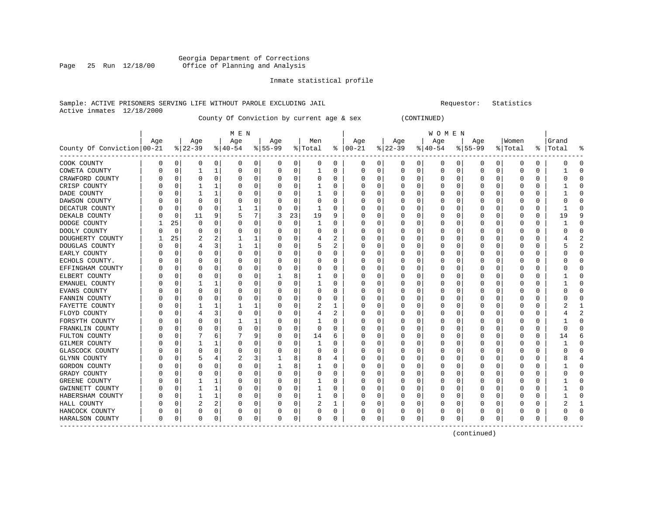## Page 25 Run 12/18/00 Office of Planning and Analysis

#### Inmate statistical profile

#### Sample: ACTIVE PRISONERS SERVING LIFE WITHOUT PAROLE EXCLUDING JAIL **Subset Construent Construent** Requestor: Statistics Active inmates 12/18/2000

County Of Conviction by current age & sex (CONTINUED)

| M E N | W O M E N | Age | Age | Age | Age | Men | Age | Age | Age | Age |Women |Grand County Of Conviction|00-21 %|22-39 %|40-54 %|55-99 %|Total % |00-21 %|22-39 %|40-54 %|55-99 %|Total % |Total % ------------------------------------------------------------------------------------------------------------------------------------COOK COUNTY | 0 0| 0 0| 0 0| 0 0| 0 0 | 0 0| 0 0| 0 0| 0 0| 0 0 | 0 0 COWETA COUNTY | 0 0| 1 1| 0 0| 0 0| 1 0 | 0 0| 0 0| 0 0| 0 0| 0 0 | 1 0 CRAWFORD COUNTY | 0 0| 0 0| 0 0| 0 0| 0 0 | 0 0| 0 0| 0 0| 0 0| 0 0 | 0 0 CRISP COUNTY | 0 0| 1 1| 0 0| 0 0| 1 0 | 0 0| 0 0| 0 0| 0 0| 0 0 | 1 0 DADE COUNTY | 0 0| 1 1| 0 0| 0 0| 1 0 | 0 0| 0 0| 0 0| 0 0| 0 0 | 1 0 DAWSON COUNTY | 0 0| 0 0| 0 0| 0 0| 0 0 | 0 0| 0 0| 0 0| 0 0| 0 0 | 0 0 DECATUR COUNTY | 0 0| 0 0| 1 1| 0 0| 1 0 | 0 0| 0 0| 0 0| 0 0| 0 0 | 1 0 DEKALB COUNTY | 0 0| 11 9| 5 7| 3 23| 19 9 | 0 0| 0 0| 0 0| 0 0| 0 0 | 19 9 DODGE COUNTY | 1 25| 0 0| 0 0| 0 0| 1 0 | 0 0| 0 0| 0 0| 0 0| 0 0 | 1 0 DOOLY COUNTY | 0 0| 0 0| 0 0| 0 0| 0 0 | 0 0| 0 0| 0 0| 0 0| 0 0 | 0 0 DOUGHERTY COUNTY | 1 25| 2 2| 1 1| 0 0| 4 2 | 0 0| 0 0| 0 0| 0 0| 0 0 | 4 2 DOUGLAS COUNTY | 0 0| 4 3| 1 1| 0 0| 5 2 | 0 0| 0 0| 0 0| 0 0| 0 0 | 5 2 EARLY COUNTY | 0 0| 0 0| 0 0| 0 0| 0 0 | 0 0| 0 0| 0 0| 0 0| 0 0 | 0 0 ECHOLS COUNTY. | 0 0| 0 0| 0 0| 0 0| 0 0 | 0 0| 0 0| 0 0| 0 0| 0 0 | 0 0 EFFINGHAM COUNTY | 0 0| 0 0| 0 0| 0 0| 0 0 | 0 0| 0 0| 0 0| 0 0| 0 0 | 0 0 ELBERT COUNTY | 0 0| 0 0| 0 0| 1 8| 1 0 | 0 0| 0 0| 0 0| 0 0| 0 0 | 1 0 EMANUEL COUNTY | 0 0| 1 1| 0 0| 0 0| 1 0 | 0 0| 0 0| 0 0| 0 0| 0 0 | 1 0 EVANS COUNTY | 0 0| 0 0| 0 0| 0 0| 0 0 | 0 0| 0 0| 0 0| 0 0| 0 0 | 0 0 FANNIN COUNTY | 0 0| 0 0| 0 0| 0 0| 0 0 | 0 0| 0 0| 0 0| 0 0| 0 0 | 0 0 FAYETTE COUNTY | 0 0| 1 1| 1 1| 0 0| 2 1 | 0 0| 0 0| 0 0| 0 0| 0 0 | 2 1 FLOYD COUNTY | 0 0| 4 3| 0 0| 0 0| 4 2 | 0 0| 0 0| 0 0| 0 0| 0 0 | 4 2 FORSYTH COUNTY | 0 0| 0 0| 1 1| 0 0| 1 0 | 0 0| 0 0| 0 0| 0 0| 0 0 | 1 0 FRANKLIN COUNTY | 0 0| 0 0| 0 0| 0 0| 0 0 | 0 0| 0 0| 0 0| 0 0| 0 0 | 0 0 FULTON COUNTY | 0 0| 7 6| 7 9| 0 0| 14 6 | 0 0| 0 0| 0 0| 0 0| 0 0 | 14 6 GILMER COUNTY | 0 0| 1 1| 0 0| 0 0| 1 0 | 0 0| 0 0| 0 0| 0 0| 0 0 | 1 0 GLASCOCK COUNTY | 0 0| 0 0| 0 0| 0 0| 0 0 | 0 0| 0 0| 0 0| 0 0| 0 0 | 0 0 GLYNN COUNTY | 0 0| 5 4| 2 3| 1 8| 8 4 | 0 0| 0 0| 0 0| 0 0| 0 0 | 8 4 GORDON COUNTY | 0 0| 0 0| 0 0| 1 8| 1 0 | 0 0| 0 0| 0 0| 0 0| 0 0 | 1 0 GRADY COUNTY | 0 0| 0 0| 0 0| 0 0| 0 0 | 0 0| 0 0| 0 0| 0 0| 0 0 | 0 0 GREENE COUNTY | 0 0| 1 1| 0 0| 0 0| 1 0 | 0 0| 0 0| 0 0| 0 0| 0 0 | 1 0 GWINNETT COUNTY | 0 0| 1 1| 0 0| 0 0| 1 0 | 0 0| 0 0| 0 0| 0 0| 0 0 | 1 0 HABERSHAM COUNTY | 0 0| 1 1| 0 0| 0 0| 1 0 | 0 0| 0 0| 0 0| 0 0| 0 0 | 1 0 HALL COUNTY | 0 0| 2 2| 0 0| 0 0| 2 1 | 0 0| 0 0| 0 0| 0 0| 0 0 | 2 1 HANCOCK COUNTY | 0 0| 0 0| 0 0| 0 0| 0 0 | 0 0| 0 0| 0 0| 0 0| 0 0 | 0 0 HARALSON COUNTY | 0 0| 0 0| 0 0| 0 0| 0 0 | 0 0| 0 0| 0 0| 0 0| 0 0 | 0 0 ------------------------------------------------------------------------------------------------------------------------------------

(continued)

Georgia Department of Corrections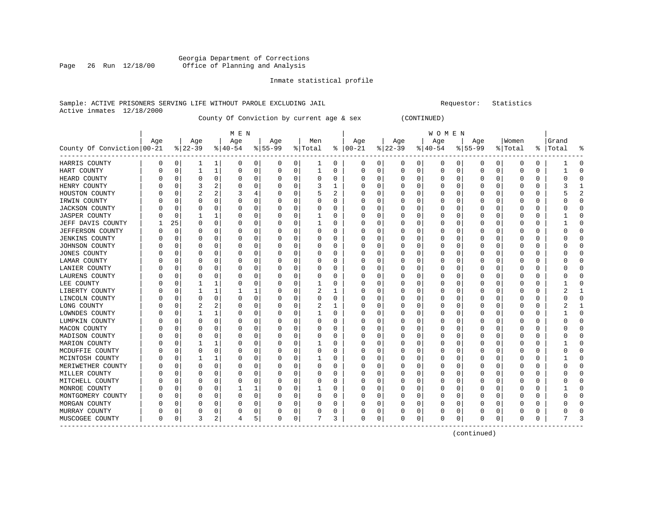#### Georgia Department of Corrections Page 26 Run 12/18/00 Office of Planning and Analysis

#### Inmate statistical profile

#### Sample: ACTIVE PRISONERS SERVING LIFE WITHOUT PAROLE EXCLUDING JAIL **Subset Construent Construent** Requestor: Statistics Active inmates 12/18/2000

County Of Conviction by current age & sex (CONTINUED)

| M E N | W O M E N | Age | Age | Age | Age | Men | Age | Age | Age | Age |Women |Grand County Of Conviction|00-21 %|22-39 %|40-54 %|55-99 %|Total % |00-21 %|22-39 %|40-54 %|55-99 %|Total % |Total % ------------------------------------------------------------------------------------------------------------------------------------HARRIS COUNTY | 0 0| 1 1| 0 0| 0 0| 1 0 | 0 0| 0 0| 0 0| 0 0| 0 0 | 1 0 HART COUNTY | 0 0| 1 1| 0 0| 0 0| 1 0 | 0 0| 0 0| 0 0| 0 0| 0 0 | 1 0 HEARD COUNTY | 0 0| 0 0| 0 0| 0 0| 0 0 | 0 0| 0 0| 0 0| 0 0| 0 0 | 0 0 HENRY COUNTY | 0 0| 3 2| 0 0| 0 0| 3 1 | 0 0| 0 0| 0 0| 0 0| 0 0 | 3 1 HOUSTON COUNTY | 0 0| 2 2| 3 4| 0 0| 5 2 | 0 0| 0 0| 0 0| 0 0| 0 0 | 5 2 IRWIN COUNTY | 0 0| 0 0| 0 0| 0 0| 0 0 | 0 0| 0 0| 0 0| 0 0| 0 0 | 0 0 JACKSON COUNTY | 0 0| 0 0| 0 0| 0 0| 0 0 | 0 0| 0 0| 0 0| 0 0| 0 0 | 0 0 JASPER COUNTY | 0 0| 1 1| 0 0| 0 0| 1 0 | 0 0| 0 0| 0 0| 0 0| 0 0 | 1 0 JEFF DAVIS COUNTY | 1 25| 0 0| 0 0| 0 0| 1 0 | 0 0| 0 0| 0 0| 0 0| 0 0 | 1 0 JEFFERSON COUNTY | 0 0| 0 0| 0 0| 0 0| 0 0 | 0 0| 0 0| 0 0| 0 0| 0 0 | 0 0 JENKINS COUNTY | 0 0| 0 0| 0 0| 0 0| 0 0 | 0 0| 0 0| 0 0| 0 0| 0 0 | 0 0 JOHNSON COUNTY | 0 0| 0 0| 0 0| 0 0| 0 0 | 0 0| 0 0| 0 0| 0 0| 0 0 | 0 0 JONES COUNTY | 0 0| 0 0| 0 0| 0 0| 0 0 | 0 0| 0 0| 0 0| 0 0| 0 0 | 0 0 LAMAR COUNTY | 0 0| 0 0| 0 0| 0 0| 0 0 | 0 0| 0 0| 0 0| 0 0| 0 0 | 0 0 LANIER COUNTY | 0 0| 0 0| 0 0| 0 0| 0 0 | 0 0| 0 0| 0 0| 0 0| 0 0 | 0 0 LAURENS COUNTY | 0 0| 0 0| 0 0| 0 0| 0 0 | 0 0| 0 0| 0 0| 0 0| 0 0 | 0 0 LEE COUNTY | 0 0| 1 1| 0 0| 0 0| 1 0 | 0 0| 0 0| 0 0| 0 0| 0 0 | 1 0 LIBERTY COUNTY | 0 0| 1 1| 1 1| 0 0| 2 1 | 0 0| 0 0| 0 0| 0 0| 0 0 | 2 1 LINCOLN COUNTY | 0 0| 0 0| 0 0| 0 0| 0 0 | 0 0| 0 0| 0 0| 0 0| 0 0 | 0 0 LONG COUNTY | 0 0| 2 2| 0 0| 0 0| 2 1 | 0 0| 0 0| 0 0| 0 0| 0 0 | 2 1 LOWNDES COUNTY | 0 0| 1 1| 0 0| 0 0| 1 0 | 0 0| 0 0| 0 0| 0 0| 0 0 | 1 0 LUMPKIN COUNTY | 0 0| 0 0| 0 0| 0 0| 0 0 | 0 0| 0 0| 0 0| 0 0| 0 0 | 0 0 MACON COUNTY | 0 0| 0 0| 0 0| 0 0| 0 0 | 0 0| 0 0| 0 0| 0 0| 0 0 | 0 0 MADISON COUNTY | 0 0| 0 0| 0 0| 0 0| 0 0 | 0 0| 0 0| 0 0| 0 0| 0 0 | 0 0 MARION COUNTY | 0 0| 1 1| 0 0| 0 0| 1 0 | 0 0| 0 0| 0 0| 0 0| 0 0 | 1 0 MCDUFFIE COUNTY | 0 0| 0 0| 0 0| 0 0| 0 0 | 0 0| 0 0| 0 0| 0 0| 0 0 | 0 0 MCINTOSH COUNTY | 0 0| 1 1| 0 0| 0 0| 1 0 | 0 0| 0 0| 0 0| 0 0| 0 0 | 1 0 MERIWETHER COUNTY | 0 0| 0 0| 0 0| 0 0| 0 0 | 0 0| 0 0| 0 0| 0 0| 0 0 | 0 0 MILLER COUNTY | 0 0| 0 0| 0 0| 0 0| 0 0 | 0 0| 0 0| 0 0| 0 0| 0 0 | 0 0 MITCHELL COUNTY | 0 0| 0 0| 0 0| 0 0| 0 0 | 0 0| 0 0| 0 0| 0 0| 0 0 | 0 0 MONROE COUNTY | 0 0| 0 0| 1 1| 0 0| 1 0 | 0 0| 0 0| 0 0| 0 0| 0 0 | 1 0 MONTGOMERY COUNTY | 0 0| 0 0| 0 0| 0 0| 0 0 | 0 0| 0 0| 0 0| 0 0| 0 0 | 0 0 MORGAN COUNTY | 0 0| 0 0| 0 0| 0 0| 0 0 | 0 0| 0 0| 0 0| 0 0| 0 0 | 0 0 MURRAY COUNTY | 0 0| 0 0| 0 0| 0 0| 0 0 | 0 0| 0 0| 0 0| 0 0| 0 0 | 0 0 MUSCOGEE COUNTY | 0 0| 3 2| 4 5| 0 0| 7 3 | 0 0| 0 0| 0 0| 0 0| 0 0 | 7 3 ------------------------------------------------------------------------------------------------------------------------------------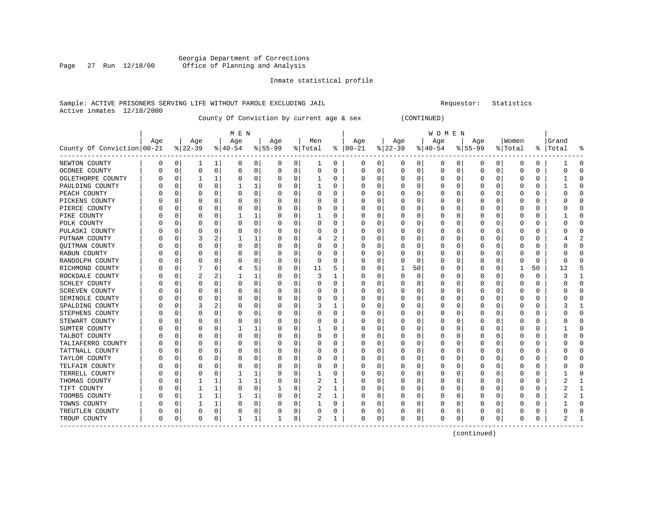#### Georgia Department of Corrections Page 27 Run 12/18/00 Office of Planning and Analysis

#### Inmate statistical profile

#### Sample: ACTIVE PRISONERS SERVING LIFE WITHOUT PAROLE EXCLUDING JAIL **Subset Construent Construent** Requestor: Statistics Active inmates 12/18/2000

County Of Conviction by current age & sex (CONTINUED)

| M E N | W O M E N | Age | Age | Age | Age | Men | Age | Age | Age | Age |Women |Grand County Of Conviction|00-21 %|22-39 %|40-54 %|55-99 %|Total % |00-21 %|22-39 %|40-54 %|55-99 %|Total % |Total % ------------------------------------------------------------------------------------------------------------------------------------NEWTON COUNTY | 0 0| 1 1| 0 0| 0 0| 1 0 | 0 0| 0 0| 0 0| 0 0| 0 0 | 1 0 OCONEE COUNTY | 0 0| 0 0| 0 0| 0 0| 0 0 | 0 0| 0 0| 0 0| 0 0| 0 0 | 0 0 OGLETHORPE COUNTY | 0 0| 1 1| 0 0| 0 0| 1 0 | 0 0| 0 0| 0 0| 0 0| 0 0 | 1 0 PAULDING COUNTY | 0 0| 0 0| 1 1| 0 0| 1 0 | 0 0| 0 0| 0 0| 0 0| 0 0 | 1 0 PEACH COUNTY | 0 0| 0 0| 0 0| 0 0| 0 0 | 0 0| 0 0| 0 0| 0 0| 0 0 | 0 0 PICKENS COUNTY | 0 0| 0 0| 0 0| 0 0| 0 0 | 0 0| 0 0| 0 0| 0 0| 0 0 | 0 0 PIERCE COUNTY | 0 0| 0 0| 0 0| 0 0| 0 0 | 0 0| 0 0| 0 0| 0 0| 0 0 | 0 0 PIKE COUNTY | 0 0| 0 0| 1 1| 0 0| 1 0 | 0 0| 0 0| 0 0| 0 0| 0 0 | 1 0 POLK COUNTY | 0 0| 0 0| 0 0| 0 0| 0 0 | 0 0| 0 0| 0 0| 0 0| 0 0 | 0 0 PULASKI COUNTY | 0 0| 0 0| 0 0| 0 0| 0 0 | 0 0| 0 0| 0 0| 0 0| 0 0 | 0 0 PUTNAM COUNTY | 0 0| 3 2| 1 1| 0 0| 4 2 | 0 0| 0 0| 0 0| 0 0| 0 0 | 4 2 QUITMAN COUNTY | 0 0| 0 0| 0 0| 0 0| 0 0 | 0 0| 0 0| 0 0| 0 0| 0 0 | 0 0 RABUN COUNTY | 0 0| 0 0| 0 0| 0 0| 0 0 | 0 0| 0 0| 0 0| 0 0| 0 0 | 0 0 RANDOLPH COUNTY | 0 0| 0 0| 0 0| 0 0| 0 0 | 0 0| 0 0| 0 0| 0 0| 0 0 | 0 0 RICHMOND COUNTY | 0 0| 7 6| 4 5| 0 0| 11 5 | 0 0| 1 50| 0 0| 0 0| 1 50 | 12 5 ROCKDALE COUNTY | 0 0| 2 2| 1 1| 0 0| 3 1 | 0 0| 0 0| 0 0| 0 0| 0 0 | 3 1 SCHLEY COUNTY | 0 0| 0 0| 0 0| 0 0| 0 0 | 0 0| 0 0| 0 0| 0 0| 0 0 | 0 0 SCREVEN COUNTY | 0 0| 0 0| 0 0| 0 0| 0 0 | 0 0| 0 0| 0 0| 0 0| 0 0 | 0 0 SEMINOLE COUNTY | 0 0| 0 0| 0 0| 0 0| 0 0 | 0 0| 0 0| 0 0| 0 0| 0 0 | 0 0 SPALDING COUNTY | 0 0| 3 2| 0 0| 0 0| 3 1 | 0 0| 0 0| 0 0| 0 0| 0 0 | 3 1 STEPHENS COUNTY | 0 0| 0 0| 0 0| 0 0| 0 0 | 0 0| 0 0| 0 0| 0 0| 0 0 | 0 0 STEWART COUNTY | 0 0| 0 0| 0 0| 0 0| 0 0 | 0 0| 0 0| 0 0| 0 0| 0 0 | 0 0 SUMTER COUNTY | 0 0| 0 0| 1 1| 0 0| 1 0 | 0 0| 0 0| 0 0| 0 0| 0 0 | 1 0 TALBOT COUNTY | 0 0| 0 0| 0 0| 0 0| 0 0 | 0 0| 0 0| 0 0| 0 0| 0 0 | 0 0 TALIAFERRO COUNTY | 0 0 | 0 0 | 0 0 | 0 0 | 0 0 | 0 0 | 0 0 | 0 0 | 0 0 | 0 0 | 0 0 | 0 0 | 0 0 | 0 0 | 0 0 | 0 TATTNALL COUNTY | 0 0| 0 0| 0 0| 0 0| 0 0 | 0 0| 0 0| 0 0| 0 0| 0 0 | 0 0 TAYLOR COUNTY | 0 0| 0 0| 0 0| 0 0| 0 0 | 0 0| 0 0| 0 0| 0 0| 0 0 | 0 0 TELFAIR COUNTY | 0 0| 0 0| 0 0| 0 0| 0 0 | 0 0| 0 0| 0 0| 0 0| 0 0 | 0 0 TERRELL COUNTY | 0 0| 0 0| 1 1| 0 0| 1 0 | 0 0| 0 0| 0 0| 0 0| 0 0 | 1 0 THOMAS COUNTY | 0 0| 1 1| 1 1| 0 0| 2 1 | 0 0| 0 0| 0 0| 0 0| 0 0 | 2 1 TIFT COUNTY | 0 0| 1 1| 0 0| 1 8| 2 1 | 0 0| 0 0| 0 0| 0 0| 0 0 | 2 1 TOOMBS COUNTY | 0 0| 1 1| 1 1| 0 0| 2 1 | 0 0| 0 0| 0 0| 0 0| 0 0 | 2 1 TOWNS COUNTY | 0 0| 1 1| 0 0| 0 0| 1 0 | 0 0| 0 0| 0 0| 0 0| 0 0 | 1 0 TREUTLEN COUNTY | 0 0| 0 0| 0 0| 0 0| 0 0 | 0 0| 0 0| 0 0| 0 0| 0 0 | 0 0 TROUP COUNTY | 0 0| 0 0| 1 1| 1 8| 2 1 | 0 0| 0 0| 0 0| 0 0| 0 0 | 2 1 ------------------------------------------------------------------------------------------------------------------------------------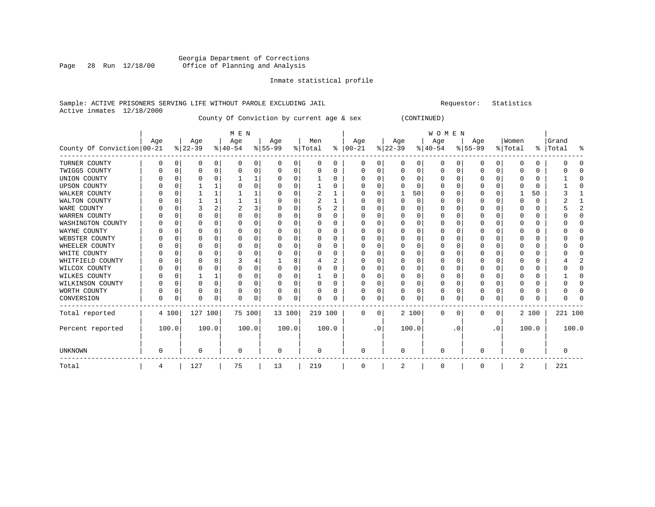#### Georgia Department of Corrections Page 28 Run 12/18/00 Office of Planning and Analysis

#### Inmate statistical profile

#### Sample: ACTIVE PRISONERS SERVING LIFE WITHOUT PAROLE EXCLUDING JAIL Requestor: Statistics Active inmates 12/18/2000

County Of Conviction by current age & sex (CONTINUED)

|                            |     |          |                 |          | M E N            |   |                  |          |                |          |                 |           |                 |          | <b>WOMEN</b>     |           |                 |           |                  |       |                    |        |
|----------------------------|-----|----------|-----------------|----------|------------------|---|------------------|----------|----------------|----------|-----------------|-----------|-----------------|----------|------------------|-----------|-----------------|-----------|------------------|-------|--------------------|--------|
| County Of Conviction 00-21 | Age |          | Age<br>$ 22-39$ |          | Age<br>$ 40-54 $ |   | Age<br>$8 55-99$ |          | Men<br>% Total | ႜ        | Age<br>$ 00-21$ |           | Age<br>$ 22-39$ |          | Age<br>$ 40-54 $ |           | Age<br>$ 55-99$ |           | Women<br>% Total |       | Grand<br>%   Total | ႜ      |
| TURNER COUNTY              | 0   | 0        | 0               | 0        | $\Omega$         | 0 | $\Omega$         | 0        | 0              | 0        | 0               | 0         | 0               | 0        | 0                | 0         | 0               | 0         | 0                | 0     |                    |        |
| TWIGGS COUNTY              |     | $\Omega$ |                 | 0        |                  | 0 |                  | 0        | 0              | O        | 0               | 0         | 0               | 0        | 0                | 0         | 0               | 0         | C.               | 0     |                    |        |
| UNION COUNTY               |     | n        | $\Omega$        |          |                  |   |                  | $\Omega$ |                | 0        | 0               | $\Omega$  | $\Omega$        | $\Omega$ | 0                | $\Omega$  | $\Omega$        | $\Omega$  | $\Omega$         | 0     |                    |        |
| <b>UPSON COUNTY</b>        |     | n        |                 |          |                  | 0 |                  | $\Omega$ |                | 0        | 0               | $\Omega$  | $\Omega$        | $\Omega$ | $\Omega$         | $\Omega$  | O               | $\Omega$  | O                | 0     |                    |        |
| WALKER COUNTY              |     | $\Omega$ |                 |          |                  |   |                  | $\Omega$ | 2              |          | 0               | $\Omega$  |                 | 50       | 0                | $\Omega$  | O               | 0         |                  | 50    |                    |        |
| WALTON COUNTY              |     | 0        |                 |          |                  |   |                  | $\Omega$ | 2              |          | <sup>0</sup>    | $\Omega$  | $\Omega$        | $\Omega$ | $\Omega$         | $\Omega$  | O               | U         | $\Omega$         | 0     |                    |        |
| WARE COUNTY                |     | O        |                 |          | 2                | 3 |                  | $\Omega$ | 5              | 2        | 0               | 0         | $\Omega$        | $\Omega$ | 0                | $\Omega$  | O               | 0         | 0                | 0     |                    |        |
| WARREN COUNTY              |     | O        | O               |          |                  | U |                  | $\Omega$ | O              | 0        | O               | 0         | O               | O        | O                | $\Omega$  | O               | ∩         | C.               | 0     |                    |        |
| WASHINGTON COUNTY          |     | U        | $\Omega$        |          |                  | 0 |                  | $\Omega$ | O              | 0        | <sup>0</sup>    | 0         | $\Omega$        | $\Omega$ | 0                | $\Omega$  | O               | O         | $\cap$           | 0     |                    |        |
| WAYNE COUNTY               |     | $\Omega$ |                 | $\Omega$ |                  | 0 |                  | $\Omega$ | O              | $\Omega$ | 0               | 0         | $\Omega$        | $\Omega$ | O                | $\Omega$  | O               | O         | $\Omega$         | 0     |                    | $\cap$ |
| WEBSTER COUNTY             |     | $\Omega$ |                 | $\Omega$ |                  | 0 |                  | $\Omega$ | 0              | 0        | 0               | O         | O               | $\Omega$ | 0                | $\Omega$  | O               | O         | $\cap$           | 0     |                    |        |
| WHEELER COUNTY             |     | $\Omega$ | $\Omega$        |          |                  | 0 |                  | $\Omega$ | N              | 0        | <sup>0</sup>    | 0         | O               | $\Omega$ | $\Omega$         | $\Omega$  | O               | O         | $\cap$           | 0     |                    |        |
| WHITE COUNTY               |     | O        |                 | $\Omega$ |                  | 0 |                  | $\Omega$ | O              | 0        | 0               | 0         | <sup>0</sup>    | O        | O                | $\Omega$  | O               | U         | $\Omega$         | 0     |                    |        |
| WHITFIELD COUNTY           |     | O        |                 |          |                  |   |                  | 8        |                | 2        | 0               | N         |                 | O        | 0                | $\Omega$  | O               |           | $\cap$           | 0     |                    |        |
| WILCOX COUNTY              |     | $\Omega$ | $\Omega$        |          | U                | 0 |                  | $\Omega$ | 0              | 0        | 0               | 0         | $\Omega$        | $\Omega$ | $\Omega$         | $\Omega$  | O               | U         | $\Omega$         | 0     |                    |        |
| WILKES COUNTY              |     | n        |                 |          |                  | 0 |                  | $\Omega$ |                | $\Omega$ | 0               | $\Omega$  | $\Omega$        | $\Omega$ | $\Omega$         | $\Omega$  | 0               | $\Omega$  | $\Omega$         | 0     |                    | ∩      |
| WILKINSON COUNTY           |     | 0        | $\Omega$        | $\Omega$ | 0                | 0 |                  | $\Omega$ | 0              | $\Omega$ | 0               | $\Omega$  | $\Omega$        | $\Omega$ | 0                | $\Omega$  | $\Omega$        | $\Omega$  | $\Omega$         | 0     |                    |        |
| WORTH COUNTY               |     | 0        | $\Omega$        | $\Omega$ | O                | 0 |                  | 0        | 0              | 0        | 0               | 0         | $\Omega$        | $\Omega$ | $\Omega$         | $\Omega$  | $\Omega$        | $\Omega$  | $\Omega$         | 0     |                    |        |
| CONVERSION                 | 0   | 0        | $\Omega$        | 0        | ∩                | 0 | ∩                | 0        | 0              | 0        | $\Omega$        | 0         | $\Omega$        | 0        | $\Omega$         | 0         | 0               | 0         | $\mathbf 0$      | 0     |                    |        |
| Total reported             |     | 4 100    | 127 100         |          | 75 100           |   | 13 100           |          | 219 100        |          | 0               | 0         |                 | 2 100    | 0                | 0         | 0               | 0         |                  | 2 100 | 221 100            |        |
| Percent reported           |     | 100.0    |                 | 100.0    | 100.0            |   | 100.0            |          |                | 100.0    |                 | $\cdot$ 0 |                 | 100.0    |                  | $\cdot$ 0 |                 | $\cdot$ 0 |                  | 100.0 |                    | 100.0  |
| <b>UNKNOWN</b>             | 0   |          | $\Omega$        |          | $\Omega$         |   | $\Omega$         |          | $\Omega$       |          | $\Omega$        |           | $\Omega$        |          | 0                |           | $\Omega$        |           | $\Omega$         |       |                    |        |
| Total                      | 4   |          | 127             |          | 75               |   | 13               |          | 219            |          | 0               |           | 2               |          | 0                |           | 0               |           | 2                |       | 221                |        |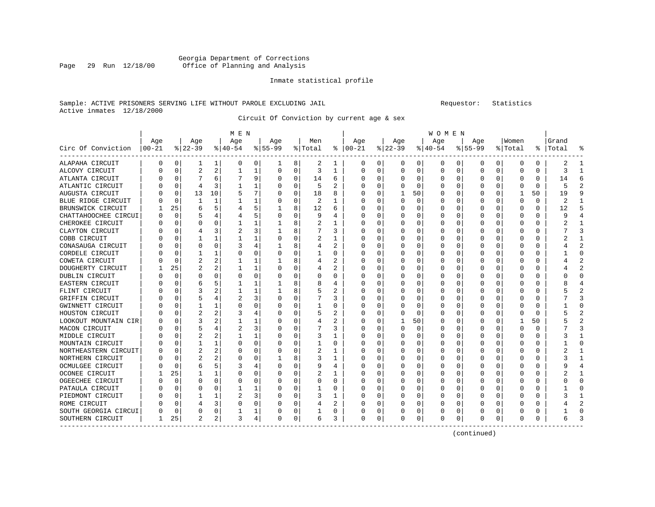#### Georgia Department of Corrections<br>Page 29 Run 12/18/00 Office of Planning and Analysis Page 29 Run 12/18/00 Office of Planning and Analysis

#### Inmate statistical profile

#### Sample: ACTIVE PRISONERS SERVING LIFE WITHOUT PAROLE EXCLUDING JAIL Requestor: Statistics Active inmates 12/18/2000

Circuit Of Conviction by current age & sex

|                      |          |             |                |    | M E N     |   |           |             |         |              |          |          |          |          | <b>WOMEN</b> |          |              |          |         |    |           |              |
|----------------------|----------|-------------|----------------|----|-----------|---|-----------|-------------|---------|--------------|----------|----------|----------|----------|--------------|----------|--------------|----------|---------|----|-----------|--------------|
|                      | Age      |             | Age            |    | Age       |   | Age       |             | Men     |              | Age      |          | Age      |          | Age          |          | Age          |          | Women   |    | Grand     |              |
| Circ Of Conviction   | $ 00-21$ |             | $ 22-39 $      |    | $8 40-54$ |   | $8 55-99$ |             | % Total | ⊱            | $ 00-21$ |          | $ 22-39$ |          | $ 40-54$     |          | $8 55-99$    |          | % Total |    | %   Total |              |
| ALAPAHA CIRCUIT      | 0        | 0           | 1              | 1  | $\Omega$  | 0 | 1         | 8           | 2       | 1            | 0        | 0        | 0        | 0        | 0            | 0        | 0            | 0        | 0       | 0  | 2         |              |
| ALCOVY CIRCUIT       | O        | $\Omega$    | $\overline{c}$ | 2  | 1         | 1 | $\Omega$  | $\Omega$    | 3       | 1            | $\Omega$ | $\Omega$ | $\Omega$ | $\Omega$ | 0            | C        | <sup>0</sup> | $\Omega$ | O       | 0  | 3         | -1           |
| ATLANTA CIRCUIT      |          | $\Omega$    |                | 6  |           | 9 | O         | $\Omega$    | 14      | 6            | O        | 0        | $\Omega$ | $\Omega$ | O            | C        | <sup>0</sup> | $\Omega$ | O       | 0  | 14        | F            |
| ATLANTIC CIRCUIT     |          | 0           | 4              | 3  |           | 1 |           | $\Omega$    | 5       | 2            | O        | 0        | O        | 0        | $\left($     | O        |              | 0        | O       | 0  | 5         |              |
| AUGUSTA CIRCUIT      |          | 0           | 13             | 10 | 5         | 7 |           | $\mathbf 0$ | 18      | 8            | C        | 0        |          | 50       | 0            | 0        |              | O        |         | 50 | 19        |              |
| BLUE RIDGE CIRCUIT   |          | $\mathbf 0$ |                | 1  |           | 1 |           | 0           | 2       | 1            |          | 0        | $\Omega$ | 0        | O            | C        | 0            | U        | O       | 0  | 2         |              |
| BRUNSWICK CIRCUIT    |          | 25          | 6              |    |           | 5 |           | 8           | 12      | 6            | C        | 0        | O        | $\Omega$ | O            | C        | <sup>0</sup> | 0        | U       | 0  | 12        | 5            |
| CHATTAHOOCHEE CIRCUI | O        | 0           |                |    |           | 5 |           | 0           | 9       | 4            | n        | 0        | O        | 0        | 0            | C        | O            | O        | O       | 0  | q         |              |
| CHEROKEE CIRCUIT     | U        | $\Omega$    | O              | 0  |           | 1 |           | 8           | 2       |              | $\Omega$ | 0        | O        | $\Omega$ | 0            | 0        | 0            | O        | O       | 0  |           |              |
| CLAYTON CIRCUIT      |          | $\Omega$    |                |    | 2         | 3 |           | 8           |         | 3            | C        | 0        | 0        | $\Omega$ | 0            | C        |              |          | C       | 0  |           |              |
| COBB CIRCUIT         |          | C           |                |    |           |   |           | $\Omega$    |         |              | C        | U        | $\Omega$ | $\Omega$ | 0            | C        | <sup>0</sup> |          |         | 0  |           |              |
| CONASAUGA CIRCUIT    |          | $\Omega$    | O              | O  | 3         | 4 |           | 8           |         | 2            | C        | U        | O        | $\Omega$ | 0            | C        | <sup>0</sup> | U        | U       | 0  |           |              |
| CORDELE CIRCUIT      |          | $\Omega$    |                |    | O         | 0 |           | $\Omega$    |         | 0            | $\Box$   | 0        | O        | $\Omega$ | $\left($     | O        |              | 0        | O       | U  |           | <sup>0</sup> |
| COWETA CIRCUIT       |          | $\mathbf 0$ | 2              | 2  |           | 1 |           | 8           |         | 2            |          | O        | O        | 0        | ი            | O        |              | O        | Ω       | O  |           |              |
| DOUGHERTY CIRCUIT    |          | 25          |                |    |           | 1 |           | 0           | 4       | 2            |          | 0        |          | $\Omega$ | Ω            | C        |              | O        |         | 0  |           | 2            |
| DUBLIN CIRCUIT       |          | $\Omega$    | O              | U  | C         | 0 |           | $\Omega$    | 0       | O            | $\cap$   | U        | O        | $\Omega$ | C            | C        | <sup>0</sup> | U        |         | 0  |           | ∩            |
| EASTERN CIRCUIT      |          | 0           | 6              |    |           | 1 |           | 8           | 8       | 4            | n        | 0        | O        | O        | O            | C        | O            | O        | Ω       | 0  |           |              |
| FLINT CIRCUIT        |          | 0           | 3              |    |           | 1 |           | 8           | 5       | 2            | n        | 0        | O        | 0        | 0            | C        | O            | U        | O       | 0  |           |              |
| GRIFFIN CIRCUIT      |          | 0           |                |    | 2         | 3 |           | $\Omega$    |         | 3            |          | 0        |          | 0        | C            | C        |              |          |         | 0  |           |              |
| GWINNETT CIRCUIT     |          | $\Omega$    |                |    | O         | 0 |           | $\Omega$    |         | O            | 0        | U        | ∩        | 0        | C            | C        |              | U        |         | 0  |           | ∩            |
| HOUSTON CIRCUIT      |          | $\Omega$    |                |    |           | 4 |           | $\Omega$    |         | 2            | O        | U        | ∩        | $\Omega$ | 0            | C        |              | U        | U       | 0  |           |              |
| LOOKOUT MOUNTAIN CIR |          | $\Omega$    |                |    |           |   |           | $\Omega$    | 4       | 2            | C        | 0        |          | 50       | O            | C        |              | U        |         | 50 |           |              |
| MACON CIRCUIT        |          | $\Omega$    | 5              |    | 2         | 3 |           | $\Omega$    |         | 3            | C        | 0        | O        | 0        | O            | O        |              | O        | O       | O  |           | κ            |
| MIDDLE CIRCUIT       |          | $\mathbf 0$ |                | 2  |           |   |           | 0           | 3       | $\mathbf{1}$ |          | O        |          | $\Omega$ |              | C        |              | O        | Ω       | 0  |           |              |
| MOUNTAIN CIRCUIT     |          | $\mathbf 0$ |                |    | 0         | 0 |           | 0           |         | O            | C        | O        |          | $\Omega$ | Ω            | C        |              | U        |         | 0  |           | ∩            |
| NORTHEASTERN CIRCUIT |          | 0           | 2              | 2  | 0         | 0 |           | 0           | 2       | -1           | n        | 0        | O        | O        | O            | C        | O            | U        | O       | 0  |           |              |
| NORTHERN CIRCUIT     | U        | 0           | 2              | 2  | 0         | 0 |           | 8           | 3       | 1            | 0        | 0        | $\left($ | $\Omega$ | $\Omega$     | $\left($ | O            | U        | $\Box$  | 0  |           |              |
| OCMULGEE CIRCUIT     |          | $\Omega$    | 6              | 5  | 3         | 4 |           | $\Omega$    | 9       | 4            | 0        | 0        | 0        | 0        | 0            | C        |              |          | C       | 0  |           |              |
| OCONEE CIRCUIT       |          | 25          |                |    | C         | 0 |           | $\Omega$    | 2       | 1            |          | U        | O        | $\Omega$ | C            | C        |              |          |         | 0  |           |              |
| OGEECHEE CIRCUIT     |          | $\Omega$    | O              | O  | $\Omega$  | 0 |           | $\Omega$    | 0       | O            | C        | U        | $\Omega$ | $\Omega$ | O            | C        |              | U        |         | U  |           | ∩            |
| PATAULA CIRCUIT      |          | $\Omega$    | O              | O  |           | 1 |           | $\Omega$    |         | 0            | O        | U        | O        | $\Omega$ | 0            | C        |              | U        | C       | 0  |           | ſ            |
| PIEDMONT CIRCUIT     |          | $\Omega$    |                |    | 2         | 3 |           | $\Omega$    | 3       | 1            | O        | U        | O        | $\Omega$ | $\Box$       | C        |              | O        |         | U  |           |              |
| ROME CIRCUIT         |          | 0           |                | 3  | O         | 0 |           | 0           | 4       | 2            | O        | 0        |          | 0        | $\Omega$     | 0        |              | O        |         | U  |           |              |
| SOUTH GEORGIA CIRCUI |          | 0           | O              | O  |           | 1 |           | 0           |         | 0            |          | 0        |          | 0        | C            | 0        |              | O        |         | 0  |           | $\sqrt{ }$   |
| SOUTHERN CIRCUIT     | 1        | 25          | 2              | 2  | 3         | 4 | $\Omega$  | 0           | 6       | 3            | $\Omega$ | 0        | $\Omega$ | 0        | 0            | 0        | $\Omega$     | 0        | O       | 0  |           |              |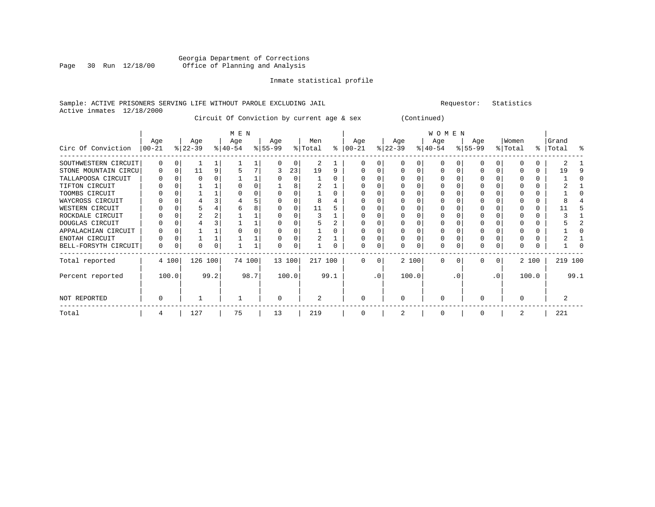#### Georgia Department of Corrections Page 30 Run 12/18/00 Office of Planning and Analysis

#### Inmate statistical profile

#### Sample: ACTIVE PRISONERS SERVING LIFE WITHOUT PAROLE EXCLUDING JAIL Requestor: Statistics Active inmates 12/18/2000

Circuit Of Conviction by current age & sex (Continued)

|                      |                 |          |                  |      | M E N            |        |                  |        |                            |      |                  |          |                  |       | WOMEN            |          |                  |           |                  |       |                    |      |
|----------------------|-----------------|----------|------------------|------|------------------|--------|------------------|--------|----------------------------|------|------------------|----------|------------------|-------|------------------|----------|------------------|-----------|------------------|-------|--------------------|------|
| Circ Of Conviction   | Age<br>$ 00-21$ |          | Age<br>$ 22-39 $ |      | Age<br>$8 40-54$ |        | Age<br>$ 55-99 $ |        | Men<br>$\frac{1}{2}$ Total | ွေ   | Age<br>$ 00-21 $ |          | Age<br>$ 22-39 $ |       | Age<br>$ 40-54 $ |          | Age<br>$8 55-99$ |           | Women<br>% Total |       | Grand<br>%   Total | ႜ    |
| SOUTHWESTERN CIRCUIT |                 | 0        |                  |      |                  |        |                  | 0      | 2                          |      |                  |          |                  |       |                  |          |                  |           |                  |       |                    |      |
| STONE MOUNTAIN CIRCU | $\Omega$        | $\Omega$ | 11               | 9    |                  |        |                  | 23     | 19                         | q    |                  |          |                  |       |                  |          |                  |           |                  |       | 1 9                |      |
| TALLAPOOSA CIRCUIT   |                 |          |                  |      |                  |        |                  |        |                            |      |                  |          |                  |       |                  |          |                  |           |                  |       |                    |      |
| TIFTON CIRCUIT       |                 |          |                  |      |                  |        |                  |        |                            |      |                  |          |                  |       |                  |          |                  |           |                  |       |                    |      |
| TOOMBS CIRCUIT       |                 |          |                  |      |                  |        |                  |        |                            |      |                  |          |                  |       |                  |          |                  |           |                  |       |                    |      |
| WAYCROSS CIRCUIT     |                 |          |                  |      |                  |        |                  |        |                            |      |                  |          |                  |       |                  |          |                  |           |                  |       |                    |      |
| WESTERN CIRCUIT      |                 |          |                  |      |                  |        |                  |        | 11                         |      |                  |          |                  |       |                  |          |                  |           |                  |       |                    |      |
| ROCKDALE CIRCUIT     |                 |          |                  |      |                  |        |                  |        |                            |      |                  |          |                  |       |                  |          |                  |           |                  |       |                    |      |
| DOUGLAS CIRCUIT      |                 |          |                  |      |                  |        |                  |        |                            |      |                  |          |                  |       |                  |          |                  |           |                  |       |                    |      |
| APPALACHIAN CIRCUIT  |                 |          |                  |      |                  |        |                  |        |                            |      |                  |          |                  |       |                  |          |                  |           |                  |       |                    |      |
| ENOTAH CIRCUIT       |                 |          |                  |      |                  |        |                  |        |                            |      |                  |          |                  |       |                  |          |                  |           |                  |       |                    |      |
| BELL-FORSYTH CIRCUIT | $\Omega$        | 0        |                  | 0    |                  |        | U                | 0      |                            |      |                  |          |                  | 0     | $\Omega$         |          |                  |           |                  |       |                    |      |
| Total reported       |                 | 4 100    | 126 100          |      |                  | 74 100 |                  | 13 100 | 217                        | 100  | $\Omega$         | $\Omega$ |                  | 2 100 | $\Omega$         | $\Omega$ | O                | 0         |                  | 2 100 | 219 100            |      |
| Percent reported     |                 | 100.0    |                  | 99.2 |                  | 98.7   |                  | 100.0  |                            | 99.1 |                  | . 0      |                  | 100.0 |                  | . 0      |                  | $\cdot$ 0 |                  | 100.0 |                    | 99.1 |
| NOT REPORTED         |                 |          |                  |      |                  |        | 0                |        |                            |      | $\Omega$         |          | $\Omega$         |       |                  |          |                  |           |                  |       |                    |      |
| Total                | 4               |          | 127              |      | 75               |        | 13               |        | 219                        |      | O                |          | 2                |       | 0                |          | 0                |           | 2                |       | 221                |      |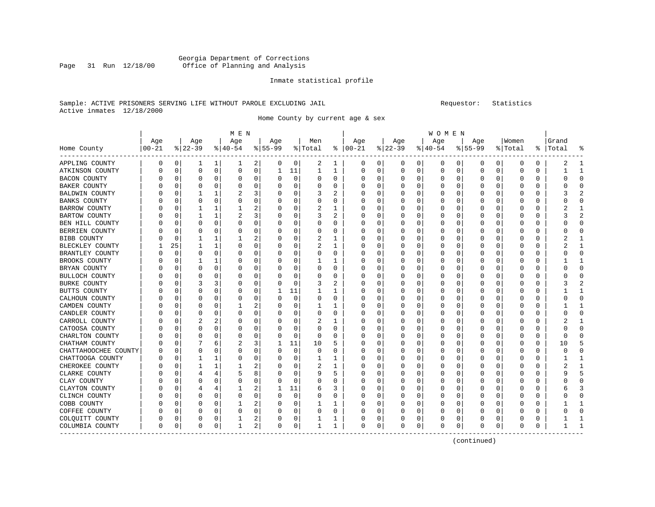#### Georgia Department of Corrections<br>Page 31 Run 12/18/00 Office of Planning and Analysis Office of Planning and Analysis

#### Inmate statistical profile

#### Sample: ACTIVE PRISONERS SERVING LIFE WITHOUT PAROLE EXCLUDING JAIL Requestor: Statistics Active inmates 12/18/2000

Home County by current age & sex

|                      |          |          |          |             | M E N     |          |           |             |         |          |               |             |          |             | W O M E N |          |           |             |         |    |       |                         |
|----------------------|----------|----------|----------|-------------|-----------|----------|-----------|-------------|---------|----------|---------------|-------------|----------|-------------|-----------|----------|-----------|-------------|---------|----|-------|-------------------------|
|                      | Age      |          | Age      |             | Age       |          | Age       |             | Men     |          | Age           |             | Age      |             | Age       |          | Age       |             | Women   |    | Grand |                         |
| Home County          | $ 00-21$ |          | $ 22-39$ |             | $8 40-54$ |          | $8 55-99$ |             | % Total |          | $8   00 - 21$ |             | $ 22-39$ |             | $ 40-54$  |          | $8 55-99$ |             | % Total | ႜၟ | Total |                         |
| APPLING COUNTY       | 0        | 0        | 1        | 1           | 1         | 2        | 0         | 0           | 2       | 1        | 0             | 0           | 0        | 0           | 0         | 0        | 0         | 0           | 0       | 0  | 2     |                         |
| ATKINSON COUNTY      | 0        | 0        | $\Omega$ | $\mathbf 0$ | $\Omega$  | 0        | 1         | 11          | 1       | 1        | 0             | $\mathbf 0$ | $\Omega$ | $\mathsf 0$ | 0         | $\Omega$ | $\Omega$  | $\mathbf 0$ | 0       | 0  |       | -1                      |
| <b>BACON COUNTY</b>  |          | 0        | $\Omega$ | $\Omega$    | C         | $\Omega$ |           | $\mathbf 0$ | 0       | $\Omega$ | 0             | 0           | O        | $\Omega$    | 0         | 0        |           | $\Omega$    | 0       | 0  | Ω     | $\Omega$                |
| BAKER COUNTY         | Λ        | $\Omega$ | $\Omega$ | $\Omega$    | C         | 0        |           | $\Omega$    | U       | 0        | <sup>0</sup>  | 0           | O        | $\Omega$    | 0         | O        | $\Omega$  | O           | O       | 0  | C     | $\Omega$                |
| BALDWIN COUNTY       | O        | $\Omega$ |          |             |           | 3        |           | 0           | 3       | 2        | 0             | 0           | O        | $\Omega$    | 0         | 0        | n         | O           | O       | 0  | 3     |                         |
| <b>BANKS COUNTY</b>  |          | 0        | O        | $\Omega$    | C         | 0        |           | $\Omega$    | 0       | 0        | 0             | 0           |          | 0           | 0         | C        |           |             | C       | 0  |       | ſ                       |
| BARROW COUNTY        | 0        | O        |          |             |           | 2        |           | $\Omega$    | 2       | 1        | O             | 0           | O        | O           | O         | O        | n         | O           | Ω       | 0  |       |                         |
| BARTOW COUNTY        | 0        | O        |          |             |           | 3        |           | $\Omega$    | 3       | 2        | 0             | 0           | $\left($ | $\Omega$    | 0         | C        | n         | 0           | 0       | 0  | 3     |                         |
| BEN HILL COUNTY      |          | 0        | $\Omega$ | $\Omega$    | C         | 0        |           | 0           | 0       | 0        | 0             | 0           |          | $\Omega$    | 0         | 0        |           | $\Omega$    | 0       | 0  | Ω     | $\Omega$                |
| BERRIEN COUNTY       |          | $\Omega$ | $\Omega$ | O           |           | 0        |           | $\Omega$    | 0       | 0        | 0             | 0           |          | $\Omega$    | Ω         | C        |           | O           | Ω       | 0  | C     | ∩                       |
| BIBB COUNTY          |          | 0        |          |             |           | 2        |           | 0           | 2       | 1        | <sup>0</sup>  | 0           | O        | $\Omega$    | 0         | 0        | n         | O           | 0       | 0  |       |                         |
| BLECKLEY COUNTY      |          | 25       |          |             | 0         | 0        |           | $\Omega$    | 2       | 1        | 0             | 0           |          | $\Omega$    | 0         | 0        |           | O           | 0       | 0  |       |                         |
| BRANTLEY COUNTY      | 0        | $\Omega$ | O        | $\Omega$    | C         | 0        |           | $\Omega$    | U       | 0        | 0             | 0           |          | $\Omega$    | 0         | C        |           | O           | O       | O  |       | ſ                       |
| BROOKS COUNTY        |          | 0        |          |             | 0         | 0        |           | $\Omega$    |         | 1        | 0             | 0           | $\left($ | 0           | 0         | O        | n         | U           | 0       | 0  |       |                         |
| BRYAN COUNTY         |          | 0        | $\Omega$ | $\Omega$    | 0         | 0        |           | 0           | 0       | $\Omega$ | 0             | 0           |          | $\Omega$    | 0         | 0        |           | O           | 0       | 0  | Ω     | $\Omega$                |
| BULLOCH COUNTY       |          | 0        | $\Omega$ | O           | C         | 0        |           | $\Omega$    | U       | $\Omega$ | 0             | 0           |          | $\Omega$    | C         | C        |           | U           | 0       | 0  |       | $\sqrt{ }$              |
| <b>BURKE COUNTY</b>  | Λ        | 0        | 3        | 3           | C         | 0        |           | 0           | 3       | 2        | <sup>0</sup>  | 0           | O        | $\Omega$    | 0         | 0        | $\Omega$  | 0           | 0       | 0  |       | $\overline{\mathbf{c}}$ |
| BUTTS COUNTY         | Ω        | 0        | $\Omega$ | $\Omega$    | C         | 0        |           | 11          |         | 1        | 0             | 0           | $\left($ | $\Omega$    | 0         | C        |           | O           | C       | 0  |       |                         |
| CALHOUN COUNTY       | Ω        | O        | O        | O           | C         | 0        |           | $\Omega$    | 0       | 0        | O             | 0           |          | $\Omega$    | 0         | C        |           | O           | C       | 0  |       | $\Omega$                |
| CAMDEN COUNTY        | Ω        | O        | $\Omega$ | $\Omega$    |           | 2        |           | $\Omega$    | 1       | 1        | 0             | 0           | O        | $\Omega$    | 0         | C        | $\Omega$  | O           | Ω       | 0  |       |                         |
| CANDLER COUNTY       |          | 0        | $\Omega$ | $\Omega$    | C         | 0        |           | $\Omega$    | 0       | $\Omega$ | 0             | 0           |          | $\Omega$    | 0         | 0        |           | $\Omega$    | 0       | 0  | ი     | $\Omega$                |
| CARROLL COUNTY       |          | 0        |          | 2           | C         | 0        |           | $\Omega$    | 2       | 1        | 0             | 0           |          | $\Omega$    | 0         | 0        |           | O           | C       | 0  |       |                         |
| CATOOSA COUNTY       |          | $\Omega$ | $\Omega$ | $\Omega$    | C         | 0        |           | 0           | 0       | 0        | <sup>0</sup>  | 0           | O        | $\Omega$    | 0         | C        | $\Omega$  | O           | Ω       | 0  | U     | <sup>0</sup>            |
| CHARLTON COUNTY      | Ω        | 0        | 0        | 0           | 0         | 0        |           | 0           | 0       | U        | 0             | 0           | $\left($ | 0           | 0         | 0        | n         | O           | O       | 0  | U     | <sup>0</sup>            |
| CHATHAM COUNTY       | Ω        | 0        |          | 6           | 2         | 3        |           | 11          | 10      | 5        | Ω             | 0           |          | 0           | 0         | C        |           | O           | C       | 0  | 10    |                         |
| CHATTAHOOCHEE COUNTY | 0        | $\Omega$ | $\Omega$ | $\Omega$    | C         | 0        |           | $\Omega$    | 0       | U        | 0             | 0           | O        | $\Omega$    | 0         | C        |           | O           | O       | 0  | C     |                         |
| CHATTOOGA COUNTY     |          | 0        |          |             | 0         | 0        |           | $\Omega$    | 1       | 1        | 0             | 0           |          | 0           | $\Omega$  | 0        | n         | O           | 0       | 0  |       |                         |
| CHEROKEE COUNTY      |          | 0        |          |             |           | 2        |           | 0           | 2       | 1        | 0             | 0           |          | $\Omega$    | Ω         | 0        |           | O           | 0       | 0  | 2     |                         |
| CLARKE COUNTY        |          | 0        | 4        | 4           | 5         | 8        |           | 0           | 9       | 5        | 0             | 0           |          | $\Omega$    | Ω         | C        |           | O           | 0       | 0  | 9     | 5                       |
| CLAY COUNTY          | Ω        | 0        | 0        | $\Omega$    | C         | 0        |           | $\Omega$    | 0       | 0        | 0             | 0           | $\Omega$ | $\Omega$    | 0         | 0        | n         | O           | 0       | 0  |       | <sup>0</sup>            |
| CLAYTON COUNTY       | O        | 0        | 4        |             |           | 2        |           | 11          | 6       | 3        | O             | 0           | O        | 0           | 0         | O        |           | O           | C       | 0  |       |                         |
| CLINCH COUNTY        | O        | 0        | $\Omega$ | $\Omega$    | C         | 0        |           | $\Omega$    | U       | 0        | 0             | 0           |          | $\Omega$    | 0         | C        |           | O           | C       | 0  |       | ſ                       |
| COBB COUNTY          | Ω        | O        | O        | $\Omega$    |           | 2        |           | $\Omega$    |         | 1        | Ω             | O           | O        | $\Omega$    | O         | C        | n         | O           | C       | U  |       |                         |
| COFFEE COUNTY        |          | O        | O        | $\Omega$    | C         | 0        |           | 0           | U       | $\Omega$ | 0             | 0           |          | $\Omega$    | 0         | C        |           | U           | Ω       | U  |       | <sup>0</sup>            |
| COLQUITT COUNTY      |          | 0        | $\Omega$ | 0           |           | 2        |           | 0           |         | 1        | 0             | 0           |          | 0           | 0         | 0        |           | 0           |         | 0  |       |                         |
| COLUMBIA COUNTY      | 0        | 0        | $\Omega$ | 0           | -1        | 2        | $\Omega$  | 0           | 1       | 1        | $\Omega$      | 0           | 0        | 0           | 0         | 0        | $\Omega$  | 0           | 0       | 0  |       | $\mathbf{1}$            |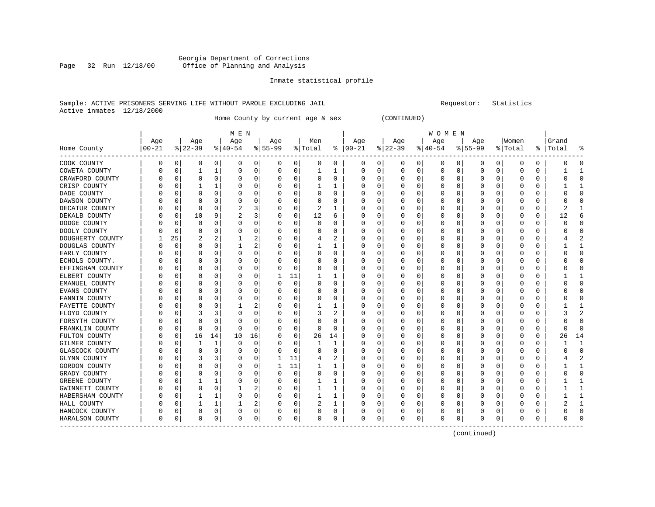#### Georgia Department of Corrections<br>Page 32 Run 12/18/00 Office of Planning and Analysis Office of Planning and Analysis

#### Inmate statistical profile

#### Sample: ACTIVE PRISONERS SERVING LIFE WITHOUT PAROLE EXCLUDING JAIL Requestor: Statistics Active inmates 12/18/2000

Home County by current age & sex (CONTINUED)

|                  |           |          |              |          | M E N     |                |           |             |              |          |               |          |              |          | W O M E N |             |             |          |             |          |           |                |
|------------------|-----------|----------|--------------|----------|-----------|----------------|-----------|-------------|--------------|----------|---------------|----------|--------------|----------|-----------|-------------|-------------|----------|-------------|----------|-----------|----------------|
|                  | Age       |          | Age          |          | Age       |                | Age       |             | Men          |          | Age           |          | Age          |          | Age       |             | Age         |          | Women       |          | Grand     |                |
| Home County      | $00 - 21$ |          | $ 22-39$     |          | $ 40-54 $ |                | $8 55-99$ |             | % Total      |          | $8   00 - 21$ |          | $ 22-39 $    |          | $ 40-54$  |             | $8155 - 99$ |          | % Total     |          | %   Total | န္             |
| COOK COUNTY      | O         | 0        | O            | 0        | 0         | 0              | 0         | 0           | 0            | 0        | 0             | 0        | 0            | 0        | 0         | 0           | 0           | 0        | 0           | 0        |           | $\Omega$       |
| COWETA COUNTY    | O         | $\Omega$ | $\mathbf{1}$ | 1        | 0         | 0              | $\Omega$  | 0           | $\mathbf{1}$ | 1        | 0             | 0        | 0            | 0        | $\Omega$  | 0           | $\mathbf 0$ | 0        | $\mathbf 0$ | $\Omega$ |           | $\mathbf{1}$   |
| CRAWFORD COUNTY  |           | $\Omega$ | $\Omega$     | $\Omega$ | C         | 0              |           | 0           | 0            | $\Omega$ | O             | 0        | O            | 0        | O         | $\mathbf 0$ | $\Omega$    | $\Omega$ | $\Omega$    | $\Omega$ |           | $\Omega$       |
| CRISP COUNTY     |           | 0        |              |          | C         | 0              |           | 0           |              | 1        | 0             | 0        | 0            | 0        | 0         | 0           | 0           | $\Omega$ | $\Omega$    | 0        |           | -1             |
| DADE COUNTY      |           | 0        | 0            | 0        | C         | 0              |           | 0           | 0            | 0        | 0             | 0        | 0            | 0        | 0         | 0           | 0           | O        | 0           | 0        |           | $\Omega$       |
| DAWSON COUNTY    |           | n        | $\Omega$     | O        | C         | 0              |           | $\Omega$    | 0            | O        | 0             | 0        | O            | 0        | 0         | 0           | O           | O        | $\cap$      | $\Omega$ |           | $\Omega$       |
| DECATUR COUNTY   | O         | $\Omega$ | $\Omega$     | $\Omega$ | 2         | 3              |           | $\Omega$    | 2            | 1        | 0             | $\Omega$ | 0            | 0        | 0         | 0           | 0           | 0        | $\Omega$    | 0        |           |                |
| DEKALB COUNTY    |           | 0        | 10           | 9        | 2         | 3              |           | 0           | 12           | 6        | 0             | 0        | 0            | 0        | 0         | $\Omega$    | 0           | 0        | $\Omega$    | 0        | 12        | 6              |
| DODGE COUNTY     |           | $\Omega$ | 0            | 0        | 0         | 0              |           | 0           | 0            | 0        | 0             | 0        | 0            | 0        | 0         | 0           | 0           | 0        | 0           | 0        |           | $\Omega$       |
| DOOLY COUNTY     |           | $\Omega$ | $\Omega$     | $\Omega$ | C         | 0              |           | 0           | 0            | 0        | O             | 0        | 0            | $\Omega$ | 0         | 0           | 0           | $\Omega$ | $\Omega$    | $\Omega$ |           | $\Omega$       |
| DOUGHERTY COUNTY |           | 25       | 2            | 2        |           | 2              |           | 0           | 4            | 2        | <sup>0</sup>  | $\Omega$ | <sup>0</sup> | 0        | O         | 0           | 0           | O        | $\Omega$    | 0        |           | $\overline{2}$ |
| DOUGLAS COUNTY   | N         | 0        | $\Omega$     | 0        |           | 2              |           | 0           |              | 1        | 0             | 0        | 0            | 0        | 0         | 0           | 0           | 0        | 0           | 0        |           | $\mathbf{1}$   |
| EARLY COUNTY     |           | 0        |              | O        | C         | 0              |           | 0           | 0            | 0        | O             | 0        | 0            | 0        | 0         | 0           | 0           | 0        | 0           | 0        |           | $\Omega$       |
| ECHOLS COUNTY.   |           | n        | O            | $\Omega$ | C         | 0              |           | $\Omega$    | 0            | O        | O             | $\Omega$ | <sup>0</sup> | 0        | O         | 0           | O           | O        | $\Omega$    | O        |           | $\Omega$       |
| EFFINGHAM COUNTY |           | n        | 0            | $\Omega$ | C         | 0              |           | $\Omega$    | 0            | 0        | 0             | $\Omega$ | 0            | $\Omega$ | 0         | $\Omega$    | 0           | $\Omega$ | $\Omega$    | 0        |           | $\Omega$       |
| ELBERT COUNTY    |           | n        | 0            | $\Omega$ | 0         | 0              | 1         | 11          |              | ı        | C             | 0        | 0            | 0        | 0         | 0           | 0           | $\Omega$ | $\Omega$    | 0        |           | -1             |
| EMANUEL COUNTY   |           | 0        |              | 0        | C         | 0              |           | $\mathbf 0$ | 0            | 0        | 0             | 0        | 0            | 0        | 0         | 0           | 0           | 0        | 0           | 0        |           | $\Omega$       |
| EVANS COUNTY     |           | 0        | $\Omega$     | $\Omega$ | C         | 0              |           | 0           | 0            | O        | O             | 0        | 0            | $\Omega$ | O         | 0           | 0           | 0        | $\Omega$    | 0        |           | $\Omega$       |
| FANNIN COUNTY    |           | $\Omega$ | O            | $\Omega$ | C         | 0              |           | 0           | 0            | O        | 0             | 0        | 0            | 0        | 0         | 0           | 0           | $\Omega$ | $\Omega$    | 0        |           | $\Omega$       |
| FAYETTE COUNTY   | C         | 0        | $\Omega$     | $\Omega$ |           | 2              |           | 0           |              |          | 0             | 0        | 0            | 0        | 0         | 0           | 0           | 0        | 0           | 0        |           | $\mathbf{1}$   |
| FLOYD COUNTY     |           | n        |              | 3        | C         | 0              |           | $\Omega$    | 3            | 2        | 0             | 0        | O            | 0        | 0         | 0           | 0           | O        | 0           | 0        |           | $\overline{c}$ |
| FORSYTH COUNTY   |           | n        | $\Omega$     | $\Omega$ | C         | 0              |           | $\Omega$    | 0            | 0        | O             | $\Omega$ | <sup>0</sup> | 0        | 0         | 0           | O           | O        | 0           | O        |           | $\Omega$       |
| FRANKLIN COUNTY  |           | n        | $\Omega$     | $\Omega$ | $\Omega$  | 0              |           | 0           | 0            | $\Omega$ | 0             | 0        | O            | 0        | 0         | 0           | 0           | 0        | 0           | 0        |           | $\Omega$       |
| FULTON COUNTY    |           | 0        | 16           | 14       | 10        | 16             |           | 0           | 26           | 14       | 0             | $\Omega$ | 0            | $\Omega$ | 0         | $\mathbf 0$ | 0           | $\Omega$ | 0           | $\Omega$ | 26        | 14             |
| GILMER COUNTY    |           | 0        |              | 1        | C         | 0              |           | 0           | 1            | 1        | O             | 0        | 0            | 0        | 0         | 0           | 0           | 0        | 0           | 0        |           | $\mathbf{1}$   |
| GLASCOCK COUNTY  |           | 0        | $\Omega$     | $\Omega$ | O         | 0              |           | 0           | 0            | $\Omega$ | 0             | 0        | 0            | 0        | 0         | 0           | 0           | O        | $\Omega$    | 0        |           | $\Omega$       |
| GLYNN COUNTY     |           | 0        | 3            | 3        | 0         | 0              |           | 11          | 4            | 2        | 0             | $\Omega$ | O            | 0        | 0         | 0           | 0           | 0        | 0           | 0        |           | 2              |
| GORDON COUNTY    | C         | 0        | 0            | $\Omega$ | C         | 0              |           | 11          |              | 1        | 0             | $\Omega$ | 0            | $\Omega$ | 0         | 0           | 0           | 0        | 0           | 0        |           | 1              |
| GRADY COUNTY     |           | $\Omega$ |              | $\Omega$ | C         | 0              |           | $\mathbf 0$ | 0            | 0        | O             | 0        | 0            | 0        | 0         | 0           | 0           | 0        | O           | 0        |           | $\Omega$       |
| GREENE COUNTY    |           | n        |              |          | C         | 0              |           | $\Omega$    |              | 1        | 0             | $\Omega$ | <sup>0</sup> | 0        | 0         | 0           | 0           | O        | $\Omega$    | O        |           | -1             |
| GWINNETT COUNTY  | C         | n        | $\Omega$     | $\Omega$ |           | $\overline{2}$ |           | 0           |              | 1        | 0             | $\Omega$ | O            | $\Omega$ | 0         | 0           | O           | $\Omega$ | n           | 0        |           |                |
| HABERSHAM COUNTY |           | 0        |              |          | 0         | 0              |           | 0           |              | 1        | O             | 0        | 0            | $\Omega$ | 0         | 0           | 0           | $\Omega$ | $\Omega$    | 0        |           | $\mathbf{1}$   |
| HALL COUNTY      |           | 0        |              |          |           | 2              |           | 0           | 2            | 1        | O             | 0        | 0            | 0        | 0         | 0           | 0           | 0        | O           | 0        |           | $\mathbf{1}$   |
| HANCOCK COUNTY   | N         | 0        | $\Omega$     | 0        | C         | 0              |           | 0           | 0            | 0        | O             | 0        | 0            | 0        | 0         | 0           | 0           | 0        | 0           | 0        |           | $\cap$         |
| HARALSON COUNTY  | 0         | 0        | 0            | 0        | $\Omega$  | 0              | $\Omega$  | 0           | 0            | 0        | $\mathbf 0$   | 0        | 0            | 0        | $\Omega$  | 0           | $\Omega$    | 0        | $\Omega$    | 0        |           | $\Omega$       |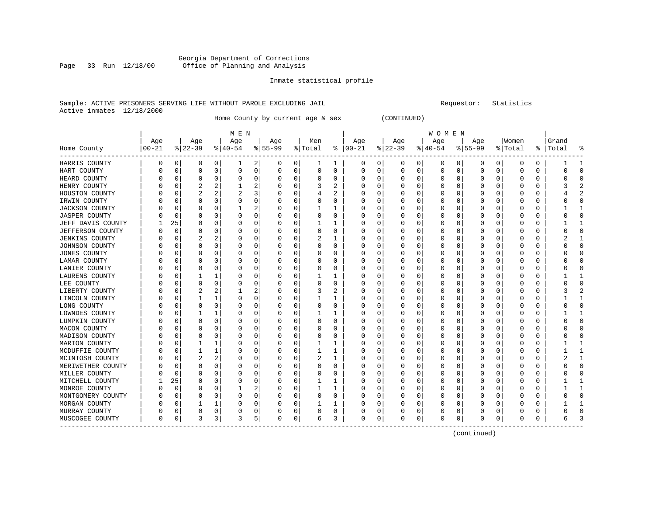#### Georgia Department of Corrections<br>Page 33 Run 12/18/00 Office of Planning and Analysis Office of Planning and Analysis

#### Inmate statistical profile

#### Sample: ACTIVE PRISONERS SERVING LIFE WITHOUT PAROLE EXCLUDING JAIL Requestor: Statistics Active inmates 12/18/2000

Home County by current age & sex (CONTINUED)

|                                         |          |          |           |              | M E N        |                |          |             |          |          |               |          |           |          | W O M E N |          |          |          |          |          |           |                |
|-----------------------------------------|----------|----------|-----------|--------------|--------------|----------------|----------|-------------|----------|----------|---------------|----------|-----------|----------|-----------|----------|----------|----------|----------|----------|-----------|----------------|
|                                         | Age      |          | Age       |              | Age          |                | Age      |             | Men      |          | Age           |          | Age       |          | Age       |          | Age      |          | Women    |          | Grand     |                |
| Home County<br>-------------<br>------- | $ 00-21$ |          | $ 22-39 $ |              | $8 40-54$    |                | $ 55-99$ |             | % Total  |          | $8   00 - 21$ |          | $ 22-39 $ |          | $ 40-54$  |          | $ 55-99$ |          | % Total  |          | %   Total | ႜ              |
| HARRIS COUNTY                           | 0        | 0        | 0         | 0            | 1            | 2              | 0        | 0           | 1        | 1        | $\Omega$      | 0        | 0         | 0        | $\Omega$  | 0        | 0        | 0        | 0        | $\Omega$ |           | 1              |
| HART COUNTY                             | N        | 0        | 0         | 0            | 0            | 0              | $\Omega$ | 0           | 0        | 0        | $\Omega$      | 0        | $\Omega$  | 0        | $\Omega$  | 0        | 0        | 0        | $\Omega$ | $\Omega$ | U         | $\Omega$       |
| HEARD COUNTY                            |          | 0        | 0         | $\Omega$     | 0            | 0              | O        | 0           | 0        | 0        | 0             | $\Omega$ | O         | 0        | 0         | 0        | 0        | $\Omega$ | $\Omega$ | $\Omega$ |           | $\Omega$       |
| HENRY COUNTY                            |          | 0        |           |              |              | 2              |          | 0           | 3        | 2        |               |          | O         | 0        |           | 0        | C        | 0        | $\Omega$ | $\Omega$ |           | $\overline{2}$ |
| HOUSTON COUNTY                          |          | C        | 2         | 2            |              | 3              | O        | 0           | 4        |          | O             | n        | O         | 0        |           | $\Omega$ | 0        | O        | O        | $\Omega$ |           | $\overline{2}$ |
| IRWIN COUNTY                            |          | 0        | O         | O            | 0            | 0              | O        | 0           | $\Omega$ | 0        | $\left($      | $\Omega$ | O         | 0        |           | $\Omega$ | O        | O        | O        | $\Omega$ |           | $\Omega$       |
| <b>JACKSON COUNTY</b>                   |          | 0        | O         | $\Omega$     | -1           | 2              | O        | $\mathbf 0$ | 1        | 1        | O             | $\Omega$ | $\left($  | 0        |           | 0        | $\Omega$ | $\Omega$ | $\Omega$ | 0        |           | 1              |
| <b>JASPER COUNTY</b>                    |          | 0        | 0         | 0            | 0            | 0              | O        | $\mathbf 0$ | 0        | 0        |               | $\Omega$ | O         | 0        |           | 0        | C        | 0        | $\Omega$ | $\Omega$ |           | $\mathbf 0$    |
| JEFF DAVIS COUNTY                       |          | 25       | O         | $\Omega$     | $\Omega$     | 0              | O        | 0           |          | 1        | $\Omega$      | $\Omega$ | C         | 0        |           | $\Omega$ | C        | $\Omega$ | $\Omega$ | $\Omega$ |           | $\mathbf{1}$   |
| <b>JEFFERSON COUNTY</b>                 |          | 0        | 0         | 0            | $\Omega$     | 0              | O        | 0           | $\Omega$ | $\Omega$ | $\Omega$      | $\Omega$ | C         | 0        |           | $\Omega$ | 0        | $\Omega$ | $\Omega$ | $\Omega$ |           | $\Omega$       |
| <b>JENKINS COUNTY</b>                   |          | 0        |           | 2            | 0            | 0              | O        | 0           | 2        | 1        | O             | $\Omega$ | O         | 0        |           | 0        | 0        | 0        | $\Omega$ | 0        |           | 1              |
| JOHNSON COUNTY                          |          | 0        | 0         | 0            | 0            | 0              |          | 0           | 0        | 0        |               | O        | O         | 0        |           | 0        | C        | 0        | O        | O        |           | $\mathbf 0$    |
| <b>JONES COUNTY</b>                     |          | C        | O         | U            | $\Omega$     | 0              | O        | $\Omega$    | $\Omega$ | $\Omega$ | ∩             | $\Omega$ | O         | O        |           | $\Omega$ | C        | $\Omega$ | ∩        | $\Omega$ |           | $\Omega$       |
| LAMAR COUNTY                            |          | 0        | 0         | $\Omega$     | $\Omega$     | 0              | O        | 0           | $\Omega$ | $\Omega$ |               | $\Omega$ | O         | O        |           | $\Omega$ | O        | $\Omega$ | O        | $\Omega$ |           | $\Omega$       |
| LANIER COUNTY                           |          | 0        | 0         | $\Omega$     | $\Omega$     | 0              | 0        | 0           | 0        | $\Omega$ |               | $\Omega$ | O         | $\Omega$ |           | 0        | C        | $\Omega$ | $\Omega$ | $\Omega$ |           | $\Omega$       |
| LAURENS COUNTY                          |          | 0        |           | 1            | $\Omega$     | 0              |          | 0           |          | 1        |               | $\Omega$ | O         | 0        |           | $\Omega$ | C        | $\Omega$ | $\Omega$ | $\Omega$ |           | 1              |
| LEE COUNTY                              |          | $\Omega$ | 0         | 0            | C            | 0              | O        | 0           | $\Omega$ | $\Omega$ | C             | $\Omega$ |           | 0        |           | $\Omega$ | C        | $\Omega$ | $\Omega$ | $\Omega$ |           | $\Omega$       |
| LIBERTY COUNTY                          |          | 0        | 2         | 2            |              | $\overline{a}$ |          | 0           | 3        | 2        | O             | 0        | C         | 0        |           | 0        | 0        | 0        | O        | 0        |           | $\overline{2}$ |
| LINCOLN COUNTY                          |          | 0        |           | 1            | 0            | 0              | O        | 0           |          | 1        | O             | 0        | O         | 0        | $\left($  | 0        | 0        | 0        | O        | 0        |           | 1              |
| LONG COUNTY                             |          | 0        | 0         | 0            | 0            | 0              |          | 0           | 0        | 0        |               |          | $\left($  | 0        |           | $\Omega$ | C        | O        | O        | $\Omega$ |           | $\Omega$       |
| LOWNDES COUNTY                          |          | 0        |           | 1            | 0            | 0              | O        | $\Omega$    |          | 1        | O             | $\Omega$ | O         | 0        |           | $\Omega$ | C        | $\Omega$ | $\Omega$ | $\Omega$ |           | 1              |
| LUMPKIN COUNTY                          |          | $\Omega$ | O         | $\Omega$     | $\Omega$     | 0              | O        | $\Omega$    | $\Omega$ | $\Omega$ | O             | $\Omega$ | O         | O        |           | $\Omega$ | O        | $\Omega$ | $\Omega$ | $\Omega$ |           | $\Omega$       |
| MACON COUNTY                            |          | $\Omega$ | 0         | $\Omega$     | $\Omega$     | 0              | O        | $\Omega$    | 0        | $\Omega$ | 0             | $\Omega$ | O         | 0        |           | $\Omega$ | 0        | $\Omega$ | $\Omega$ | $\Omega$ |           | $\Omega$       |
| MADISON COUNTY                          |          | 0        | 0         | 0            | 0            | 0              |          | 0           | 0        | $\Omega$ |               | 0        | C         | 0        |           | 0        | C        | 0        | $\Omega$ | 0        |           | $\mathbf 0$    |
| MARION COUNTY                           |          | 0        |           | $\mathbf{1}$ | $\Omega$     | 0              | O        | 0           |          | 1        | $\Omega$      | $\Omega$ |           | 0        |           | $\Omega$ | C        | $\Omega$ | $\Omega$ | $\Omega$ |           | 1              |
| MCDUFFIE COUNTY                         |          | 0        | 1         | 1            | 0            | 0              | 0        | 0           |          | 1        | O             | 0        | $\Box$    | 0        |           | 0        | 0        | 0        | O        | 0        |           | 1              |
| MCINTOSH COUNTY                         |          | 0        |           | 2            | 0            | 0              | O        | 0           | 2        | 1        | O             | 0        | O         | 0        | $\left($  | 0        | $\Omega$ | 0        | O        | O        |           | 1              |
| MERIWETHER COUNTY                       |          | 0        | 0         | 0            | 0            | 0              | O        | 0           | 0        | 0        |               | O        | O         | 0        | $\left($  | 0        | C        | 0        | O        | O        |           | $\Omega$       |
| MILLER COUNTY                           |          | $\Omega$ | O         | O            | $\mathsf{C}$ | $\Omega$       | O        | $\Omega$    | $\Omega$ | $\Omega$ | $\Omega$      | O        | O         | O        |           | $\Omega$ | Ω        | $\Omega$ | $\Omega$ | $\Omega$ |           | $\Omega$       |
| MITCHELL COUNTY                         |          | 25       | 0         | $\Omega$     | $\Omega$     | 0              | 0        | $\Omega$    |          | 1        | O             | $\Omega$ | O         | 0        |           | $\Omega$ | 0        | $\Omega$ | $\Omega$ | $\Omega$ |           | 1              |
| MONROE COUNTY                           |          | 0        | 0         | $\Omega$     |              | 2              | O        | 0           |          | 1        | $\Omega$      | $\Omega$ | O         | 0        |           | $\Omega$ | 0        | 0        | $\Omega$ | $\Omega$ |           | 1              |
| MONTGOMERY COUNTY                       |          | 0        | 0         | $\Omega$     | $\Omega$     | 0              |          | 0           | 0        | 0        |               | 0        | C         | 0        |           | 0        | C        | 0        | O        | 0        |           | $\mathbf 0$    |
| MORGAN COUNTY                           |          | 0        | 1         | 1            | C            | 0              | 0        | 0           |          | 1        |               | 0        | C         | 0        |           | $\Omega$ | C        | 0        | O        | 0        |           | 1              |
| MURRAY COUNTY                           |          | 0        | 0         | 0            | 0            | 0              | O        | 0           | 0        | 0        | O             | 0        | C         | 0        |           | 0        | O        | 0        | O        | 0        |           | $\Omega$       |
| MUSCOGEE COUNTY                         | $\Omega$ | 0        | 3         | 3            | 3            | 5              | $\Omega$ | 0           | 6        | 3        | 0             | 0        | $\Omega$  | 0        | $\Omega$  | 0        | O        | 0        | $\Omega$ | 0        | 6         | 3              |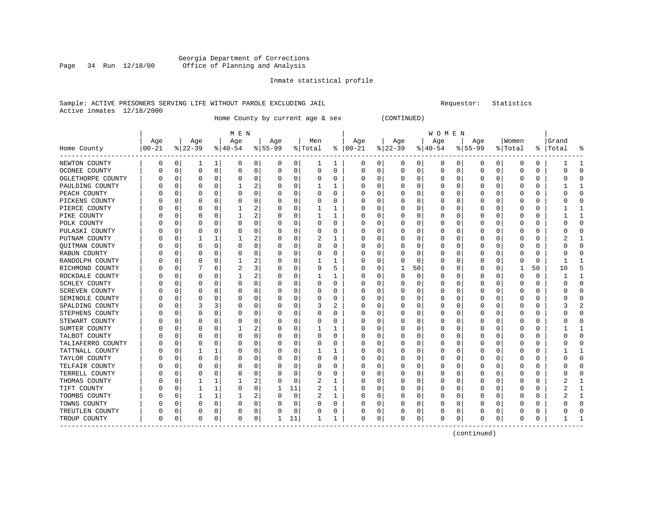#### Georgia Department of Corrections<br>Page 34 Run 12/18/00 Office of Planning and Analysis Page 34 Run 12/18/00 Office of Planning and Analysis

#### Inmate statistical profile

#### Sample: ACTIVE PRISONERS SERVING LIFE WITHOUT PAROLE EXCLUDING JAIL Requestor: Statistics Active inmates 12/18/2000

Home County by current age & sex (CONTINUED)

|                       |          |              |          |              | M E N     |          |           |             |           |          |               |          |           |    | W O M E N    |          |          |   |          |          |           |                |
|-----------------------|----------|--------------|----------|--------------|-----------|----------|-----------|-------------|-----------|----------|---------------|----------|-----------|----|--------------|----------|----------|---|----------|----------|-----------|----------------|
|                       | Age      |              | Age      |              | Age       |          | Age       |             | Men       |          | Age           |          | Age       |    | Age          |          | Age      |   | Women    |          | Grand     |                |
| Home County           | $ 00-21$ |              | $ 22-39$ |              | $8 40-54$ |          | $8 55-99$ |             | %   Total |          | $8   00 - 21$ |          | $ 22-39 $ |    | $ 40-54$     |          | $ 55-99$ |   | % Total  |          | %   Total | ႜ              |
| NEWTON COUNTY         | $\Omega$ | 0            | 1        | 1            | 0         | 0        | 0         | 0           | 1         | 1        | $\Omega$      | 0        | 0         | 0  | 0            | 0        | 0        | 0 | 0        | $\Omega$ |           | 1              |
| OCONEE COUNTY         | 0        | 0            | 0        | 0            | $\Omega$  | 0        | 0         | 0           | 0         | $\Omega$ | $\Omega$      | 0        | 0         | 0  | 0            | 0        | 0        | 0 | $\Omega$ | $\Omega$ | U         | $\Omega$       |
| OGLETHORPE COUNTY     | Ω        | $\Omega$     | O        | $\Omega$     | 0         | 0        | O         | 0           | 0         | 0        | U             | 0        | C         | 0  | O            | 0        | 0        | 0 | O        | $\Omega$ |           | $\Omega$       |
| PAULDING COUNTY       | 0        | $\Omega$     | O        | 0            |           | 2        | $\left($  | 0           |           | ı        |               | O        | O         | N  |              | 0        | $\Omega$ | O | O        | 0        |           | 1              |
| PEACH COUNTY          |          | 0            | O        | O            | 0         | 0        |           | 0           | 0         | 0        |               |          | C         | 0  |              | $\Omega$ | C        | O | O        | $\Omega$ |           | $\Omega$       |
| PICKENS COUNTY        | 0        | $\Omega$     | O        | O            | $\Omega$  | $\Omega$ | O         | $\Omega$    | 0         | 0        |               | O        | C         | N  |              | $\Omega$ | Ω        | O | $\Omega$ | $\Omega$ |           | $\Omega$       |
| PIERCE COUNTY         | 0        | O            | O        | <sup>0</sup> |           | 2        |           | $\Omega$    |           | 1        |               | O        | O         | 0  |              | $\Omega$ | 0        | O | O        | 0        |           | 1              |
| PIKE COUNTY           |          | <sup>0</sup> | $\left($ | <sup>0</sup> |           | 2        | $\left($  | 0           |           | 1        |               | 0        | $\Omega$  | 0  |              | $\Omega$ | $\Omega$ | O | O        | 0        |           | 1              |
| POLK COUNTY           |          | $\Omega$     | 0        | 0            | 0         | 0        |           | $\mathbf 0$ | 0         | 0        |               | 0        | O         | 0  |              | 0        | 0        | 0 | $\Omega$ | 0        |           | $\mathbf 0$    |
| PULASKI COUNTY        |          | $\Omega$     | O        | O            | 0         | 0        |           | 0           | 0         | 0        |               | O        | C         | 0  |              | $\Omega$ | 0        | O | $\Omega$ | 0        |           | $\Omega$       |
| PUTNAM COUNTY         | Λ        | $\Omega$     |          | 1            | 1         | 2        | 0         | 0           | 2         | 1        | U             | O        | C         | 0  |              | $\Omega$ | 0        | O | $\Omega$ | 0        |           | 1              |
| <b>OUITMAN COUNTY</b> | Ω        | $\Omega$     | 0        | 0            | $\Omega$  | 0        | U         | 0           | 0         | 0        | O             | O        | $\Omega$  | 0  | $\left($     | 0        | O        | 0 | O        | 0        |           | $\mathbf 0$    |
| RABUN COUNTY          | Ω        | 0            | 0        | 0            | 0         | 0        | 0         | 0           | 0         | 0        |               | 0        | 0         | 0  |              | 0        | 0        | 0 | O        | O        |           | 0              |
| RANDOLPH COUNTY       | Ω        | 0            | 0        | O            |           | 2        |           | 0           |           |          |               | O        | 0         | 0  |              | $\Omega$ | C        | O | $\Omega$ | $\Omega$ |           | 1              |
| RICHMOND COUNTY       | 0        | <sup>0</sup> |          | 6            | 2         | 3        | O         | 0           | 9         | 5        | n             | O        |           | 50 |              | O        | O        | O | 1        | 50       | 10        | 5              |
| ROCKDALE COUNTY       | Ω        | O            | O        | O            |           | 2        | O         | 0           |           | 1        |               | O        | 0         | 0  |              | O        | 0        | O | O        | 0        |           | 1              |
| SCHLEY COUNTY         |          | 0            | 0        | 0            | 0         | 0        | O         | 0           | 0         | 0        |               | 0        | 0         | 0  | O            | 0        | 0        | 0 | O        | 0        |           | $\mathbf 0$    |
| SCREVEN COUNTY        |          | 0            | 0        | 0            | 0         | 0        |           | 0           | 0         | 0        |               | $\Omega$ | C         | 0  |              | 0        | 0        | 0 | 0        | 0        |           | 0              |
| SEMINOLE COUNTY       |          | 0            | 0        | O            | 0         | 0        |           | 0           | 0         | 0        |               | O        | C         | 0  |              | $\Omega$ | 0        | 0 | $\Omega$ | 0        |           | $\Omega$       |
| SPALDING COUNTY       | Λ        | $\Omega$     | 3        | 3            | 0         | 0        | U         | 0           | 3         | 2        | n             | 0        | O         | 0  |              | 0        | 0        | 0 | O        | 0        |           | $\overline{2}$ |
| STEPHENS COUNTY       | Ω        | 0            | 0        | 0            | 0         | 0        | 0         | 0           | 0         | 0        | O             | 0        | 0         | 0  | O            | 0        | 0        | 0 | O        | 0        |           | 0              |
| STEWART COUNTY        | 0        | $\Omega$     | 0        | 0            | 0         | 0        | 0         | 0           | 0         | 0        |               | 0        | 0         | 0  |              | 0        | 0        | 0 | $\Omega$ | 0        |           | $\Omega$       |
| SUMTER COUNTY         |          | $\Omega$     | 0        | 0            |           | 2        |           | 0           |           |          |               |          | C         | 0  |              | $\Omega$ | C        | 0 | $\Omega$ | $\Omega$ |           | $\mathbf{1}$   |
| TALBOT COUNTY         |          | $\Omega$     | O        | O            | $\Omega$  | 0        | O         | 0           | 0         | 0        |               | O        | C         | 0  |              | $\Omega$ | 0        | O | $\Omega$ | $\Omega$ |           | $\Omega$       |
| TALIAFERRO COUNTY     |          | $\Omega$     | O        | 0            | 0         | 0        | O         | $\Omega$    | 0         | 0        |               | O        | 0         | 0  |              | $\Omega$ | 0        | O | $\Omega$ | $\Omega$ |           | $\Omega$       |
| TATTNALL COUNTY       |          | $\Omega$     |          |              | 0         | 0        | $\left($  | $\Omega$    | 1         | 1        |               | 0        | 0         | 0  |              | $\Omega$ | 0        | 0 | $\Omega$ | $\Omega$ |           | 1              |
| TAYLOR COUNTY         |          | 0            | 0        | 0            | 0         | 0        |           | 0           | 0         | 0        |               | 0        | C         | 0  |              | 0        | C        | 0 | $\Omega$ | $\Omega$ |           | $\Omega$       |
| TELFAIR COUNTY        |          | $\Omega$     | O        | $\Omega$     | 0         | 0        |           | 0           | 0         | 0        |               | $\Omega$ | C         | 0  |              | $\Omega$ | 0        | O | $\Omega$ | $\Omega$ |           | $\Omega$       |
| TERRELL COUNTY        | Ω        | $\Omega$     | O        | 0            | 0         | 0        | O         | 0           | 0         | $\Omega$ | $\Omega$      | 0        | O         | 0  |              | $\Omega$ | 0        | O | $\Omega$ | $\Omega$ |           | $\Omega$       |
| THOMAS COUNTY         | O        | $\Omega$     | 1        |              |           | 2        | O         | 0           | 2         | 1        | O             | 0        | 0         | 0  | O            | 0        | $\Omega$ | 0 | O        | 0        |           | 1              |
| TIFT COUNTY           | O        | $\Omega$     | 1        |              | $\Omega$  | 0        |           | 11          | 2         | 1        |               | O        | 0         | 0  |              | 0        | 0        | O | O        | 0        |           | 1              |
| TOOMBS COUNTY         | O        | $\Omega$     |          |              |           | 2        | O         | 0           | 2         | 1        |               | O        | C         | 0  |              | $\Omega$ | 0        | 0 | $\Omega$ | $\Omega$ |           | $\mathbf{1}$   |
| TOWNS COUNTY          | 0        | $\Omega$     | O        | 0            | 0         | 0        | O         | 0           | 0         | 0        |               | O        |           | 0  |              | ∩        | Ω        | O | ∩        | 0        |           | $\Omega$       |
| TREUTLEN COUNTY       | 0        | 0            | O        | 0            | 0         | 0        |           | 0           | 0         | 0        |               | 0        | 0         | 0  |              | 0        | 0        | 0 | O        | 0        |           | 0              |
| TROUP COUNTY          | U        | 0            | O        | 0            | $\Omega$  | 0        |           | 11          |           | 1        | U             | 0        | O         | 0  | <sup>0</sup> | 0        | O        | 0 | $\Omega$ | $\Omega$ |           | 1              |

------------------------------------------------------------------------------------------------------------------------------------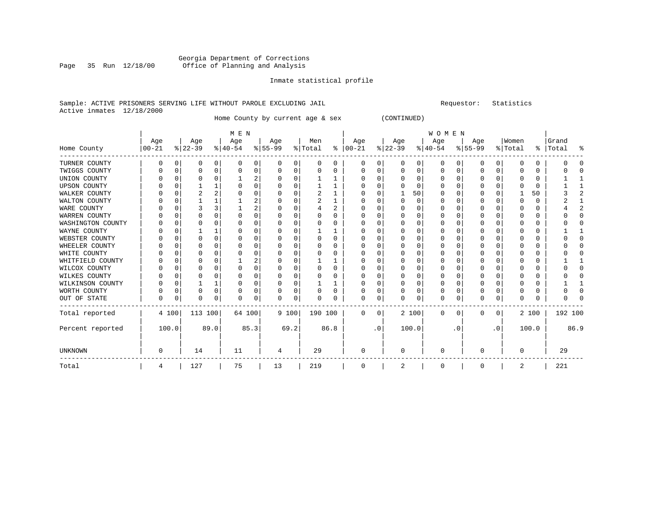#### Georgia Department of Corrections<br>Page 35 Run 12/18/00 Office of Planning and Analysis Page 35 Run 12/18/00 Office of Planning and Analysis

#### Inmate statistical profile

#### Sample: ACTIVE PRISONERS SERVING LIFE WITHOUT PAROLE EXCLUDING JAIL Requestor: Statistics Active inmates 12/18/2000

Home County by current age & sex (CONTINUED)

|                     |                  |          |                  |          | M E N            |          |                  |          |                |          |                 |           |                  |       | WOMEN           |          |                    |             |                  |          |                    |                |
|---------------------|------------------|----------|------------------|----------|------------------|----------|------------------|----------|----------------|----------|-----------------|-----------|------------------|-------|-----------------|----------|--------------------|-------------|------------------|----------|--------------------|----------------|
| Home County         | Age<br>$00 - 21$ |          | Age<br>$ 22-39 $ |          | Age<br>$ 40-54 $ |          | Age<br>$8 55-99$ |          | Men<br>% Total | ៖        | Age<br>$ 00-21$ |           | Age<br>$ 22-39 $ |       | Age<br>$ 40-54$ |          | Age<br>$8155 - 99$ |             | Women<br>% Total |          | Grand<br>%   Total | ႜ              |
|                     |                  |          |                  |          |                  |          |                  |          |                |          |                 |           |                  |       |                 |          |                    |             |                  |          |                    |                |
| TURNER COUNTY       | 0                | $\Omega$ | 0                | 0        | $\Omega$         | 0        | 0                | 0        | 0              | 0        | $\Omega$        | 0         | 0                | 0     | 0               | 0        | 0                  | 0           | $\Omega$         | $\Omega$ |                    | U              |
| TWIGGS COUNTY       |                  | $\Omega$ | 0                | 0        | $\Omega$         | 0        | O                | 0        | 0              | 0        |                 |           | $\Omega$         | U     | 0               | 0        | 0                  | $\Omega$    | O                | 0        |                    | U              |
| UNION COUNTY        |                  | O        | O                | O        |                  | 2        |                  | 0        |                |          | U               |           | $\Omega$         | U     | <sup>0</sup>    | $\Omega$ | O                  | $\Omega$    | ∩                | $\Omega$ |                    |                |
| <b>UPSON COUNTY</b> |                  | O        |                  |          | C                | 0        |                  | 0        |                |          |                 | 0         |                  | 0     |                 | $\Omega$ |                    | O           | $\Omega$         | $\Omega$ |                    |                |
| WALKER COUNTY       |                  | O        |                  |          | O                | 0        |                  | $\Omega$ | 2              | 1        |                 |           |                  | 50    |                 | ∩        | O                  | U           |                  | 50       |                    | $\overline{a}$ |
| WALTON COUNTY       |                  | O        |                  |          |                  | 2        |                  | 0        | 2              |          |                 |           |                  | 0     |                 |          |                    | O           |                  | O        |                    |                |
| WARE COUNTY         |                  | C        |                  |          |                  | 2        |                  | 0        |                | 2        |                 |           |                  | U     |                 | O        | O                  | 0           | O                | 0        |                    | $\overline{2}$ |
| WARREN COUNTY       |                  | n        | O                | n        | n                | O        |                  | $\Omega$ | $\Omega$       | $\Omega$ |                 |           | U                | U     | O               | ∩        | O                  | U           | ∩                | $\Omega$ |                    | $\cap$         |
| WASHINGTON COUNTY   |                  | O        | U                |          |                  | 0        |                  | 0        |                | 0        |                 |           |                  | U     |                 |          | 0                  | O           |                  | $\Omega$ |                    | 0              |
| WAYNE COUNTY        |                  | 0        |                  |          | C                | 0        |                  | 0        |                |          |                 | $\Omega$  | 0                | 0     |                 | $\Omega$ | 0                  | $\Omega$    | $\Omega$         | $\Omega$ |                    |                |
| WEBSTER COUNTY      |                  | O        | O                | $\Omega$ | O                | 0        |                  | $\Omega$ | 0              | $\Omega$ |                 |           | n                | U     |                 | ∩        | 0                  | U           | ∩                | 0        |                    | $\cap$         |
| WHEELER COUNTY      |                  | 0        |                  | U        | C                | 0        |                  | $\Omega$ |                | 0        |                 |           |                  | U     |                 |          |                    | O           |                  | $\Omega$ |                    | $\Omega$       |
| WHITE COUNTY        |                  | O        |                  |          |                  | 0        |                  | 0        |                | 0        |                 |           |                  | U     |                 |          |                    | U           |                  | $\Omega$ |                    | O              |
| WHITFIELD COUNTY    |                  | n        | U                |          |                  | 2        |                  | $\Omega$ |                |          |                 |           | O                | U     |                 |          | 0                  | U           |                  | O        |                    |                |
| WILCOX COUNTY       |                  | O        | O                | U        | <sup>0</sup>     | $\Omega$ | U                | 0        | 0              | $\Omega$ |                 |           | $\Omega$         | U     | O               | $\Omega$ | 0                  | O           | ∩                | $\Omega$ |                    | $\Omega$       |
| WILKES COUNTY       |                  | 0        | O                | 0        | C                | 0        | O                | 0        | 0              | 0        |                 | $\Omega$  | 0                | 0     | <sup>0</sup>    | $\Omega$ |                    | 0           | $\Omega$         | $\Omega$ |                    | O              |
| WILKINSON COUNTY    |                  | $\Omega$ |                  |          | O                | 0        | O                | $\Omega$ |                |          |                 |           | O                | U     |                 | $\Omega$ | 0                  | $\Omega$    | O                | $\Omega$ |                    |                |
| WORTH COUNTY        |                  | $\Omega$ | O                | 0        | 0                | 0        | 0                | 0        | 0              | $\Omega$ |                 | 0         | O                | 0     |                 | $\Omega$ | 0                  | 0           | $\Omega$         | $\Omega$ |                    | O              |
| OUT OF STATE        | U                | $\Omega$ | 0                | 0        | $\Omega$         | 0        | <sup>0</sup>     | 0        | U              | 0        | U               | $\Omega$  |                  | 0     | $\Omega$        | $\Omega$ | U                  | $\Omega$    | $\Omega$         | $\Omega$ |                    | ∩              |
| Total reported      |                  | 4 100    | 113 100          |          | 64 100           |          | 9 100            |          | 190 100        |          | $\Omega$        | 0         |                  | 2 100 | $\Omega$        | 0        | 0                  | $\mathbf 0$ |                  | 2 100    | 192 100            |                |
| Percent reported    |                  | 100.0    |                  | 89.0     |                  | 85.3     |                  | 69.2     |                | 86.8     |                 | $\cdot$ 0 |                  | 100.0 |                 | . 0      |                    | $\cdot$ 0   |                  | 100.0    |                    | 86.9           |
| <b>UNKNOWN</b>      | 0                |          | 14               |          | 11               |          | 4                |          | 29             |          |                 |           | O                |       |                 |          | O                  |             | 0                |          | 29                 |                |
| Total               | 4                |          | 127              |          | 75               |          | 13               |          | 219            |          | $\mathbf 0$     |           | 2                |       | $\Omega$        |          | 0                  |             | 2                |          | 221                |                |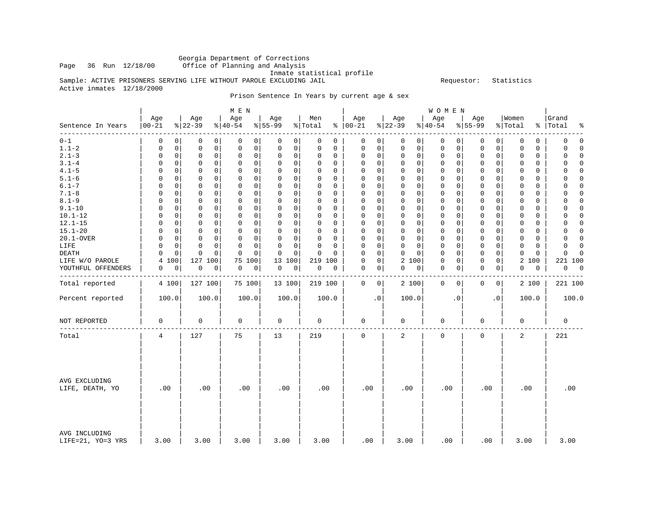# Georgia Department of Corrections

Office of Planning and Analysis

Inmate statistical profile

Sample: ACTIVE PRISONERS SERVING LIFE WITHOUT PAROLE EXCLUDING JAIL **Example** Sequestor: Statistics Active inmates 12/18/2000

Prison Sentence In Years by current age & sex

|                                    |                   |                                           | M E N                      |                            |                      |                            |                                     | <b>WOMEN</b>               |                            |                            |                               |
|------------------------------------|-------------------|-------------------------------------------|----------------------------|----------------------------|----------------------|----------------------------|-------------------------------------|----------------------------|----------------------------|----------------------------|-------------------------------|
| Sentence In Years                  | Age<br>$ 00 - 21$ | Age<br>$ 22-39 $                          | Age<br>$ 40-54 $           | Age<br>$8 55-99$           | Men<br>% Total       | Age<br>$% 100-21$          | Age<br>$ 22-39$                     | Age<br>$ 40-54$            | Age<br>$8 55-99$           | Women<br>% Total           | Grand<br>%   Total<br>နွ      |
| -------<br>$0 - 1$                 | 0                 | $\Omega$<br>0<br>0                        | 0<br>0                     | 0<br>0                     | 0<br>$\Omega$        | 0<br>0                     | $\mathbf 0$<br>$\mathbf 0$          | 0<br>$\Omega$              | 0<br>0                     | $\mathbf 0$<br>0           | 0<br>$\Omega$                 |
| $1.1 - 2$                          | 0                 | $\mathsf{O}\xspace$<br>0<br>0             | $\mathsf{O}\xspace$<br>0   | 0<br>0                     | $\mathbf 0$<br>0     | $\mathsf 0$<br>0           | $\mathsf{O}\xspace$<br>$\mathsf{O}$ | 0<br>0                     | 0<br>$\mathbf 0$           | $\mathbf 0$<br>$\mathbf 0$ | 0<br>$\Omega$                 |
| $2.1 - 3$                          | 0                 | $\Omega$<br>0<br>0                        | $\mathbf 0$<br>0           | 0<br>0                     | $\Omega$<br>$\Omega$ | 0<br>0                     | $\mathbf 0$<br>$\mathbf{0}$         | $\mathbf 0$<br>0           | 0<br>0                     | $\Omega$<br>$\mathbf 0$    | $\Omega$<br>$\Omega$          |
| $3.1 - 4$                          | $\Omega$          | $\Omega$<br>0<br>$\mathbf 0$              | $\mathbf 0$<br>0           | $\mathbf 0$<br>0           | $\Omega$<br>0        | $\mathbf 0$<br>0           | $\mathbf 0$<br>0                    | $\mathbf 0$<br>0           | $\mathbf 0$<br>0           | $\Omega$<br>$\mathbf 0$    | U<br>$\Omega$                 |
| $4.1 - 5$                          | $\Omega$          | 0<br>0<br>0                               | $\mathsf 0$<br>$\mathsf 0$ | $\mathsf 0$<br>$\mathsf 0$ | $\Omega$<br>0        | $\mathsf 0$<br>0           | $\mathbf 0$<br>$\mathbf 0$          | $\mathsf 0$<br>0           | 0<br>0                     | $\mathbf 0$<br>0           | 0<br>$\Omega$                 |
| $5.1 - 6$                          | $\Omega$          | $\Omega$<br>0<br>$\Omega$                 | 0<br>0                     | 0<br>0                     | $\Omega$<br>$\Omega$ | $\Omega$<br>0              | $\mathbf 0$<br>0                    | 0<br>$\Omega$              | $\mathbf 0$<br>0           | 0<br>$\Omega$              | $\Omega$<br>$\Omega$          |
| $6.1 - 7$                          | $\Omega$          | $\Omega$<br>$\mathbf 0$<br>0              | $\mathbf 0$<br>$\Omega$    | 0<br>$\mathbf 0$           | $\Omega$<br>0        | $\mathbf 0$<br>0           | $\mathbf 0$<br>$\mathbf 0$          | $\mathbf 0$<br>0           | $\mathbf 0$<br>0           | $\Omega$<br>$\mathbf 0$    | $\Omega$<br>U                 |
| $7.1 - 8$                          | $\Omega$          | 0<br>$\Omega$<br>$\Omega$                 | $\mathbf 0$<br>0           | 0<br>0                     | $\Omega$<br>$\Omega$ | $\mathbf 0$<br>$\Omega$    | $\mathbf 0$<br>$\mathbf 0$          | $\mathbf 0$<br>0           | $\mathbf 0$<br>$\mathbf 0$ | $\mathbf{0}$<br>$\Omega$   | $\Omega$<br>0                 |
| $8.1 - 9$                          | 0                 | 0<br>0<br>0                               | $\mathbf 0$<br>$\mathbf 0$ | 0<br>0                     | $\Omega$<br>$\Omega$ | $\Omega$<br>$\mathbf 0$    | $\mathsf 0$<br>$\mathbf 0$          | $\mathbf 0$<br>0           | $\mathbf 0$<br>$\mathbf 0$ | $\Omega$<br>$\mathbf 0$    | $\Omega$<br>$\Omega$          |
| $9.1 - 10$                         | 0                 | 0<br>0<br>0                               | $\mathbf 0$<br>0           | 0<br>$\mathbf 0$           | $\Omega$<br>0        | 0<br>0                     | $\mathsf 0$<br>$\mathbf 0$          | 0<br>0                     | $\mathbf 0$<br>0           | $\mathbf 0$<br>$\mathbf 0$ | 0<br>$\Omega$                 |
| $10.1 - 12$                        | $\Omega$          | $\Omega$<br>$\Omega$<br>$\Omega$          | $\mathbf 0$<br>0           | 0<br>$\Omega$              | $\Omega$<br>$\Omega$ | $\mathbf 0$<br>$\Omega$    | $\mathbf 0$<br>$\mathbf 0$          | $\mathbf 0$<br>0           | 0<br>$\Omega$              | $\Omega$<br>$\mathbf 0$    | 0<br>$\Omega$                 |
| $12.1 - 15$                        | $\Omega$          | 0<br>0<br>0                               | $\mathbf 0$<br>0           | 0<br>0                     | $\Omega$<br>0        | $\mathbf 0$<br>0           | $\mathbf 0$<br>$\mathbf 0$          | $\mathbf 0$<br>0           | 0<br>0                     | $\mathbf 0$<br>$\mathbf 0$ | 0<br>$\Omega$                 |
| $15.1 - 20$                        | 0                 | $\Omega$<br>$\mathbf 0$<br>0              | $\Omega$<br>$\Omega$       | 0<br>0                     | $\Omega$<br>$\Omega$ | 0<br>0                     | $\mathbf 0$<br>$\Omega$             | 0<br>$\Omega$              | $\mathbf 0$<br>$\Omega$    | $\Omega$<br>$\Omega$       | $\Omega$<br>$\Omega$          |
| 20.1-OVER                          | $\Omega$          | $\mathbf 0$<br>$\mathbf 0$<br>$\mathbf 0$ | $\mathbf 0$<br>$\mathbf 0$ | 0<br>$\mathbf 0$           | $\Omega$<br>$\Omega$ | $\mathbf 0$<br>$\mathbf 0$ | $\mathbf 0$<br>$\mathbf 0$          | $\mathsf 0$<br>$\mathbf 0$ | $\mathbf 0$<br>$\Omega$    | $\Omega$<br>$\mathbf 0$    | $\mathbf 0$<br>$\Omega$       |
| LIFE                               | $\Omega$          | 0<br>$\Omega$<br>0                        | $\mathbf 0$<br>$\Omega$    | 0<br>0                     | $\Omega$<br>0        | 0<br>0                     | $\mathbf 0$<br>$\mathbf 0$          | 0<br>0                     | $\mathbf 0$<br>0           | $\mathbf 0$<br>0           | 0<br>$\Omega$                 |
| DEATH                              | O                 | $\Omega$<br>$\mathbf 0$<br>$\Omega$       | $\Omega$<br>$\Omega$       | 0<br>$\Omega$              | $\Omega$<br>$\Omega$ | $\mathbf 0$<br>$\Omega$    | $\Omega$<br>$\Omega$                | 0<br>$\Omega$              | 0<br>0                     | $\mathbf 0$<br>$\Omega$    | $\mathbf 0$<br>$\Omega$       |
| LIFE W/O PAROLE                    | 100<br>4          | 127 100                                   | 75<br>100                  | 13 100                     | 219 100              | $\mathsf 0$<br>$\mathbf 0$ | 2 100                               | 0<br>0                     | $\mathbf 0$<br>$\mathbf 0$ | 2 100                      | 221 100                       |
| YOUTHFUL OFFENDERS                 | 0                 | 0<br>0<br>0                               | 0<br>0                     | 0<br>0                     | 0<br>$\mathbf 0$     | 0<br>0                     | 0<br>0                              | 0<br>0                     | $\mathbf 0$<br>0           | 0<br>$\mathbf 0$           | 0<br>$\overline{\phantom{0}}$ |
|                                    |                   |                                           |                            |                            |                      |                            |                                     |                            |                            |                            |                               |
| Total reported                     | 4 100             | 127 100                                   | 75 100                     | 13 100                     | 219 100              | $\mathbf 0$<br>0           | 2 100                               | $\mathbf 0$<br>0           | $\mathbf 0$<br>0           | 2 100                      | 221 100                       |
| Percent reported                   | 100.0             | 100.0                                     | 100.0                      | 100.0                      | 100.0                | $\cdot$ 0                  | 100.0                               | $\cdot$ 0                  | $\cdot$ 0                  | 100.0                      | 100.0                         |
| NOT REPORTED                       | $\mathbf 0$       | $\mathbf 0$                               | 0                          | 0                          | 0                    | 0                          | 0                                   | 0                          | 0                          | 0                          | 0                             |
| Total                              | 4                 | 127                                       | 75                         | 13                         | 219                  | $\mathbf 0$                | 2                                   | $\mathbf 0$                | $\mathbf{0}$               | 2                          | 221                           |
| AVG EXCLUDING<br>LIFE, DEATH, YO   | .00               | .00                                       | .00                        | .00                        | .00                  | .00                        | .00                                 | .00                        | .00                        | .00                        | .00                           |
| AVG INCLUDING<br>LIFE=21, YO=3 YRS | 3.00              | 3.00                                      | 3.00                       | 3.00                       | 3.00                 | .00                        | 3.00                                | .00                        | .00                        | 3.00                       | 3.00                          |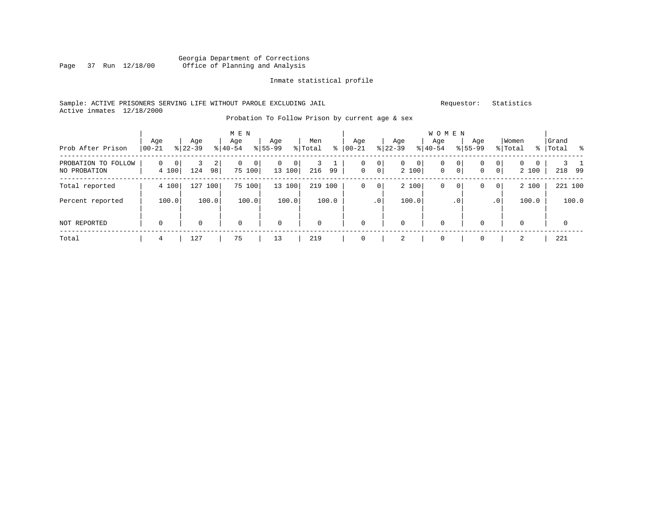#### Georgia Department of Corrections Page 37 Run 12/18/00 Office of Planning and Analysis

#### Inmate statistical profile

#### Sample: ACTIVE PRISONERS SERVING LIFE WITHOUT PAROLE EXCLUDING JAIL Requestor: Statistics Active inmates 12/18/2000

### Probation To Follow Prison by current age & sex

| Prob After Prison                   | Age<br>$ 00-21$                  | Age<br>$8 22-39$ | M E N<br>Age<br>$ 40-54 $ | Age<br>$8155 - 99$      | Men<br>$\frac{8}{6}$<br>% Total | Age<br>$ 00 - 21$                       | Age<br>$ 22-39 $             | W O M E N<br>Aqe<br>$8 40-54$                      | Age<br>$8155 - 99$                                  | Women<br>% Total                      | Grand<br>%   Total |
|-------------------------------------|----------------------------------|------------------|---------------------------|-------------------------|---------------------------------|-----------------------------------------|------------------------------|----------------------------------------------------|-----------------------------------------------------|---------------------------------------|--------------------|
| PROBATION TO FOLLOW<br>NO PROBATION | $\Omega$<br>$\mathbf 0$<br>4 100 | 2<br>124<br>98   | 0<br>$\Omega$<br>75 100   | $\Omega$<br>0<br>13 100 | 99<br>216                       | 0<br>0<br>$\mathbf 0$<br>0 <sup>1</sup> | 0<br>$\overline{0}$<br>2 100 | $\mathbf 0$<br>0<br>$\mathbf{0}$<br>$\overline{0}$ | $\mathbf{0}$<br>$\mathbf{0}$<br>$\overline{0}$<br>0 | $\mathbf{0}$<br>$\mathbf{0}$<br>2 100 | 218<br>99          |
| Total reported                      | 4 100                            | 127<br>100       | 75 100                    | 13 100                  | 219<br>100                      | 0<br>0                                  | 2 100                        | 0<br>0                                             | 0 <sup>1</sup><br>0                                 | 2 100                                 | 221 100            |
| Percent reported                    | 100.0                            | 100.0            | 100.0                     | 100.0                   | 100.0                           | .0 <sup>1</sup>                         | 100.0                        | . 0                                                | .0'                                                 | 100.0                                 | 100.0              |
| <b>NOT REPORTED</b>                 | $\mathbf 0$                      | 0                | $\mathbf 0$               | $\mathbf 0$             | $\mathbf 0$                     | $\mathbf 0$                             | $\mathbf 0$                  | $\mathbf 0$                                        | 0                                                   | 0                                     | $\mathbf 0$        |
| Total                               | 4                                | 127              | 75                        | 13                      | 219                             | 0                                       | 2                            | 0                                                  | 0                                                   | 2                                     | 221                |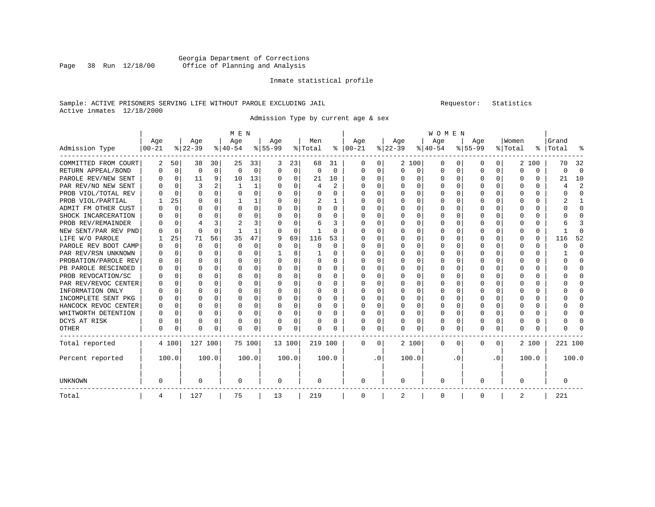#### Georgia Department of Corrections Page 38 Run 12/18/00 Office of Planning and Analysis

#### Inmate statistical profile

#### Sample: ACTIVE PRISONERS SERVING LIFE WITHOUT PAROLE EXCLUDING JAIL Requestor: Statistics Active inmates 12/18/2000

Admission Type by current age & sex

|                      |            |             |          |             | M E N     |          |           |          |          |          |               |           |          |          | WOMEN    |     |             |              |          |          |         |              |
|----------------------|------------|-------------|----------|-------------|-----------|----------|-----------|----------|----------|----------|---------------|-----------|----------|----------|----------|-----|-------------|--------------|----------|----------|---------|--------------|
|                      | Age        |             | Age      |             | Age       |          | Age       |          | Men      |          | Age           |           | Age      |          | Age      |     | Age         |              | Women    |          | Grand   |              |
| Admission Type       | $ 00 - 21$ |             | $ 22-39$ |             | $8 40-54$ |          | $8 55-99$ |          | % Total  |          | $8   00 - 21$ |           | $ 22-39$ |          | $ 40-54$ |     | $8 55-99$   |              | % Total  | ွေ       | Total   |              |
| COMMITTED FROM COURT | 2          | 50          | 38       | 30          | 25        | 33       | 3         | 23       | 68       | 31       | O             | 0         |          | 2 100    | 0        | 0   | 0           | 0            |          | 2 100    | 70      | 32           |
| RETURN APPEAL/BOND   | U          | $\mathbf 0$ | $\Omega$ | $\mathbf 0$ | $\Omega$  | 0        | O         | $\Omega$ | $\Omega$ | $\Omega$ | 0             | 0         | $\Omega$ | 0        | 0        | O   | $\Omega$    | $\Omega$     | U        | $\Omega$ | 0       | $\Omega$     |
| PAROLE REV/NEW SENT  | U          | $\Omega$    | 11       | 9           | 10        | 13       | O         | $\Omega$ | 21       | 10       | 0             | 0         |          | $\Omega$ | 0        | O   | $\Omega$    | $\Omega$     | $\Omega$ | 0        | 21      | 10           |
| PAR REV/NO NEW SENT  |            | $\Omega$    | 3        |             |           | 1        |           | $\Omega$ | 4        | 2        | O             | 0         |          | $\Omega$ | 0        |     |             | 0            |          | 0        |         | 2            |
| PROB VIOL/TOTAL REV  |            | $\Omega$    | $\Omega$ | U           |           | 0        |           | $\Omega$ | 0        | U        | 0             | 0         |          | $\Omega$ | 0        |     | O           |              | 0        | 0        | Ω       | $\Omega$     |
| PROB VIOL/PARTIAL    |            | 25          | O        | $\Omega$    |           |          |           | $\Omega$ | 2        |          | O             | 0         |          | $\Omega$ | O        | O   | n           | 0            | O        | 0        |         | -1           |
| ADMIT FM OTHER CUST  | U          | $\Omega$    | $\Omega$ | $\Omega$    | $\Omega$  | 0        |           | $\Omega$ | 0        | 0        | <sup>0</sup>  | 0         |          | $\Omega$ | O        | O   | $\Omega$    | 0            | U        | 0        | U       | $\Omega$     |
| SHOCK INCARCERATION  |            | $\Omega$    | $\Omega$ | $\Omega$    |           | $\Omega$ |           | $\Omega$ | 0        | $\Omega$ | 0             | 0         |          | $\Omega$ | 0        | O   | $\Omega$    | $\Omega$     | 0        | $\Omega$ |         | ∩            |
| PROB REV/REMAINDER   |            | $\Omega$    |          | 3           |           | 3        |           | $\Omega$ | 6        | 3        | 0             | 0         |          | $\Omega$ | 0        | O   | O           | $\Omega$     | Ω        | 0        |         |              |
| NEW SENT/PAR REV PND |            | $\Omega$    | $\Omega$ | $\Omega$    |           | 1        |           | $\Omega$ |          | $\Omega$ | Ω             | 0         |          | $\Omega$ | O        | O   |             | $\Omega$     |          | 0        |         | ſ            |
| LIFE W/O PAROLE      |            | 25          | 71       | 56          | 35        | 47       |           | 69       | 116      | 53       | Ω             | 0         |          | $\Omega$ | 0        | O   |             | 0            | U        | 0        | 116     | 52           |
| PAROLE REV BOOT CAMP | N          | $\Omega$    | $\Omega$ | $\Omega$    | $\Omega$  | 0        |           | $\Omega$ | 0        | 0        | O             | 0         |          | $\Omega$ | O        | O   | n           | 0            | U        | 0        | Ω       | $\Omega$     |
| PAR REV/RSN UNKNOWN  | U          | $\Omega$    | ∩        | $\Omega$    | ∩         | 0        |           | 8        |          | 0        | O             | 0         |          | $\Omega$ | O        | U   | U           | 0            | ∩        | U        |         | ∩            |
| PROBATION/PAROLE REV | U          | $\Omega$    | ∩        | $\Omega$    | U         | $\Omega$ |           | $\Omega$ | U        | 0        | <sup>0</sup>  | 0         |          | $\Omega$ | O        | U   | n           | <sup>n</sup> | ∩        | 0        |         | ∩            |
| PB PAROLE RESCINDED  | $\cup$     | $\Omega$    | ∩        | $\Omega$    |           | $\Omega$ |           | $\Omega$ | 0        | $\Omega$ | O             | 0         |          | $\Omega$ | O        | n   | ∩           | 0            | ∩        | 0        |         | ∩            |
| PROB REVOCATION/SC   | U          | 0           |          | $\Omega$    |           | 0        |           | O        | 0        | U        | <sup>0</sup>  | 0         |          | $\Omega$ | O        |     |             | O            |          | 0        |         | <sup>0</sup> |
| PAR REV/REVOC CENTER | U          | 0           | ∩        | $\Omega$    |           | 0        |           | $\Omega$ | 0        | U        | <sup>0</sup>  | 0         |          | $\Omega$ | 0        | O   | n           | 0            |          | 0        |         | ∩            |
| INFORMATION ONLY     | N          | 0           | ∩        | $\Omega$    | n         | 0        |           | $\Omega$ | 0        | $\Omega$ | $\Omega$      | 0         |          | $\Omega$ | 0        | O   | ∩           | $\Omega$     | O        | 0        |         | ∩            |
| INCOMPLETE SENT PKG  | N          | $\Omega$    | ∩        | $\Omega$    |           | $\Omega$ |           | $\Omega$ | 0        | $\Omega$ | <sup>0</sup>  | 0         |          | $\Omega$ | 0        | O   | ∩           | $\Omega$     | O        | 0        |         | ∩            |
| HANCOCK REVOC CENTER | 0          | $\Omega$    | $\Omega$ | $\Omega$    |           | 0        |           | $\Omega$ | 0        | 0        | 0             | 0         |          | $\Omega$ | 0        | O   | $\Omega$    | 0            | U        | 0        |         | ∩            |
| WHITWORTH DETENTION  | U          | $\Omega$    | $\Omega$ | $\Omega$    | C         | 0        |           | $\Omega$ | 0        | 0        | <sup>0</sup>  | 0         |          | $\Omega$ | O        | O   | $\Omega$    | $\Omega$     | U        | $\Omega$ |         | <sup>0</sup> |
| DCYS AT RISK         | 0          | 0           | $\Omega$ | $\Omega$    | O         | 0        |           | 0        | 0        | U        | 0             | 0         |          | 0        | 0        | 0   | $\Omega$    | 0            |          | 0        |         | ſ            |
| OTHER                | 0          | 0           | $\Omega$ | $\Omega$    | O         | 0        |           | $\Omega$ | U        | U        | $\Omega$      | 0         | O        | $\Omega$ | $\Omega$ | O   | $\Omega$    | $\Omega$     | U        | 0        |         |              |
| Total reported       |            | 4 100       | 127 100  |             | 75 100    |          | 13 100    |          | 219 100  |          | 0             | 0         |          | 2 100    | 0        | 0   | $\Omega$    | 0            |          | 2 100    | 221 100 |              |
| Percent reported     |            | 100.0       |          | 100.0       |           | 100.0    |           | 100.0    |          | 100.0    |               | $\cdot$ 0 |          | 100.0    |          | . 0 |             | $\cdot$ 0    |          | 100.0    |         | 100.0        |
| UNKNOWN              | 0          |             | $\Omega$ |             | 0         |          | 0         |          | 0        |          | 0             |           | 0        |          | 0        |     | $\Omega$    |              | 0        |          | 0       |              |
| Total                | 4          |             | 127      |             | 75        |          | 13        |          | 219      |          | $\mathbf 0$   |           | 2        |          | 0        |     | $\mathbf 0$ |              | 2        |          | 221     |              |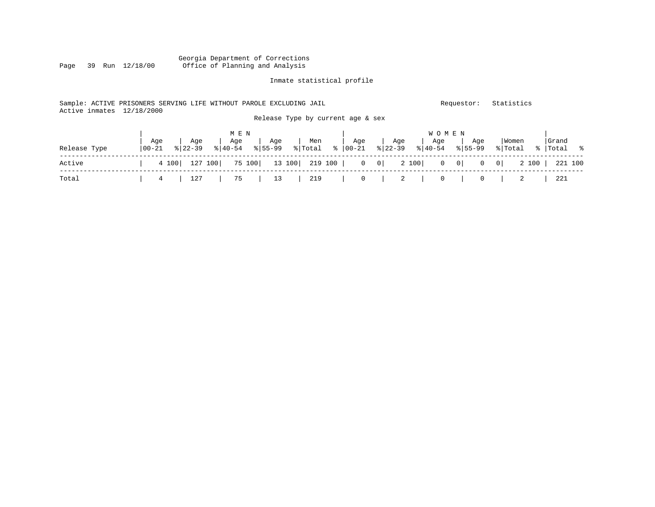#### Georgia Department of Corrections<br>Page 39 Run 12/18/00 Office of Planning and Analysis Office of Planning and Analysis

#### Inmate statistical profile

#### Sample: ACTIVE PRISONERS SERVING LIFE WITHOUT PAROLE EXCLUDING JAIL Requestor: Statistics Active inmates 12/18/2000 Release Type by current age & sex

|              |                   |                                             | M E N                                            |     |     |     | W O M E N                                            |     |                                                                                           |                     |
|--------------|-------------------|---------------------------------------------|--------------------------------------------------|-----|-----|-----|------------------------------------------------------|-----|-------------------------------------------------------------------------------------------|---------------------|
| Release Type | Aqe<br>$100 - 21$ | Age<br>$8122 - 39$                          | Age<br>$\frac{1}{2}$  40-54 $\frac{1}{2}$  55-99 | Aqe | Men | Aqe | Age   Age<br>% Total % 00-21 % 22-39 % 40-54 % 55-99 | Aqe | Women<br>% Total                                                                          | Grand<br>%  Total % |
| Active       |                   |                                             |                                                  |     |     |     |                                                      |     | 4 100   127 100   75 100   13 100   219 100   0 0   0 100   0 100   0 0   0 100   221 100 |                     |
| Total        |                   | 4   127   75   13   219   0   2   0   0   2 |                                                  |     |     |     |                                                      |     |                                                                                           | 221                 |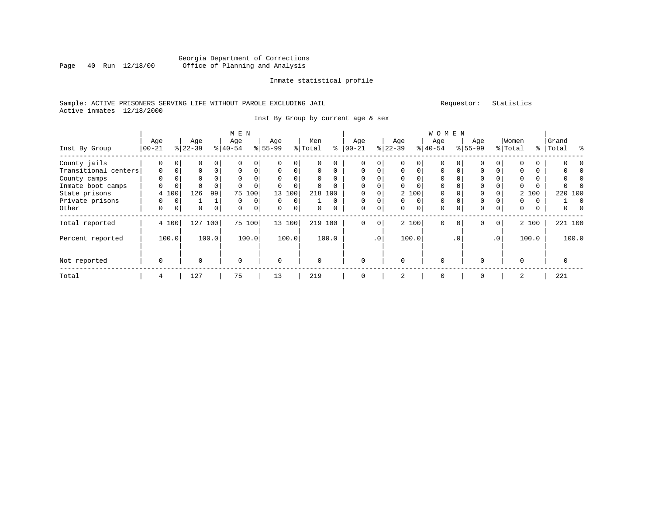#### Georgia Department of Corrections<br>Page 40 Run 12/18/00 Office of Planning and Analysis Page 40 Run 12/18/00 Office of Planning and Analysis

#### Inmate statistical profile

#### Sample: ACTIVE PRISONERS SERVING LIFE WITHOUT PAROLE EXCLUDING JAIL Requestor: Statistics Active inmates 12/18/2000

Inst By Group by current age & sex

|                      |             | M E N       |           |          |           |          |           |                |         |          |               |             |           |          | <b>WOMEN</b> |          |             |                 |          |       |           |          |
|----------------------|-------------|-------------|-----------|----------|-----------|----------|-----------|----------------|---------|----------|---------------|-------------|-----------|----------|--------------|----------|-------------|-----------------|----------|-------|-----------|----------|
|                      | Age         |             | Age       |          | Age       |          | Age       |                | Men     |          | Age           |             | Age       |          | Age          |          | Age         |                 | Women    |       | Grand     |          |
| Inst By Group        | $ 00-21$    |             | $ 22-39 $ |          | $8 40-54$ |          | $8 55-99$ |                | % Total |          | $8   00 - 21$ |             | $ 22-39 $ |          | $8 40-54$    |          | $8 55-99$   |                 | % Total  |       | %   Total | ွေ       |
| County jails         | 0           | $\Omega$    | U         |          |           | 0        |           |                |         |          | $\Omega$      | 0           |           |          | $\Omega$     |          |             |                 |          |       |           |          |
| Transitional centers | $\Omega$    | $\mathbf 0$ | $\Omega$  |          | $\Omega$  | 0        | $\Omega$  | 0 <sup>1</sup> | 0       | $\Omega$ | 0             | 0           | $\Omega$  | $\Omega$ | 0            | $\Omega$ | $\Omega$    | $\Omega$        |          | 0     |           |          |
| County camps         | $\Omega$    | $\Omega$    | 0         |          | $\Omega$  | 0        |           |                | 0       |          | $\Omega$      | 0           | $\Omega$  | $\Omega$ | $\Omega$     |          | $\mathbf 0$ |                 | 0        |       |           |          |
| Inmate boot camps    | $\Omega$    | 0           | $\Omega$  |          | $\Omega$  | $\Omega$ | $\Omega$  | $\Omega$       |         |          | $\Omega$      | U           | $\Omega$  | $\Omega$ | $\Omega$     |          | $\Omega$    |                 | $\Omega$ |       |           |          |
| State prisons        |             | 4 100       | 126       | 99       | 75        | 100      | 13        | 100            |         | 218 100  | $\Omega$      | 0           |           | 2 100    | $\Omega$     |          | $\mathbf 0$ |                 |          | 2 100 | 220 100   |          |
| Private prisons      | 0           | 0           |           |          | $\Omega$  | 0        | $\Omega$  | $\Omega$       |         | $\Omega$ | 0             | 0           | $\Omega$  | $\Omega$ | $\mathbf 0$  |          | $\mathbf 0$ |                 | 0        | 0     |           | $\Omega$ |
| Other                | 0           | $\mathbf 0$ | $\Omega$  | $\Omega$ | $\Omega$  | 0        | $\Omega$  | $\Omega$       | 0       |          | $\Omega$      | $\mathbf 0$ | $\Omega$  | $\Omega$ | $\Omega$     |          | $\Omega$    | $\Omega$        | $\Omega$ | 0     | 0         | $\Omega$ |
| Total reported       |             | 4 100       | 127       | 100      |           | 75 100   |           | 13 100         | 219     | 100      | $\Omega$      | 0           |           | 2 100    | $\Omega$     | $\Omega$ | $\Omega$    | 0 <sup>1</sup>  |          | 2 100 | 221 100   |          |
| Percent reported     |             | 100.0       |           | 100.0    |           | 100.0    |           | 100.0          |         | 100.0    |               | $\cdot$ 0   |           | 100.0    |              | .0'      |             | .0 <sup>1</sup> |          | 100.0 | 100.0     |          |
| Not reported         | $\mathbf 0$ |             | $\Omega$  |          | $\Omega$  |          | $\Omega$  |                |         |          | $\Omega$      |             | $\Omega$  |          | $\Omega$     |          |             |                 | $\cap$   |       | 0         |          |
| Total                | 4           |             | 127       |          | 75        |          | 13        |                | 219     |          | $\Omega$      |             |           |          | 0            |          | $\Omega$    |                 | 2        |       | 221       |          |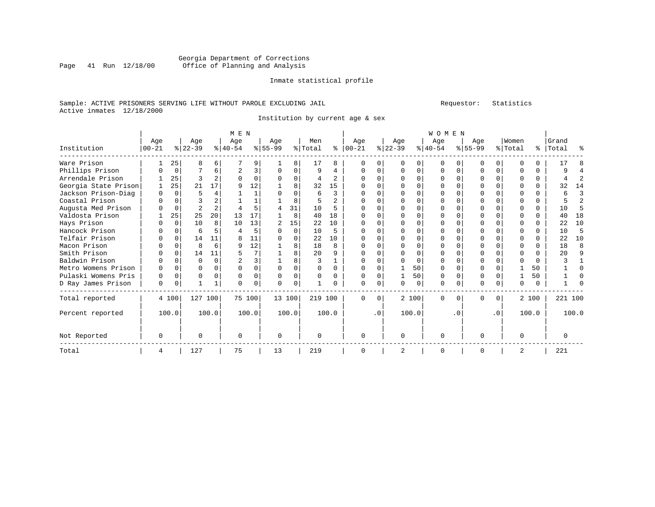#### Georgia Department of Corrections<br>Page 41 Run 12/18/00 Office of Planning and Analysis Office of Planning and Analysis

#### Inmate statistical profile

#### Sample: ACTIVE PRISONERS SERVING LIFE WITHOUT PAROLE EXCLUDING JAIL Requestor: Statistics Active inmates 12/18/2000

Institution by current age & sex

|                      | M E N     |          |                |          |           |        |           |              |          |              |              | <b>WOMEN</b> |              |          |           |          |           |           |          |          |           |       |
|----------------------|-----------|----------|----------------|----------|-----------|--------|-----------|--------------|----------|--------------|--------------|--------------|--------------|----------|-----------|----------|-----------|-----------|----------|----------|-----------|-------|
|                      | Age       |          | Age            |          | Age       |        | Age       |              | Men      |              | Age          |              | Age          |          | Age       |          | Age       |           | Women    |          | Grand     |       |
| Institution          | $00 - 21$ |          | $ 22-39 $      |          | $ 40-54 $ |        | $8 55-99$ |              | % Total  | နွ           | $00 - 21$    |              | $ 22-39 $    |          | $ 40-54 $ |          | $ 55-99 $ |           | % Total  |          | %   Total | ႜ     |
| Ware Prison          |           | 25       | 8              | 6        |           | 9      |           | 8            | 17       | 8            | $\Omega$     | N            | $\Omega$     | 0        | 0         |          |           | 0         | $\Omega$ |          | 17        |       |
| Phillips Prison      |           | 0        |                | 6        | 2         | 3      |           | 0            | 9        | 4            | $\Omega$     | 0            | $\Omega$     | 0        | 0         | $\Omega$ | $\Omega$  | 0         | $\Omega$ | 0        | q         |       |
| Arrendale Prison     |           | 25       | २              |          | $\Omega$  | 0      |           | $\Omega$     | 4        | $\mathbf{2}$ | O            | U            |              | $\cap$   | O         | $\Omega$ |           |           | $\Omega$ | $\Omega$ |           | 2     |
| Georgia State Prison |           | 25       | 21             | 17       | 9         | 12     |           | 8            | 32       | 15           |              |              |              | O        |           |          |           |           |          | 0        | 32        | 14    |
| Jackson Prison-Diag  | 0         | $\Omega$ | 5              |          |           |        |           | $\Omega$     | 6        | 3            |              |              |              |          |           |          |           |           |          | 0        | 6         | 3     |
| Coastal Prison       |           |          |                |          |           |        |           | 8            | 5        | $\mathbf{2}$ |              |              | <sup>0</sup> | $\Omega$ | O         |          | U         |           | $\Omega$ | 0        |           | 2     |
| Augusta Med Prison   |           | $\Omega$ | $\overline{a}$ |          |           | 5      |           | 31           | 10       | 5            |              | U            |              | $\Omega$ | O         | $\Omega$ |           |           | $\Omega$ | 0        | 10        | 5     |
| Valdosta Prison      |           | 25       | 25             | 20       | 13        | 17     |           | 8            | 40       | 18           | <sup>0</sup> |              |              | $\Omega$ | O         |          |           |           | $\Omega$ | 0        | 40        | 18    |
| Hays Prison          |           | $\Omega$ | 10             | 8        | 10        | 13     |           | 15           | 22       | 10           |              |              |              | U        | O         | $\cap$   | O         |           | ∩        | 0        | 22        | 10    |
| Hancock Prison       |           | $\Omega$ | 6              |          |           | 5      |           | $\Omega$     | 10       | 5            | <sup>0</sup> |              |              | $\Omega$ | O         |          | O         |           | $\Omega$ | 0        | 10        | 5     |
| Telfair Prison       |           | $\Omega$ | 14             | 11       |           | 11     |           | $\Omega$     | 22       | 10           |              |              |              | $\cap$   | U         | $\Omega$ |           |           | ∩        | 0        | 22        | 10    |
| Macon Prison         |           | $\Omega$ | R              | 6        | q         | 12     |           | R            | 18       | 8            |              |              |              | $\cap$   |           |          |           |           |          | 0        | 18        | 8     |
| Smith Prison         |           | $\Omega$ | 14             | 11       |           | 7      |           | R            | 20       | q            |              |              |              | $\Omega$ |           | $\cap$   |           |           | $\Omega$ | $\Omega$ | 20        | q     |
| Baldwin Prison       |           |          | $\Omega$       | $\Omega$ |           | 3      |           | $\mathsf{R}$ | ζ        |              | <sup>0</sup> |              | $\cap$       | $\Omega$ | O         |          | $\cap$    |           |          | 0        |           |       |
| Metro Womens Prison  | O         | $\Omega$ | $\Omega$       |          |           | 0      |           | $\Omega$     | $\Omega$ | $\Omega$     | O            | $\Omega$     |              | 50       | O         | $\Omega$ | $\Omega$  |           |          | 50       |           |       |
| Pulaski Womens Pris  | $\Omega$  | $\Omega$ | $\Omega$       |          |           | 0      |           | $\Omega$     | 0        | 0            | $\Omega$     |              |              | 50       | 0         | $\Omega$ | $\Omega$  |           |          | 50       |           |       |
| D Ray James Prison   | 0         | $\Omega$ |                |          |           | 0      |           | $\Omega$     |          |              | $\Omega$     | 0            | $\Omega$     | $\Omega$ | 0         | $\Omega$ | 0         | $\Omega$  | $\Omega$ | 0        |           |       |
| Total reported       |           | 4 100    | 127 100        |          |           | 75 100 | 13 100    |              | 219 100  |              | $\Omega$     | $\Omega$     |              | 2 100    | 0         | $\Omega$ | $\Omega$  | 0         |          | 2 100    | 221 100   |       |
| Percent reported     |           | 100.0    |                | 100.0    |           | 100.0  |           | 100.0        |          | 100.0        |              | $\cdot$ 0    |              | 100.0    |           | . 0      |           | $\cdot$ 0 |          | 100.0    |           | 100.0 |
| Not Reported         | 0         |          | $\Omega$       |          | $\Omega$  |        | $\Omega$  |              | 0        |              | $\Omega$     |              | <sup>0</sup> |          | $\Omega$  |          | U         |           | $\Omega$ |          |           |       |
| Total                | 4         |          | 127            |          | 75        |        | 13        |              | 219      |              | $\Omega$     |              | 2            |          | 0         |          | 0         |           | 2        |          | 221       |       |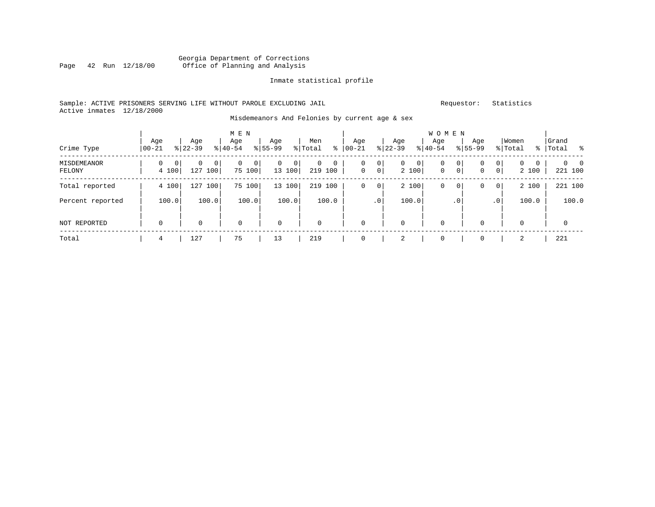#### Georgia Department of Corrections<br>Page 42 Run 12/18/00 Office of Planning and Analysis Page 42 Run 12/18/00 Office of Planning and Analysis

#### Inmate statistical profile

#### Sample: ACTIVE PRISONERS SERVING LIFE WITHOUT PAROLE EXCLUDING JAIL Requestor: Statistics Active inmates 12/18/2000

#### Misdemeanors And Felonies by current age & sex

| Crime Type            | Age<br>$00 - 21$ | Age<br>$8 22-39$     | M E N<br>Age<br>$8 40-54$  | Age<br>$8155 - 99$            | Men<br>ႜ<br>% Total | Age<br>$00 - 21$                         | Age<br>$ 22-39 $               | <b>WOMEN</b><br>Age<br>$ 40-54 $              | Age<br>$8155 - 99$ | Women<br>% Total                                          | Grand<br>%   Total<br>ိ    |
|-----------------------|------------------|----------------------|----------------------------|-------------------------------|---------------------|------------------------------------------|--------------------------------|-----------------------------------------------|--------------------|-----------------------------------------------------------|----------------------------|
| MISDEMEANOR<br>FELONY | 0<br>0<br>4 100  | 0<br>0<br>127<br>100 | $\mathbf 0$<br>0<br>75 100 | 0<br>$\overline{0}$<br>13 100 | 0<br>0<br>219 100   | 0 <br>0<br>0 <sup>1</sup><br>$\mathbf 0$ | $\overline{0}$<br> 0 <br>2 100 | 0<br>$\circ$<br>$\mathbf 0$<br>0 <sup>1</sup> | 0<br>0             | $\mathbf{0}$<br>$\mathbf{0}$<br>0<br>$\mathbf 0$<br>2 100 | $\Omega$<br>- 0<br>221 100 |
| Total reported        | 4 100            | 127<br>100           | 75<br>100                  | 13 100                        | 219<br>100          | 0<br>$\circ$                             | 2 100                          | 0<br>$\circ$                                  | 0                  | 2 100<br>0                                                | 221 100                    |
| Percent reported      | 100.0            | 100.0                | 100.0                      | 100.0                         | 100.0               | .0 <sup>1</sup>                          | 100.0                          | $\cdot$ 0                                     |                    | 100.0<br>$\cdot$ 0                                        | 100.0                      |
| NOT REPORTED          | $\mathbf 0$      | 0                    | $\mathbf 0$                | $\mathbf 0$                   | $\mathbf 0$         | 0                                        | $\mathbf 0$                    | $\mathbf 0$                                   | 0                  | $\mathbf 0$                                               | $\mathbf 0$                |
| Total                 | 4                | 127                  | 75                         | 13                            | 219                 |                                          | 2                              | $\mathbf 0$                                   | 0                  | 2                                                         | 221                        |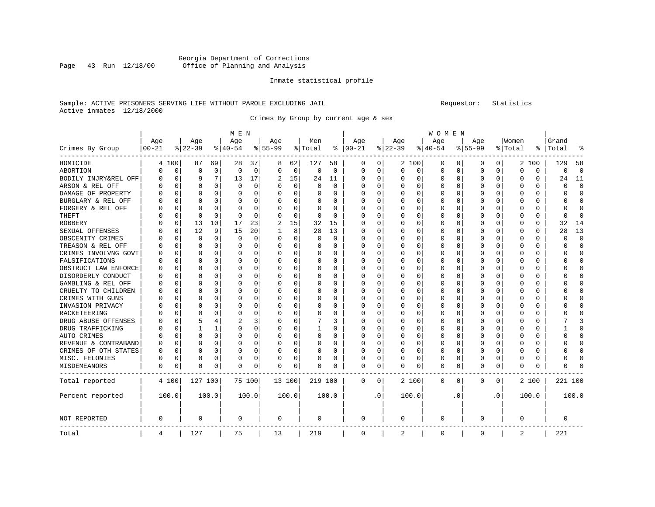#### Georgia Department of Corrections<br>Page 43 Run 12/18/00 Office of Planning and Analysis Office of Planning and Analysis

#### Inmate statistical profile

#### Sample: ACTIVE PRISONERS SERVING LIFE WITHOUT PAROLE EXCLUDING JAIL Requestor: Statistics Active inmates 12/18/2000

Crimes By Group by current age & sex

|                      |           |             | M E N     |             | <b>WOMEN</b> |          |             |             |             |          |             |     |          |          |           |             |              |          |          |          |         |                |
|----------------------|-----------|-------------|-----------|-------------|--------------|----------|-------------|-------------|-------------|----------|-------------|-----|----------|----------|-----------|-------------|--------------|----------|----------|----------|---------|----------------|
|                      | Age       |             | Age       |             | Age          |          | Age         |             | Men         |          | Age         |     | Age      |          | Age       |             | Aqe          |          | Women    |          | Grand   |                |
| Crimes By Group      | $00 - 21$ |             | $8 22-39$ |             | $ 40-54$     |          | $8155 - 99$ |             | % Total     | ి        | $ 00-21$    |     | $ 22-39$ |          | $8 40-54$ |             | $8155 - 99$  |          | % Total  | ి        | Total   |                |
| HOMICIDE             | 4         | 100         | 87        | 69          | 28           | 37       | 8           | 62          | 127         | 58       | 0           | 0   |          | 2 100    | 0         | 0           | 0            | 0        |          | 2 100    | 129     | 58             |
| ABORTION             | $\Omega$  | $\mathbf 0$ | 0         | $\mathbf 0$ | $\Omega$     | 0        | $\Omega$    | $\mathbf 0$ | $\mathbf 0$ | $\Omega$ | $\Omega$    | 0   | $\Omega$ | 0        | $\Omega$  | $\mathbf 0$ | $\Omega$     | 0        | $\Omega$ | $\Omega$ | 0       | $\overline{0}$ |
| BODILY INJRY&REL OFF | O         | 0           | 9         | 7           | 13           | 17       | 2           | 15          | 24          | 11       | $\Omega$    | 0   | $\Omega$ | 0        | 0         | 0           | <sup>0</sup> | 0        | O        | 0        | 24      | 11             |
| ARSON & REL OFF      | O         | $\mathbf 0$ | O         | $\Omega$    | 0            | 0        |             | 0           | 0           | 0        | O           | 0   | $\Omega$ | 0        | 0         | $\Omega$    |              | 0        | O        | U        | U       | $\Omega$       |
| DAMAGE OF PROPERTY   |           | $\Omega$    | $\cap$    | $\Omega$    | $\Omega$     | 0        |             | $\Omega$    | $\Omega$    | U        | $\Omega$    | 0   | $\Omega$ | $\Omega$ | U         | C           | ∩            | U        | $\Omega$ | $\Omega$ | U       | $\Omega$       |
| BURGLARY & REL OFF   |           | $\Omega$    | $\Omega$  | $\Omega$    | O            | 0        | $\Omega$    | 0           | 0           | 0        | 0           | 0   | $\Omega$ | $\Omega$ | 0         | $\Omega$    | <sup>0</sup> | $\Omega$ | O        | 0        | U       | $\Omega$       |
| FORGERY & REL OFF    |           | $\mathbf 0$ | $\Omega$  | $\Omega$    | 0            | 0        |             | $\Omega$    | 0           | 0        | 0           | 0   | $\Omega$ | $\Omega$ | 0         | $\Omega$    |              | $\Omega$ | 0        | 0        | U       | $\Omega$       |
| THEFT                |           | $\mathbf 0$ | $\Omega$  | $\Omega$    | $\Omega$     | $\Omega$ |             | 0           | $\Omega$    | $\Omega$ | $\Omega$    | 0   | $\Omega$ | $\Omega$ | 0         | $\Omega$    | <sup>0</sup> | $\Omega$ | O        | $\Omega$ | U       | $\Omega$       |
| ROBBERY              |           | 0           | 13        | 10          | 17           | 23       | 2           | 15          | 32          | 15       | $\Omega$    | 0   | O        | $\Omega$ | 0         | O           | <sup>0</sup> | $\Omega$ | O        | 0        | 32      | 14             |
| SEXUAL OFFENSES      |           | 0           | 12        | 9           | 15           | 20       |             | 8           | 28          | 13       | $\Omega$    | 0   | $\Omega$ | $\Omega$ | 0         | $\Omega$    | <sup>0</sup> | 0        | O        | U        | 28      | 13             |
| OBSCENITY CRIMES     |           | $\Omega$    | $\Omega$  | 0           | $\Omega$     | 0        | ∩           | $\Omega$    | 0           | $\Omega$ | $\Omega$    | 0   | $\Omega$ | $\Omega$ | 0         | C           | ∩            | 0        | O        | $\Omega$ | U       | $\Omega$       |
| TREASON & REL OFF    |           | $\Omega$    | $\Omega$  | $\Omega$    | $\Omega$     | 0        | $\Omega$    | 0           | 0           | 0        | $\Omega$    | 0   | $\Omega$ | 0        | 0         | $\Omega$    | <sup>0</sup> | $\Omega$ | $\Omega$ | 0        | U       | $\Omega$       |
| CRIMES INVOLVNG GOVT |           | $\mathbf 0$ | $\Omega$  | $\Omega$    | $\Omega$     | 0        |             | 0           | 0           | 0        | 0           | 0   | 0        | 0        | 0         | $\Omega$    | 0            | $\Omega$ | 0        | 0        | ი       | $\Omega$       |
| FALSIFICATIONS       |           | $\Omega$    | $\Omega$  | $\Omega$    | $\Omega$     | $\Omega$ | $\Omega$    | $\Omega$    | 0           | $\Omega$ | $\Omega$    | 0   | $\Omega$ | $\Omega$ | 0         | C           | <sup>0</sup> | $\Omega$ | 0        | $\Omega$ | U       | $\Omega$       |
| OBSTRUCT LAW ENFORCE | O         | $\mathbf 0$ | $\Omega$  | $\Omega$    | O            | 0        | $\Omega$    | $\Omega$    | 0           | 0        | $\Omega$    | 0   | $\Omega$ | $\Omega$ | O         | O           | O            | $\Omega$ | O        | 0        | ი       | $\Omega$       |
| DISORDERLY CONDUCT   | O         | 0           | O         | 0           | O            | 0        |             | 0           | 0           | O        | $\Omega$    | 0   | 0        | $\Omega$ | 0         | 0           |              | 0        | O        | 0        |         | <sup>0</sup>   |
| GAMBLING & REL OFF   | U         | $\Omega$    | U         | 0           | $\Omega$     | 0        | ∩           | $\Omega$    | 0           | U        | $\Omega$    | 0   | $\Omega$ | $\Omega$ | 0         | C           | ∩            | 0        | U        | 0        | ∩       | ∩              |
| CRUELTY TO CHILDREN  | O         | $\Omega$    | O         | $\Omega$    | $\Omega$     | 0        | $\Omega$    | 0           | $\Omega$    | 0        | $\Omega$    | 0   | $\Omega$ | $\Omega$ | 0         | $\Omega$    | <sup>0</sup> | $\Omega$ | O        | 0        |         | $\cap$         |
| CRIMES WITH GUNS     |           | $\mathbf 0$ | 0         | 0           | 0            | 0        |             | 0           | 0           | 0        | 0           | 0   | $\Omega$ | 0        | 0         | $\Omega$    | 0            | $\Omega$ | 0        | 0        |         | O              |
| INVASION PRIVACY     |           | $\Omega$    | $\Omega$  | $\Omega$    | $\Omega$     | 0        |             | $\Omega$    | 0           | $\Omega$ | $\Omega$    | 0   | $\Omega$ | $\Omega$ | 0         | $\Omega$    | <sup>0</sup> | $\Omega$ | O        | $\Omega$ | ∩       | $\Omega$       |
| RACKETEERING         | U         | 0           | $\Omega$  | $\Omega$    | 0            | 0        | ∩           | $\Omega$    | 0           | 0        | $\Omega$    | 0   | $\Omega$ | $\Omega$ | 0         | $\Omega$    | <sup>0</sup> | $\Omega$ | O        | 0        |         | <sup>0</sup>   |
| DRUG ABUSE OFFENSES  |           | 0           | 5         | 4           | 2            | 3        |             | 0           |             | 3        | $\Omega$    | 0   | 0        | $\Omega$ | 0         | $\Omega$    |              | 0        | O        | 0        |         | κ              |
| DRUG TRAFFICKING     | N         | $\Omega$    |           | 1           | $\Omega$     | 0        | ∩           | $\Omega$    |             | O        | $\Omega$    | 0   | $\Omega$ | $\Omega$ | 0         | C           | <sup>0</sup> | $\Omega$ | O        | 0        |         | ∩              |
| AUTO CRIMES          |           | $\Omega$    | O         | $\Omega$    | $\Omega$     | 0        | $\Omega$    | 0           | 0           | 0        | $\Omega$    | 0   | $\Omega$ | 0        | 0         | $\Omega$    | 0            | $\Omega$ | O        | 0        | U       | <sup>0</sup>   |
| REVENUE & CONTRABAND | 0         | $\mathbf 0$ | $\Omega$  | 0           | 0            | 0        | $\Omega$    | 0           | 0           | 0        | 0           | 0   | $\Omega$ | 0        | 0         | $\Omega$    | 0            | 0        | 0        | 0        | ი       | O              |
| CRIMES OF OTH STATES | O         | $\mathbf 0$ | $\Omega$  | $\Omega$    | $\Omega$     | 0        | $\Omega$    | 0           | 0           | $\Omega$ | $\Omega$    | 0   | $\Omega$ | 0        | 0         | $\Omega$    | $\Omega$     | $\Omega$ | O        | 0        | U       | $\Omega$       |
| MISC. FELONIES       | 0         | 0           | $\Omega$  | $\Omega$    | 0            | 0        | $\Omega$    | 0           | 0           | 0        | $\Omega$    | 0   | O        | $\Omega$ | 0         | $\Omega$    | 0            | $\Omega$ | 0        | 0        | O       | <sup>0</sup>   |
| MISDEMEANORS         | 0         | 0           | 0         | 0           | 0            | 0        | $\Omega$    | 0           | 0           | 0        | 0           | 0   | 0        | 0        | 0         | 0           | 0            | 0        | 0        | 0        | ი       | C              |
| Total reported       |           | 4 100       | 127 100   |             |              | 75 100   | 13 100      |             | 219 100     |          | 0           | 0   |          | 2 100    | 0         | 0           | $\Omega$     | 0        |          | 2 100    | 221 100 |                |
| Percent reported     |           | 100.0       |           | 100.0       |              | 100.0    |             | 100.0       |             | 100.0    |             | . 0 |          | 100.0    |           | . 0         |              | . 0      |          | 100.0    |         | 100.0          |
| <b>NOT REPORTED</b>  | 0         |             | $\Omega$  |             | $\Omega$     |          | 0           |             | 0           |          | $\mathbf 0$ |     | $\Omega$ |          | 0         |             | $\Omega$     |          | 0        |          | 0       |                |
| Total                | 4         |             | 127       |             | 75           |          | 13          |             | 219         |          | $\mathbf 0$ |     | 2        |          | 0         |             | $\Omega$     |          | 2        |          | 221     |                |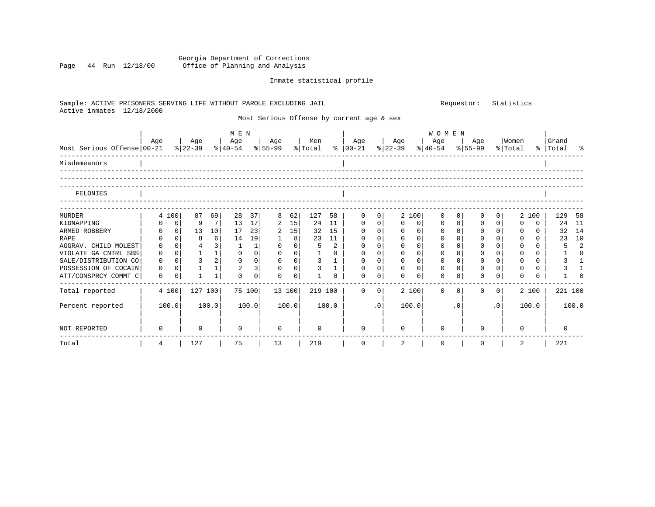#### Georgia Department of Corrections Page 44 Run 12/18/00 Office of Planning and Analysis

### Inmate statistical profile

| Sample: ACTIVE PRISONERS SERVING LIFE WITHOUT PAROLE EXCLUDING JAIL<br>Active inmates 12/18/2000 |              |                |                |                 |              |                                |             |                |          |                |                                           | Statistics<br>Requestor: |             |                     |             |                           |              |                  |          |          |                    |                |  |  |
|--------------------------------------------------------------------------------------------------|--------------|----------------|----------------|-----------------|--------------|--------------------------------|-------------|----------------|----------|----------------|-------------------------------------------|--------------------------|-------------|---------------------|-------------|---------------------------|--------------|------------------|----------|----------|--------------------|----------------|--|--|
|                                                                                                  |              |                |                |                 |              |                                |             |                |          |                | Most Serious Offense by current age & sex |                          |             |                     |             |                           |              |                  |          |          |                    |                |  |  |
| Most Serious Offense 00-21                                                                       | Age<br>Age   |                |                |                 | M E N<br>Age | Age<br>% 22-39 % 40-54 % 55-99 |             | Men<br>% Total |          |                | Age<br>%   00-21                          | Age<br>$ 22-39$          |             | <b>WOMEN</b><br>Age |             | Age<br>$ 40-54 \t  55-99$ |              | Women<br>% Total |          |          | Grand<br>% Total % |                |  |  |
| Misdemeanors                                                                                     |              |                |                |                 |              |                                |             |                |          |                |                                           |                          |             |                     |             |                           |              |                  |          |          |                    |                |  |  |
|                                                                                                  |              |                |                |                 |              |                                |             |                |          |                |                                           |                          |             |                     |             |                           |              |                  |          |          |                    |                |  |  |
| FELONIES                                                                                         |              |                |                |                 |              |                                |             |                |          |                |                                           |                          |             |                     |             |                           |              |                  |          |          |                    |                |  |  |
| MURDER                                                                                           |              | 4 100          | 87             | 69              | 28           | 37                             | 8           | 62             | 127      | 58             | $\Omega$                                  | 0                        |             | 2 100               | $\Omega$    | $\Omega$                  | 0            | 0 <sup>1</sup>   | 2        | 100      | 129 58             |                |  |  |
| KIDNAPPING                                                                                       | 0            | $\mathbf 0$    | 9              | 7 <sup>1</sup>  | 13           | 17                             | 2           | 15             | 24       | 11             | 0                                         | $\overline{0}$           | $\mathbf 0$ | 0                   | 0           | $\mathbf{0}$              | $\mathbf 0$  | $\circ$          | $\Omega$ | $\Omega$ | 24                 | - 11           |  |  |
| ARMED ROBBERY                                                                                    | $\Omega$     | 0 <sup>1</sup> | 13             | 10 <sup>1</sup> | 17           | 23                             | 2           | 15             | 32       | 15             | $\Omega$                                  | $\overline{0}$           | $\Omega$    | 0                   | 0           | $\Omega$                  | $\Omega$     | $\circ$          | $\Omega$ | $\Omega$ | 32                 | 14             |  |  |
| RAPE                                                                                             |              | 0 <sup>1</sup> | 8              | 6               | 14           | 19                             |             | 8              | 23       | 11             | 0                                         | $\overline{0}$           | $\mathbf 0$ | 0                   | 0           | $\Omega$                  | $\Omega$     | $\Omega$         | $\Omega$ | $\Omega$ | 23                 | 10             |  |  |
| AGGRAV. CHILD MOLEST                                                                             | $\Omega$     | $\Omega$       | $\overline{4}$ | 3               | 1            | 1                              | $\Omega$    | $\Omega$       | 5        | $\overline{2}$ | $\Omega$                                  | $\mathbf 0$              | $\Omega$    | $\Omega$            | 0           | $\Omega$                  | $\Omega$     | $\Omega$         | $\Omega$ | $\Omega$ | 5                  | $\overline{2}$ |  |  |
| VIOLATE GA CNTRL SBS                                                                             | $\Omega$     | $\overline{0}$ | $\mathbf{1}$   | 1               | $\Omega$     | 0                              | $\Omega$    | $\overline{0}$ |          | 0              | $\Omega$                                  | $\mathbf 0$              | $\Omega$    | $\Omega$            | 0           | $\Omega$                  | $\Omega$     | $\circ$          | $\Omega$ | $\Omega$ |                    | $\Omega$       |  |  |
| SALE/DISTRIBUTION CO                                                                             | $\Omega$     | $\Omega$       | 3              | 2               | $\Omega$     | 0                              | $\Omega$    | 0              | 3        |                | $\Omega$                                  | $\overline{0}$           | $\Omega$    | $\Omega$            | $\Omega$    | $\Omega$                  | $\Omega$     | $\circ$          | $\Omega$ | $\Omega$ |                    | -1             |  |  |
| POSSESSION OF COCAIN                                                                             | $\mathbf 0$  | $\Omega$       | 1              | 1               | 2            | 3                              | $\mathbf 0$ | 0 <sup>1</sup> | 3        | $\mathbf{1}$   | 0                                         | $\overline{0}$           | $\mathbf 0$ | 0                   | $\mathbf 0$ | $\Omega$                  | $\Omega$     | $\overline{0}$   | $\Omega$ | $\Omega$ |                    | $\mathbf{1}$   |  |  |
| ATT/CONSPRCY COMMT C                                                                             | $\Omega$     | $\Omega$       |                | 1               | $\Omega$     | $\Omega$                       | $\Omega$    | $\Omega$       |          | <sup>n</sup>   | $\Omega$                                  | $\Omega$                 | $\Omega$    | $\Omega$            | $\Omega$    | $\Omega$                  | 0            | $\Omega$         | $\cap$   | $\cap$   |                    |                |  |  |
| Total reported                                                                                   |              | 4 100          | 127 100        |                 | 75 100       |                                |             | 13 100         | 219 100  |                | $\Omega$                                  | $\Omega$                 |             | 2 100               | $\Omega$    | $\Omega$                  | 0            | 0 <sup>1</sup>   |          | 2 100    | 221 100            |                |  |  |
| Percent reported                                                                                 |              | 100.0          |                | 100.0           |              | 100.0                          |             | 100.0          |          | 100.0          |                                           | $\cdot$ 0                |             | 100.0               |             | . 0                       |              | .0 <sub>1</sub>  |          | 100.0    |                    | 100.0          |  |  |
| NOT REPORTED                                                                                     | <sup>0</sup> |                | $\Omega$       |                 | $\Omega$     |                                | $\Omega$    |                | $\Omega$ |                |                                           |                          | $\Omega$    |                     | $\Omega$    |                           | <sup>n</sup> |                  | $\Omega$ |          | $\Omega$           |                |  |  |
| Total                                                                                            | 4            |                | 127            |                 | 75           |                                | 13          |                | 219      |                | $\mathbf 0$                               |                          | 2           |                     | $\Omega$    |                           | $\Omega$     |                  | 2        |          | 221                |                |  |  |